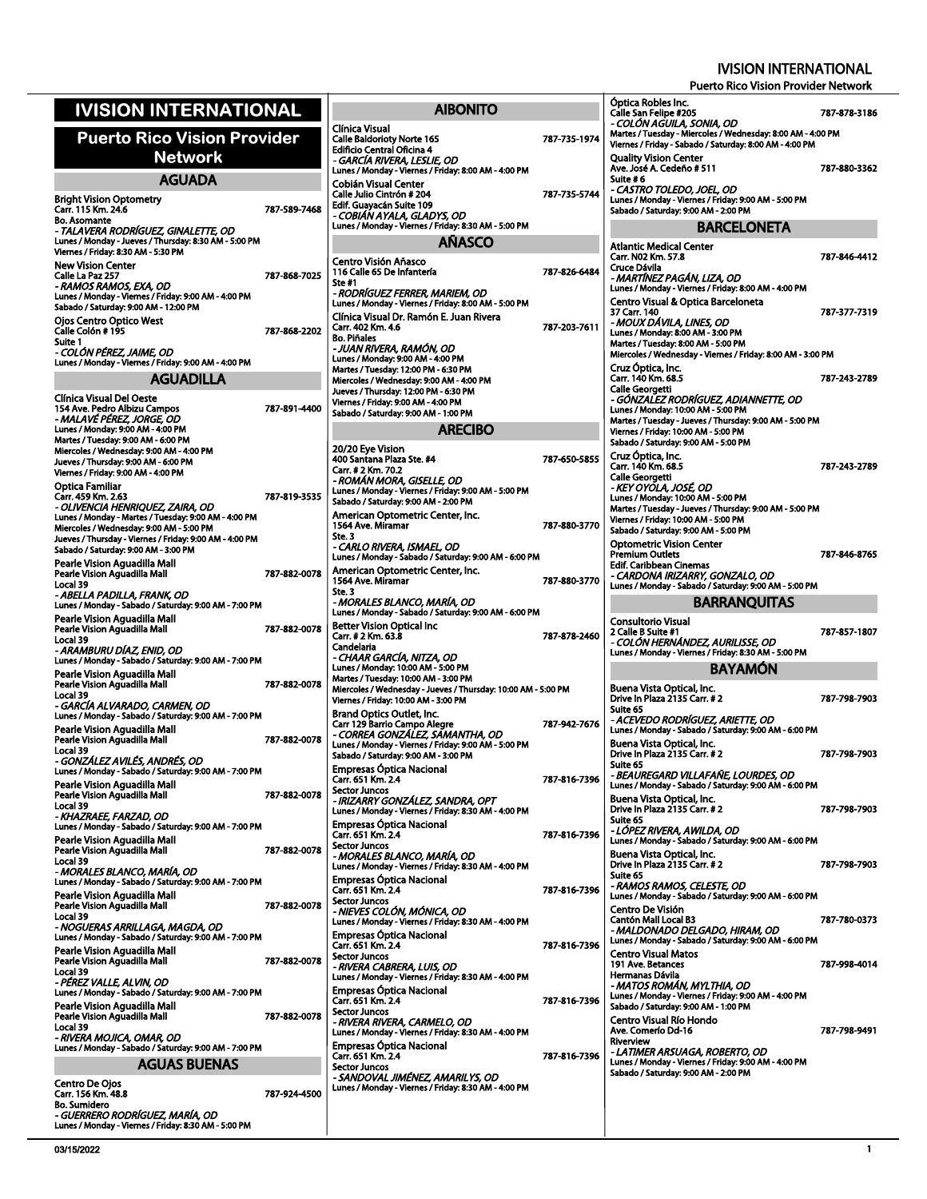| <b>IVISION INTERNATIONAL</b>                                                                                                                                                                                                            |              |                                                                                    |
|-----------------------------------------------------------------------------------------------------------------------------------------------------------------------------------------------------------------------------------------|--------------|------------------------------------------------------------------------------------|
| <b>Puerto Rico Vision Provider</b><br>Network                                                                                                                                                                                           |              | Clínica Vis<br>Calle Baldo<br><b>Edificio Cei</b><br>- GARCÍA I                    |
| <b>AGUADA</b>                                                                                                                                                                                                                           |              | Lunes / Mor<br>Cobián Vis                                                          |
| <b>Bright Vision Optometry</b><br>Carr. 115 Km. 24.6<br><b>Bo. Asomante</b><br>- TALAVERA RODRÍGUEZ, GINALETTE, OD                                                                                                                      | 787-589-7468 | Calle Julio (<br>Edif. Guaya<br>- COBIÁN .<br>Lunes / Mor                          |
| Lunes / Monday - Jueves / Thursday: 8:30 AM - 5:00 PM<br>Viernes / Friday: 8:30 AM - 5:30 PM<br><b>New Vision Center</b>                                                                                                                |              | Centro Vis                                                                         |
| Calle La Paz 257<br>- RAMOS RAMOS, EXA, OD<br>Lunes / Monday - Viernes / Friday: 9:00 AM - 4:00 PM<br>Sabado / Saturday: 9:00 AM - 12:00 PM                                                                                             | 787-868-7025 | <b>116 Calle 6</b><br>Ste #1<br>- RODRÍGL<br><b>Lunes / Mor</b><br>Clínica Vis     |
| Ojos Centro Optico West<br>Calle Colón # 195<br>Suite 1<br>- COLÓN PÉREZ, JAIME, OD                                                                                                                                                     | 787-868-2202 | Carr. 402 K<br><b>Bo. Piñales</b><br><i>- JUAN RI</i> V                            |
| Lunes / Monday - Viernes / Friday: 9:00 AM - 4:00 PM                                                                                                                                                                                    |              | Lunes / Mor<br>Martes / Tuo                                                        |
| AGUADILLA                                                                                                                                                                                                                               |              | Miercoles / \<br>Jueves / Thı                                                      |
| Clínica Visual Del Oeste<br>154 Ave. Pedro Albizu Campos<br>- MALAVÉ PÉREZ, JORGE, OD<br>Lunes / Monday: 9:00 AM - 4:00 PM<br>Martes / Tuesday: 9:00 AM - 6:00 PM                                                                       | 787-891-4400 | Viernes / Fri<br>Sabado / Sa                                                       |
| Miercoles / Wednesday: 9:00 AM - 4:00 PM<br>Jueves / Thursday: 9:00 AM - 6:00 PM<br>Viernes / Friday: 9:00 AM - 4:00 PM<br><b>Optica Familiar</b><br>Carr. 459 Km. 2.63                                                                 | 787-819-3535 | 20/20 Eye<br>400 Santan<br>Carr. # 2 Kn<br>- ROMÁN .<br><b>Lunes / Mor</b>         |
| - OLIVENCIA HENRIQUEZ, ZAIRA, OD<br>Lunes / Monday - Martes / Tuesday: 9:00 AM - 4:00 PM<br>Miercoles / Wednesday: 9:00 AM - 5:00 PM<br>Jueves / Thursday - Viernes / Friday: 9:00 AM - 4:00 PM<br>Sabado / Saturday: 9:00 AM - 3:00 PM |              | Sabado / Sa<br>American<br>1564 Ave. I<br>Ste. 3<br>- CARLO R                      |
| Pearle Vision Aguadilla Mall<br>Pearle Vision Aguadilla Mall<br>Local 39<br>- ABELLA PADILLA. FRANK. OD                                                                                                                                 | 787-882-0078 | Lunes / Mor<br>American<br>1564 Ave. I<br>Ste. 3<br>- MORALE                       |
| Lunes / Monday - Sabado / Saturday: 9:00 AM - 7:00 PM<br>Pearle Vision Aguadilla Mall<br>Pearle Vision Aguadilla Mall<br>Local 39<br>- ARAMBURU DIAZ, ENID, OD                                                                          | 787-882-0078 | <b>Lunes / Mor</b><br><b>Better Visi</b><br>Carr. # 2 Kn<br>Candelaria             |
| Lunes / Monday - Sabado / Saturday: 9:00 AM - 7:00 PM<br>Pearle Vision Aguadilla Mall<br>Pearle Vision Aguadilla Mall<br>Local 39<br>- GARCÍA ALVARADO, CARMEN, OD                                                                      | 787-882-0078 | - CHAAR G<br>Lunes / Mor<br>Martes / Tuo<br>Miercoles / \<br>Viernes / Fri         |
| Lunes / Monday - Sabado / Saturday: 9:00 AM - 7:00 PM<br>Pearle Vision Aguadilla Mall<br>Pearle Vision Aguadilla Mall<br>Local 39<br>- GONZÁLEZ AVILÉS, ANDRÉS, OD                                                                      | 787-882-0078 | <b>Brand Opt</b><br>Carr 129 Ba<br>- CORREA<br>Lunes / Mor<br>Sabado / Sa          |
| Lunes / Monday - Sabado / Saturday: 9:00 AM - 7:00 PM<br>Pearle Vision Aguadilla Mall<br>Pearle Vision Aguadilla Mall<br>Local 39<br>- KHAZRAEE, FARZAD, OD                                                                             | 787-882-0078 | <b>Empresas</b><br>رarr. 651 K<br>Sector Juno<br><i>- IRIZARR</i> )<br>Lunes / Mor |
| Lunes / Monday - Sabado / Saturday: 9:00 AM - 7:00 PM<br>Pearle Vision Aguadilla Mall<br>Pearle Vision Aguadilla Mall<br>Local 39<br>- MORALES BLANCO, MARIA, OD                                                                        | 787-882-0078 | <b>Empresas</b><br>Carr. 651 K<br>Sector Juno<br>- MORALE<br>Lunes / Mor           |
| Lunes / Monday - Sabado / Saturday: 9:00 AM - 7:00 PM<br>Pearle Vision Aguadilla Mall<br>Pearle Vision Aguadilla Mall<br>Local 39                                                                                                       | 787-882-0078 | <b>Empresas</b><br>Carr. 651 K<br>Sector Juno<br>- NIEVES C<br><b>Lunes / Mor</b>  |
| - NOGUERAS ARRILLAGA, MAGDA, OD<br>Lunes / Monday - Sabado / Saturday: 9:00 AM - 7:00 PM<br>Pearle Vision Aquadilla Mall<br>Pearle Vision Aguadilla Mall<br>Local 39                                                                    | 787-882-0078 | <b>Empresas</b><br>Carr. 651 K<br>Sector Juno<br>- RIVERA C                        |
| - PEREZ VALLE, ALVIN, OD<br>Lunes / Monday - Sabado / Saturday: 9:00 AM - 7:00 PM<br>Pearle Vision Aguadilla Mall<br>Pearle Vision Aguadilla Mall                                                                                       | 787-882-0078 | Lunes / Mor<br><b>Empresas</b><br>Carr. 651 K<br>Sector Juno                       |
| Local 39<br>- RIVERA MOJICA, OMAR, OD<br>Lunes / Monday - Sabado / Saturday: 9:00 AM - 7:00 PM                                                                                                                                          |              | - RIVERA R<br>Lunes / Mor<br><b>Empresas</b>                                       |
| AGUAS BUENAS                                                                                                                                                                                                                            |              | Carr. 651 K<br>Sector Juno                                                         |
| Centro De Ojos<br>Carr. 156 Km. 48.8                                                                                                                                                                                                    | 787-924-4500 | · SANDOV<br>Lunes / Mor                                                            |
| <b>Bo. Sumidero</b><br>- GUERRERO RODRÍGUEZ, MARÍA, OD<br>Lunes / Monday - Viernes / Friday: 8:30 AM - 5:00 PM                                                                                                                          |              |                                                                                    |

| <b>AIBONITO</b>                                                                                                                                                                                                  |              |
|------------------------------------------------------------------------------------------------------------------------------------------------------------------------------------------------------------------|--------------|
| Clínica Visual<br><b>Calle Baldorioty Norte 165</b><br><b>Edificio Central Oficina 4</b><br>- GARCÍA RIVERA, LESLIE, OD<br>Lunes / Monday - Viernes / Friday: 8:00 AM - 4:00 PM                                  | 787-735-1974 |
| Cobián Visual Center<br>Calle Julio Cintrón # 204<br>Edif. Guayacán Suite 109<br>- COBIÁN AYALA, GLADYS, OD<br>Lunes / Monday - Viernes / Friday: 8:30 AM - 5:00 PM                                              | 787-735-5744 |
| <b>AÑASCO</b>                                                                                                                                                                                                    |              |
| Centro Visión Añasco<br>116 Calle 65 De Infantería<br>Ste #1                                                                                                                                                     | 787-826-6484 |
| - RODRÍGUEZ FERRER, MARIEM, OD<br>Lunes / Monday - Viernes / Friday: 8:00 AM - 5:00 PM<br>Clínica Visual Dr. Ramón E. Juan Rivera<br>Carr. 402 Km. 4.6<br><b>Bo. Piñales</b><br>- JUAN RIVERA, RAMON, OD         | 787-203-7611 |
| Lunes / Monday: 9:00 AM - 4:00 PM<br>Martes / Tuesday: 12:00 PM - 6:30 PM<br>Miercoles / Wednesday: 9:00 AM - 4:00 PM<br>Jueves / Thursday: 12:00 PM - 6:30 PM<br>Viernes / Friday: 9:00 AM - 4:00 PM            |              |
| Sabado / Saturday: 9:00 AM - 1:00 PM                                                                                                                                                                             |              |
| <b>ARECIBO</b>                                                                                                                                                                                                   |              |
| 20/20 Eye Vision<br>400 Santana Plaza Ste. #4<br>Carr. # 2 Km. 70.2<br>- ROMÁN MORA, GISELLE, OD                                                                                                                 | 787-650-5855 |
| Lunes / Monday - Viernes / Friday: 9:00 AM - 5:00 PM<br>Sabado / Saturday: 9:00 AM - 2:00 PM<br>American Optometric Center, Inc.<br>1564 Ave. Miramar                                                            | 787-880-3770 |
| Ste. 3<br>- CARLO RIVERA, ISMAEL, OD<br>Lunes / Monday - Sabado / Saturday: 9:00 AM - 6:00 PM                                                                                                                    |              |
| American Optometric Center, Inc.<br>1564 Ave. Miramar<br>Ste. 3<br>- MORALES BLANCO, MARÍA, OD<br>Lunes / Monday - Sabado / Saturday: 9:00 AM - 6:00 PM                                                          | 787-880-3770 |
| Better Vision Optical Inc<br>Carr. # 2 Km. 63.8<br>Candelaria                                                                                                                                                    | 787-878-2460 |
| - CHAAR GARCÍA, NITZA, OD<br>Lunes / Monday: 10:00 AM - 5:00 PM<br>Martes / Tuesday: 10:00 AM - 3:00 PM<br>Miercoles / Wednesday - Jueves / Thursday: 10:00 AM - 5:00 PM<br>Viernes / Friday: 10:00 AM - 3:00 PM |              |
| <b>Brand Optics Outlet, Inc.</b><br>Carr 129 Barrio Campo Alegre<br>- CORREA GONZÁLEZ, SAMANTHA, OD<br>Lunes / Monday - Viernes / Friday: 9:00 AM - 5:00 PM<br>Sabado / Saturday: 9:00 AM - 3:00 PM              | 787-942-7676 |
| Empresas Óptica Nacional<br>Carr. 651 Km. 2.4<br><b>Sector Juncos</b><br>- IRIZARRY GONZÁLEZ, SANDRA, OPT                                                                                                        | 787-816-7396 |
| Lunes / Monday - Viernes / Friday: 8:30 AM - 4:00 PM<br>Empresas Optica Nacional<br>Carr. 651 Km. 2.4<br><b>Sector Juncos</b><br>- MORALES BLANCO, MARÍA, OD                                                     | 787-816-7396 |
| Lunes / Monday - Viernes / Friday: 8:30 AM - 4:00 PM<br>Empresas Óptica Nacional<br>Carr. 651 Km. 2.4<br><b>Sector Juncos</b>                                                                                    | 787-816-7396 |
| - NIEVES COLÓN, MÓNICA, OD<br>Lunes / Monday - Viernes / Friday: 8:30 AM - 4:00 PM<br><b>Empresas Optica Nacional</b><br>Carr. 651 Km. 2.4                                                                       | 787-816-7396 |
| <b>Sector Juncos</b><br>- RIVERA CABRERA, LUIS, OD<br>Lunes / Monday - Viernes / Friday: 8:30 AM - 4:00 PM<br><b>Empresas Óptica Nacional</b>                                                                    |              |
| Carr. 651 Km. 2.4<br><b>Sector Juncos</b><br>- RIVERA RIVERA, CARMELO, OD<br>Lunes / Monday - Viernes / Friday: 8:30 AM - 4:00 PM                                                                                | 787-816-7396 |
| Empresas Optica Nacional<br>Carr. 651 Km. 2.4<br><b>Sector Juncos</b><br>- SANDOVAL JIMÉNEZ, AMARILYS, OD                                                                                                        | 787 816 7396 |
| Lunes / Monday - Viernes / Friday: 8:30 AM - 4:00 PM                                                                                                                                                             |              |

|                  | Óptica Robles Inc.<br>Calle San Felipe #205                                                   | 787-878-3186 |
|------------------|-----------------------------------------------------------------------------------------------|--------------|
|                  | - COLON AGUILA, SONIA, OD<br>Martes / Tuesday - Miercoles / Wednesday: 8:00 AM - 4:00 PM      |              |
| 4                | Viernes / Friday - Sabado / Saturday: 8:00 AM - 4:00 PM                                       |              |
|                  | <b>Quality Vision Center</b><br>Ave. José A. Cedeño # 511                                     | 787-880-3362 |
| 4                | Suite #6<br>- CASTRO TOLEDO, JOEL, OD                                                         |              |
|                  | Lunes / Monday - Viernes / Friday: 9:00 AM - 5:00 PM<br>Sabado / Saturday: 9:00 AM - 2:00 PM  |              |
|                  | <b>BARCELONETA</b>                                                                            |              |
|                  | <b>Atlantic Medical Center</b><br>Carr. N02 Km. 57.8                                          | 787-846-4412 |
| 4                | Cruce Dávila<br>- MARTÍNEZ PAGÁN, LIZA, OD                                                    |              |
|                  | Lunes / Monday - Viernes / Friday: 8:00 AM - 4:00 PM<br>Centro Visual & Optica Barceloneta    |              |
| 1                | 37 Carr. 140<br>MOUX DÁVILA, LINES, OD                                                        | 787-377-7319 |
|                  | Lunes / Monday: 8:00 AM - 3:00 PM<br>Martes / Tuesday: 8:00 AM - 5:00 PM                      |              |
|                  | Miercoles / Wednesday - Viernes / Friday: 8:00 AM - 3:00 PM                                   |              |
|                  | Cruz Optica, Inc.<br>Carr. 140 Km. 68.5                                                       | 787-243-2789 |
|                  | <b>Calle Georgetti</b><br>- GÓNZALEZ RODRÍGUEZ, ADIANNETTE, OD                                |              |
|                  | Lunes / Monday: 10:00 AM - 5:00 PM<br>Martes / Tuesday - Jueves / Thursday: 9:00 AM - 5:00 PM |              |
|                  | Viernes / Friday: 10:00 AM - 5:00 PM<br>Sabado / Saturday: 9:00 AM - 5:00 PM                  |              |
| 5                | Cruz Óptica, Inc.<br>Carr. 140 Km. 68.5                                                       | 787-243-2789 |
|                  | <b>Calle Georgetti</b><br>- KEY OYOLA, JOSÉ, OD                                               |              |
|                  | Lunes / Monday: 10:00 AM - 5:00 PM<br>Martes / Tuesday - Jueves / Thursday: 9:00 AM - 5:00 PM |              |
| ٥                | Viernes / Friday: 10:00 AM - 5:00 PM<br>Sabado / Saturday: 9:00 AM - 5:00 PM                  |              |
|                  | <b>Optometric Vision Center</b>                                                               |              |
|                  | Premium Outlets<br>Edif. Caribbean Cinemas                                                    | 787-846-8765 |
| 0                | - CARDONA IRIZARRY, GONZALO, OD<br>Lunes / Monday - Sabado / Saturday: 9:00 AM - 5:00 PM      |              |
|                  | <b>BARRANQUITAS</b>                                                                           |              |
|                  |                                                                                               |              |
|                  | <b>Consultorio Visual</b><br>2 Calle B Suite #1                                               | 787-857-1807 |
|                  | - COLÓN HERNÁNDEZ, AURILISSE, OD<br>Lunes / Monday - Viernes / Friday: 8:30 AM - 5:00 PM      |              |
|                  | <b>BAYAMON</b>                                                                                |              |
|                  | Buena Vista Optical, Inc.<br>Drive In Plaza 2135 Carr. # 2                                    | 787-798-7903 |
|                  | Suite 65<br>- ACEVEDO RODRÍGUEZ, ARIETTE, OD                                                  |              |
|                  | Lunes / Monday - Sabado / Saturday: 9:00 AM - 6:00 PM<br>Buena Vista Optical, Inc.            |              |
|                  | Drive In Plaza 2135 Carr. # 2<br>Suite 65                                                     | 787-798-7903 |
|                  | · BEAUREGARD VILLAFAÑE. LOURDES. OD                                                           |              |
|                  | Lunes / Monday - Sabado / Saturday: 9:00 AM - 6:00 PM<br>Buena Vista Optical, Inc.            |              |
|                  | Drive In Plaza 2135 Carr. # 2<br>Suite 65                                                     | 787-798-7903 |
| ٥<br>б<br>6<br>6 | - LÓPEZ RIVERA, AWILDA, OD<br>Lunes / Monday - Sabado / Saturday: 9:00 AM - 6:00 PM           |              |
|                  | Buena Vista Optical, Inc.<br>Drive In Plaza 2135 Carr. # 2                                    | 787-798-7903 |
| 6                | Suite 65<br>- RAMOS RAMOS, CELESTE, OD                                                        |              |
|                  | Lunes / Monday - Sabado / Saturday: 9:00 AM - 6:00 PM<br>Centro De Visión                     |              |
|                  | <b>Cantón Mall Local B3</b><br>- MALDONADO DELGADO, HIRAM, OD                                 | 787-780-0373 |
| 6                | Lunes / Monday - Sabado / Saturday: 9:00 AM - 6:00 PM<br><b>Centro Visual Matos</b>           |              |
|                  | 191 Ave. Betances<br>Hermanas Dávila                                                          | 787-998-4014 |
|                  | - MATOS ROMÁN, MYLTHIA, OD<br>Lunes / Monday - Viernes / Friday: 9:00 AM - 4:00 PM            |              |
| б                | Sabado / Saturday: 9:00 AM - 1:00 PM                                                          |              |
|                  | Centro Visual Río Hondo<br>Ave. Comerío Dd-16                                                 | 787-798-9491 |
|                  | <b>Riverview</b><br>- LATIMER ARSUAGA, ROBERTO, OD                                            |              |
| 6                | Lunes / Monday - Viernes / Friday: 9:00 AM - 4:00 PM<br>Sabado / Saturday: 9:00 AM - 2:00 PM  |              |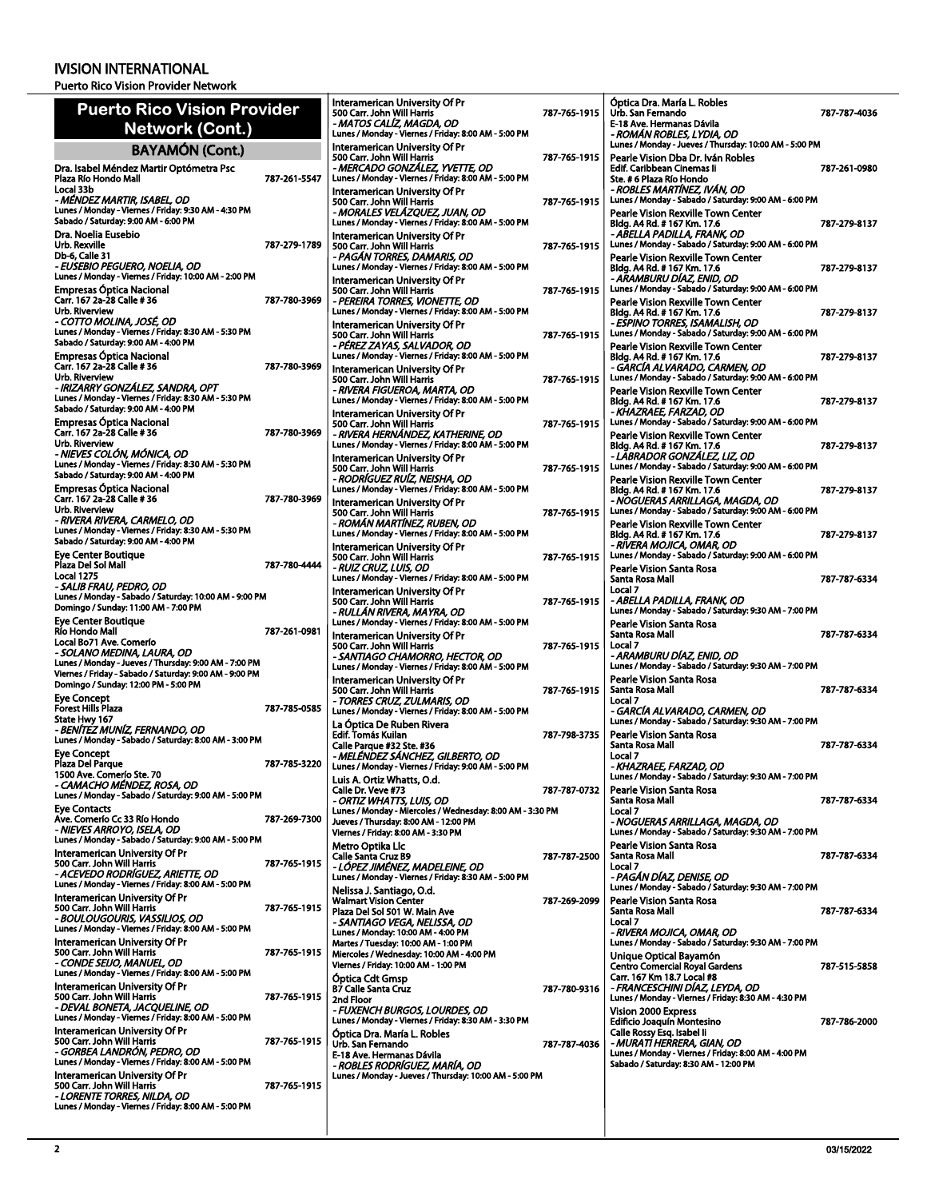Puerto Rico Vision Provider Network

| <b>Puerto Rico Vision Provider</b>                                                                                                                                        |              | Interamerican University Of Pr<br>500 Carr. John Will Harris                                                                                                    | 787-765-1915 | Óptica Dra. María L. Robles<br>Urb. San Fernando                                                                                                      |
|---------------------------------------------------------------------------------------------------------------------------------------------------------------------------|--------------|-----------------------------------------------------------------------------------------------------------------------------------------------------------------|--------------|-------------------------------------------------------------------------------------------------------------------------------------------------------|
| Network (Cont.)                                                                                                                                                           |              | - MATOS CALÍZ, MAGDA, OD<br>Lunes / Monday - Viernes / Friday: 8:00 AM - 5:00 PM                                                                                |              | E-18 Ave. Hermanas Dávila<br>- ROMÁN ROBLES, LYDIA, OD                                                                                                |
| <b>BAYAMÓN (Cont.)</b>                                                                                                                                                    |              | Interamerican University Of Pr                                                                                                                                  |              | Lunes / Monday - Jueves / Thursday: 10:00 AM - 5:00 PM                                                                                                |
| Dra. Isabel Méndez Martir Optómetra Psc<br>Plaza Río Hondo Mall                                                                                                           | 787-261-5547 | 500 Carr. John Will Harris<br>- MERCADO GONZALEZ, YVETTE, OD<br>Lunes / Monday - Viernes / Friday: 8:00 AM - 5:00 PM                                            | 787-765-1915 | Pearle Vision Dba Dr. Iván Robles<br>Edif. Caribbean Cinemas li<br>Ste. # 6 Plaza Río Hondo                                                           |
| Local 33b<br>- MÉNDEZ MARTIR, ISABEL, OD<br>Lunes / Monday - Viernes / Friday: 9:30 AM - 4:30 PM                                                                          |              | Interamerican University Of Pr<br>500 Carr. John Will Harris<br>- MORALES VELÁZQUEZ, JUAN, OD                                                                   | 787-765-1915 | - ROBLES MARTÍNEZ, IVÁN, OD<br>Lunes / Monday - Sabado / Saturday: 9:00 AM - 6:00 PM<br>Pearle Vision Rexville Town Center                            |
| Sabado / Saturday: 9:00 AM - 6:00 PM<br>Dra. Noelia Eusebio<br>Urb. Rexville                                                                                              | 787-279-1789 | Lunes / Monday - Viernes / Friday: 8:00 AM - 5:00 PM<br>Interamerican University Of Pr<br>500 Carr. John Will Harris                                            | 787-765-1915 | Bldg. A4 Rd. # 167 Km. 17.6<br>- ABELLA PADILLA, FRANK, OD<br>Lunes / Monday - Sabado / Saturday: 9:00 AM - 6:00 PM                                   |
| Db-6, Calle 31<br>- EUSEBIO PEGUERO, NOELIA, OD<br>Lunes / Monday - Viernes / Friday: 10:00 AM - 2:00 PM                                                                  |              | - PAGÁN TORRES, DAMARIS, OD<br>Lunes / Monday - Viernes / Friday: 8:00 AM - 5:00 PM<br>Interamerican University Of Pr                                           |              | Pearle Vision Rexville Town Center<br>Bldg. A4 Rd. # 167 Km. 17.6<br>- ARAMBURU DÍAZ. ENID. OD                                                        |
| <b>Empresas Óptica Nacional</b><br>Carr. 167 2a-28 Calle #36<br>Urb. Riverview                                                                                            | 787-780-3969 | 500 Carr. John Will Harris<br>- PEREIRA TORRES, VIONETTE, OD<br>Lunes / Monday - Viernes / Friday: 8:00 AM - 5:00 PM                                            | 787-765-1915 | Lunes / Monday - Sabado / Saturday: 9:00 AM - 6:00 PM<br>Pearle Vision Rexville Town Center<br>Bldg. A4 Rd. # 167 Km. 17.6                            |
| - COTTO MOLINA, JOSÉ, OD<br>Lunes / Monday - Viernes / Friday: 8:30 AM - 5:30 PM<br>Sabado / Saturday: 9:00 AM - 4:00 PM                                                  |              | Interamerican University Of Pr<br>500 Carr. John Will Harris<br>- PÉREZ ZAYAS, SALVADOR, OD<br>Lunes / Monday - Viernes / Friday: 8:00 AM - 5:00 PM             | 787-765-1915 | - ESPINO TORRES, ISAMALISH, OD<br>Lunes / Monday - Sabado / Saturday: 9:00 AM - 6:00 PM<br>Pearle Vision Rexville Town Center                         |
| <b>Empresas Óptica Nacional</b><br>Carr. 167 2a-28 Calle # 36<br>Urb. Riverview<br>- IRIZARRY GONZÁLEZ, SANDRA, OPT                                                       | 787-780-3969 | Interamerican University Of Pr<br>500 Carr. John Will Harris                                                                                                    | 787-765-1915 | Bldg. A4 Rd. # 167 Km. 17.6<br>- GARCIA ALVARADO, CARMEN, OD<br>Lunes / Monday - Sabado / Saturday: 9:00 AM - 6:00 PM                                 |
| Lunes / Monday - Viernes / Friday: 8:30 AM - 5:30 PM<br>Sabado / Saturday: 9:00 AM - 4:00 PM<br><b>Empresas Optica Nacional</b>                                           |              | - RIVERA FIGUEROA, MARTA, OD<br>Lunes / Monday - Viernes / Friday: 8:00 AM - 5:00 PM<br>Interamerican University Of Pr<br>500 Carr. John Will Harris            | 787-765-1915 | Pearle Vision Rexville Town Center<br>Bldg. A4 Rd. # 167 Km. 17.6<br>- KHAZRAEE, FARZAD, OD<br>Lunes / Monday - Sabado / Saturday: 9:00 AM - 6:00 PM  |
| Carr. 167 2a-28 Calle #36<br>Urb. Riverview<br>- NIEVES COLÓN, MÓNICA, OD                                                                                                 | 787-780-3969 | - RIVERA HERNÁNDEZ, KATHERINE, OD<br>Lunes / Monday - Viernes / Friday: 8:00 AM - 5:00 PM<br>Interamerican University Of Pr                                     |              | <b>Pearle Vision Rexville Town Center</b><br>Bldg. A4 Rd. # 167 Km. 17.6<br>- LÀBRADOR GONZÁLEZ, LIZ, OD                                              |
| Lunes / Monday - Viernes / Friday: 8:30 AM - 5:30 PM<br>Sabado / Saturday: 9:00 AM - 4:00 PM<br><b>Empresas Óptica Nacional</b>                                           |              | 500 Carr. John Will Harris<br>- RODRÍGUEZ RUÍZ, NEISHA, OD<br>Lunes / Monday - Viernes / Friday: 8:00 AM - 5:00 PM                                              | 787-765-1915 | Lunes / Monday - Sabado / Saturday: 9:00 AM - 6:00 PM<br>Pearle Vision Rexville Town Center<br>Bldg. A4 Rd. # 167 Km. 17.6                            |
| Carr. 167 2a-28 Calle # 36<br>Urb. Riverview<br>- RIVERA RIVERA, CARMELO, OD                                                                                              | 787-780-3969 | Interamerican University Of Pr<br>500 Carr. John Will Harris<br>- ROMÁN MARTÍNEZ. RUBEN. OD                                                                     | 787-765-1915 | - NOGUERAS ARRILLAGA, MAGDA, OD<br>Lunes / Monday - Sabado / Saturday: 9:00 AM - 6:00 PM<br>Pearle Vision Rexville Town Center                        |
| Lunes / Monday - Viernes / Friday: 8:30 AM - 5:30 PM<br>Sabado / Saturday: 9:00 AM - 4:00 PM<br><b>Eye Center Boutique</b><br>Plaza Del Sol Mall                          | 787-780-4444 | Lunes / Monday - Viernes / Friday: 8:00 AM - 5:00 PM<br>Interamerican University Of Pr<br>500 Carr. John Will Harris                                            | 787-765-1915 | Bldg. A4 Rd. # 167 Km. 17.6<br>- RIVERA MOJICA, OMAR, OD<br>Lunes / Monday - Sabado / Saturday: 9:00 AM - 6:00 PM                                     |
| Local 1275<br>- SALIB FRAU, PEDRO, OD<br>Lunes / Monday - Sabado / Saturday: 10:00 AM - 9:00 PM                                                                           |              | - RUIZ CRUZ, LUIS, OD<br>Lunes / Monday - Viernes / Friday: 8:00 AM - 5:00 PM<br>Interamerican University Of Pr                                                 |              | Pearle Vision Santa Rosa<br>Santa Rosa Mall<br>Local 7                                                                                                |
| Domingo / Sunday: 11:00 AM - 7:00 PM<br><b>Eye Center Boutique</b><br>Río Hondo Mall                                                                                      | 787-261-0981 | 500 Carr. John Will Harris<br>- RULLÁN RIVERA, MAYRA, OD<br>Lunes / Monday - Viernes / Friday: 8:00 AM - 5:00 PM                                                | 787-765-1915 | - ABELLA PADILLA, FRANK, OD<br>Lunes / Monday - Sabado / Saturday: 9:30 AM - 7:00 PM<br>Pearle Vision Santa Rosa<br>Santa Rosa Mall                   |
| Local Bo71 Ave. Comerío<br>- SOLANO MEDINA, LAURA, OD<br>Lunes / Monday - Jueves / Thursday: 9:00 AM - 7:00 PM<br>Viernes / Friday - Sabado / Saturday: 9:00 AM - 9:00 PM |              | Interamerican University Of Pr<br>500 Carr. John Will Harris<br>- SANTIAGO CHAMORRO, HECTOR, OD<br>Lunes / Monday - Viernes / Friday: 8:00 AM - 5:00 PM         | 787-765-1915 | Local 7<br>- ARAMBURU DÍAZ, ENID, OD<br>Lunes / Monday - Sabado / Saturday: 9:30 AM - 7:00 PM                                                         |
| Domingo / Sunday: 12:00 PM - 5:00 PM<br><b>Eye Concept</b><br><b>Forest Hills Plaza</b>                                                                                   | 787-785-0585 | Interamerican University Of Pr<br>500 Carr. John Will Harris<br>- TORRES CRUZ, ZULMARIS, OD<br>Lunes / Monday - Viernes / Friday: 8:00 AM - 5:00 PM             | 787-765-1915 | Pearle Vision Santa Rosa<br>Santa Rosa Mall<br>Local 7<br>- GARCÍA ALVARADO, CARMEN, OD                                                               |
| State Hwy 167<br>- BENÍTEZ MUNÍZ, FERNANDO, OD<br>Lunes / Monday - Sabado / Saturday: 8:00 AM - 3:00 PM                                                                   |              | La Optica De Ruben Rivera<br>Edif. Tomás Kuilan<br>Calle Parque #32 Ste. #36                                                                                    | 787-798-3735 | Lunes / Monday - Sabado / Saturday: 9:30 AM - 7:00 PM<br><b>Pearle Vision Santa Rosa</b><br>Santa Rosa Mall                                           |
| <b>Eye Concept</b><br>Plaza Del Parque<br>1500 Ave. Comerío Ste. 70                                                                                                       | 787-785-3220 | - MELÉNDEZ SÁNCHEZ, GILBERTO, OD<br>Lunes / Monday - Viernes / Friday: 9:00 AM - 5:00 PM<br>Luis A. Ortiz Whatts, O.d.                                          |              | Local 7<br>- KHAZRAEE, FARZAD, OD<br>Lunes / Monday - Sabado / Saturday: 9:30 AM - 7:00 PM                                                            |
| - CAMACHO MÉNDEZ, ROSA, OD<br>Lunes / Monday - Sabado / Saturday: 9:00 AM - 5:00 PM<br><b>Eye Contacts</b>                                                                |              | Calle Dr. Veve #73<br>- ORTIZ WHATTS, LUIS, OD<br>Lunes / Monday - Miercoles / Wednesday: 8:00 AM - 3:30 PM                                                     | 787-787-0732 | Pearle Vision Santa Rosa<br>Santa Rosa Mall<br>Local 7                                                                                                |
| Ave. Comerío Cc 33 Río Hondo<br>- NIEVES ARROYO, ISELA, OD<br>Lunes / Monday - Sabado / Saturday: 9:00 AM - 5:00 PM<br>Interamerican University Of Pr                     | 787-269-7300 | Jueves / Thursday: 8:00 AM - 12:00 PM<br>Viernes / Friday: 8:00 AM - 3:30 PM<br>Metro Optika Llc                                                                |              | - NOGUERAS ARRILLAGA, MAGDA, OD<br>Lunes / Monday - Sabado / Saturday: 9:30 AM - 7:00 PM<br>Pearle Vision Santa Rosa                                  |
| 500 Carr. John Will Harris<br>- ACEVEDO RODRÍGUEZ, ARIETTE, OD<br>Lunes / Monday - Viernes / Friday: 8:00 AM - 5:00 PM                                                    | 787-765-1915 | <b>Calle Santa Cruz B9</b><br>- LÓPEZ JIMÉNEZ, MADELEINE, OD<br>Lunes / Monday - Viernes / Friday: 8:30 AM - 5:00 PM<br>Nelissa J. Santiago, O.d.               | 787-787-2500 | Santa Rosa Mall<br>Local 7<br>- PAGAN DIAZ, DENISE, OD<br>Lunes / Monday - Sabado / Saturday: 9:30 AM - 7:00 PM                                       |
| Interamerican University Of Pr<br>500 Carr. John Will Harris<br>- BOULOUGOURIS, VASSILIOS, OD<br>Lunes / Monday - Viernes / Friday: 8:00 AM - 5:00 PM                     | 787-765-1915 | <b>Walmart Vision Center</b><br>Plaza Del Sol 501 W. Main Ave<br>- SANTIAGO VEGA, NELISSA, OD                                                                   | 787-269-2099 | Pearle Vision Santa Rosa<br>Santa Rosa Mall<br>Local 7                                                                                                |
| Interamerican University Of Pr<br>500 Carr. John Will Harris<br>- CONDE SEIJO, MANUEL, OD                                                                                 | 787-765-1915 | Lunes / Monday: 10:00 AM - 4:00 PM<br>Martes / Tuesday: 10:00 AM - 1:00 PM<br>Miercoles / Wednesday: 10:00 AM - 4:00 PM<br>Viernes / Friday: 10:00 AM - 1:00 PM |              | - RIVERA MOJICA, OMAR, OD<br>Lunes / Monday - Sabado / Saturday: 9:30 AM - 7:00 PM<br>Unique Optical Bayamón<br><b>Centro Comercial Royal Gardens</b> |
| Lunes / Monday - Viernes / Friday: 8:00 AM - 5:00 PM<br>Interamerican University Of Pr<br>500 Carr. John Will Harris<br>- DEVAL BONETA, JACQUELINE, OD                    | 787-765-1915 | Optica Cdt Gmsp<br><b>B7 Calle Santa Cruz</b><br>2nd Floor                                                                                                      | 787-780-9316 | Carr. 167 Km 18.7 Local #8<br>- FRANCESCHINI DIAZ, LEYDA, OD<br>Lunes / Monday - Viernes / Friday: 8:30 AM - 4:30 PM                                  |
| Lunes / Monday - Viernes / Friday: 8:00 AM - 5:00 PM<br>Interamerican University Of Pr<br>500 Carr. John Will Harris                                                      | 787-765-1915 | - FUXENCH BURGOS, LOURDES, OD<br>Lunes / Monday - Viernes / Friday: 8:30 AM - 3:30 PM<br>Optica Dra. María L. Robles<br>Urb. San Fernando                       | 787-787-4036 | Vision 2000 Express<br>Edificio Joaquín Montesino<br>Calle Rossy Esq. Isabel Ii<br>- MURATI HERRERA, GIAN, OD                                         |
| - GORBEA LANDRÓN, PEDRO, OD<br>Lunes / Monday - Viernes / Friday: 8:00 AM - 5:00 PM<br>Interamerican University Of Pr                                                     |              | E-18 Ave. Hermanas Dávila<br>- ROBLES RODRÍGUEZ, MARÍA, OD<br>Lunes / Monday - Jueves / Thursday: 10:00 AM - 5:00 PM                                            |              | Lunes / Monday - Viernes / Friday: 8:00 AM - 4:00 PM<br>Sabado / Saturday: 8:30 AM - 12:00 PM                                                         |
| 500 Carr. John Will Harris<br>- LORENTE TORRES, NILDA, OD<br>Lunes / Monday - Viernes / Friday: 8:00 AM - 5:00 PM                                                         | 787-765-1915 |                                                                                                                                                                 |              |                                                                                                                                                       |

. María L. Robles

787-787-4036

787-261-0980

787-279-8137

787-279-8137

787-279-8137

787-279-8137

787-279-8137

787-279-8137

787-279-8137

787-279-8137

787-787-6334

787-787-6334

787-787-6334

787-787-6334

787-787-6334

787-787-6334

787-787-6334

787-515-5858

787-786-2000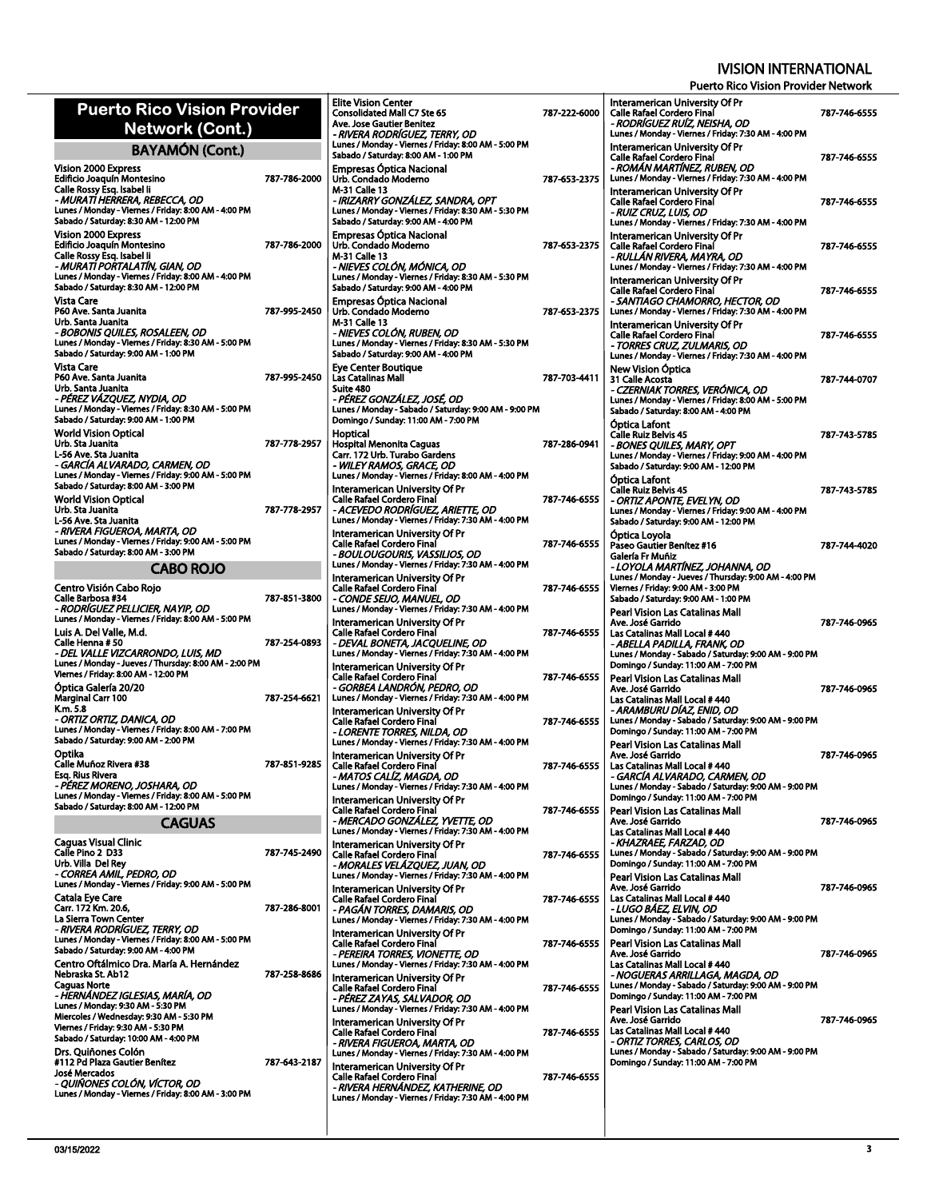| <b>Puerto Rico Vision Provider</b>                                                                                            |              | <b>Elite Vision Center</b><br><b>Consolidated Mall C7 Ste 65</b><br>Ave. Jose Gautier Benitez    |
|-------------------------------------------------------------------------------------------------------------------------------|--------------|--------------------------------------------------------------------------------------------------|
| Network (Cont.)                                                                                                               |              | - RIVERA RODRÍGUEZ, TER                                                                          |
| <b>BAYAMÓN (Cont.)</b>                                                                                                        |              | Lunes / Monday - Viernes / Frio<br>Sabado / Saturday: 8:00 AM - 1                                |
| <b>Vision 2000 Express</b><br>Edificio Joaquín Montesino                                                                      | 787-786-2000 | <b>Empresas Optica Nacional</b><br>Urb. Condado Moderno                                          |
| Calle Rossy Esq. Isabel Ii<br>- MURATI HERRERA, REBECCA, OD                                                                   |              | M-31 Calle 13<br>- IRIZARRY GONZÁLEZ, SA                                                         |
| Lunes / Monday - Viernes / Friday: 8:00 AM - 4:00 PM<br>Sabado / Saturday: 8:30 AM - 12:00 PM                                 |              | Lunes / Monday - Viernes / Frio<br>Sabado / Saturday: 9:00 AM - 4                                |
| Vision 2000 Express                                                                                                           |              | <b>Empresas Optica Nacional</b>                                                                  |
| <b>Edificio Joaquín Montesino</b><br>Calle Rossy Esq. Isabel Ii<br>- MURATI PORTALATÍN, GIAN, OD                              | 787-786-2000 | Urb. Condado Moderno<br>M-31 Calle 13<br>- NIEVES COLÓN. MÓNICA                                  |
| Lunes / Monday - Viernes / Friday: 8:00 AM - 4:00 PM<br>Sabado / Saturday: 8:30 AM - 12:00 PM                                 |              | Lunes / Monday - Viernes / Frio<br>Sabado / Saturday: 9:00 AM - 4                                |
| Vista Care<br>P60 Ave. Santa Juanita                                                                                          | 787-995-2450 | <b>Empresas Optica Nacional</b><br>Urb. Condado Moderno                                          |
| Urb. Santa Juanita                                                                                                            |              | M-31 Calle 13                                                                                    |
| - BOBONIS QUILES, ROSALEEN, OD<br>Lunes / Monday - Viernes / Friday: 8:30 AM - 5:00 PM                                        |              | - NIEVES COLÓN, RUBEN, (<br>Lunes / Monday - Viernes / Frio                                      |
| Sabado / Saturday: 9:00 AM - 1:00 PM<br><b>Vista Care</b>                                                                     |              | Sabado / Saturday: 9:00 AM - 4<br><b>Eve Center Boutique</b>                                     |
| P60 Ave. Santa Juanita                                                                                                        | 787-995-2450 | Las Catalinas Mall                                                                               |
| Urb. Santa Juanita<br>- PÉREZ VÁZOUEZ. NYDIA. OD                                                                              |              | Suite 480<br>- PÉREZ GONZÁLEZ, JOSÉ,                                                             |
| Lunes / Monday - Viernes / Friday: 8:30 AM - 5:00 PM<br>Sabado / Saturday: 9:00 AM - 1:00 PM                                  |              | Lunes / Monday - Sabado / Sat<br>Domingo / Sunday: 11:00 AM -                                    |
| <b>World Vision Optical</b><br>Urb. Sta Juanita                                                                               | 787-778-2957 | Hoptical                                                                                         |
| L-56 Ave. Sta Juanita                                                                                                         |              | Hospital Menonita Caguas<br>Carr. 172 Urb. Turabo Garde                                          |
| - GARCÍA ALVARADO, CARMEN, OD<br>Lunes / Monday - Viernes / Friday: 9:00 AM - 5:00 PM<br>Sabado / Saturday: 8:00 AM - 3:00 PM |              | - WILEY RAMOS, GRACE, C<br>Lunes / Monday - Viernes / Frio                                       |
| <b>World Vision Optical</b>                                                                                                   |              | Interamerican University (<br>Calle Rafael Cordero Final                                         |
| Urb. Sta Juanita<br>L-56 Ave. Sta Juanita                                                                                     | 787-778-2957 | - ACEVEDO RODRÍGUEZ. A<br>Lunes / Monday - Viernes / Frio                                        |
| - RIVERA FIGUEROA, MARTA, OD<br>Lunes / Monday - Viernes / Friday: 9:00 AM - 5:00 PM                                          |              | Interamerican University (                                                                       |
| Sabado / Saturday: 8:00 AM - 3:00 PM                                                                                          |              | <b>Calle Rafael Cordero Final</b><br>- BOULOUGOURIS, VASSIL                                      |
| CABO ROJO                                                                                                                     |              | Lunes / Monday - Viernes / Frio<br><b>Interamerican University G</b>                             |
| Centro Visión Cabo Rojo<br>Calle Barbosa #34<br>- RODRÍGUEZ PELLICIER, NAYIP, OD                                              | 787-851-3800 | <b>Calle Rafael Cordero Final</b><br>- CONDE SEIJO, MANUEL, I<br>Lunes / Monday - Viernes / Frio |
| Lunes / Monday - Viernes / Friday: 8:00 AM - 5:00 PM                                                                          |              | <b>Interamerican University G</b>                                                                |
| Luis A. Del Valle, M.d.<br>Calle Henna # 50<br>- DEL VALLE VIZCARRONDO, LUIS, MD                                              | 787-254-0893 | <b>Calle Rafael Cordero Final</b><br>- DEVAL BONETA, JACQUE                                      |
| Lunes / Monday - Jueves / Thursday: 8:00 AM - 2:00 PM                                                                         |              | Lunes / Monday - Viernes / Frio<br><b>Interamerican University (</b>                             |
| Viernes / Friday: 8:00 AM - 12:00 PM                                                                                          |              | <b>Calle Rafael Cordero Final</b>                                                                |
| Optica Galería 20/20<br>Marginal Carr 100                                                                                     | 787-254-6621 | - GORBEA LANDRÓN, PED<br>Lunes / Monday - Viernes / Frio                                         |
| K.m. 5.8                                                                                                                      |              | <b>Interamerican University (</b>                                                                |
| - ORTIZ ORTIZ, DANICA, OD<br>Lunes / Monday - Viernes / Friday: 8:00 AM - 7:00 PM<br>Sabado / Saturday: 9:00 AM - 2:00 PM     |              | <b>Calle Rafael Cordero Final</b><br>- LORENTE TORRES, NILDA<br>Lunes / Monday - Viernes / Frio  |
| Optika                                                                                                                        |              | Interamerican University (                                                                       |
| Calle Muñoz Rivera #38<br>Esq. Rius Rivera                                                                                    | 787-851-9285 | <b>Calle Rafael Cordero Final</b><br>- MATOS CALÍZ, MAGDA, (                                     |
| - PÉREZ MORENO, JOSHARA, OD<br>Lunes / Monday - Viernes / Friday: 8:00 AM - 5:00 PM                                           |              | Lunes / Monday - Viernes / Frio                                                                  |
| Sabado / Saturday: 8:00 AM - 12:00 PM                                                                                         |              | <b>Interamerican University (</b><br>Calle Rafael Cordero Final                                  |
| <b>CAGUAS</b>                                                                                                                 |              | - MERCADO GONZÁLEZ, Y<br>Lunes / Monday - Viernes / Frio                                         |
| <b>Caguas Visual Clinic</b>                                                                                                   |              | Interamerican University (                                                                       |
| Calle Pino 2 D33<br>Urb. Villa Del Rey                                                                                        | 787-745-2490 | <b>Calle Rafael Cordero Final</b>                                                                |
| - CORREA AMIL, PEDRO, OD<br>Lunes / Monday - Viernes / Friday: 9:00 AM - 5:00 PM                                              |              | - MORALES VELÁZQUEZ, J<br>Lunes / Monday - Viernes / Frio<br><b>Interamerican University (</b>   |
| Catala Eye Care                                                                                                               |              | <b>Calle Rafael Cordero Final</b>                                                                |
| Carr. 172 Km. 20.6,<br>La Sierra Town Center                                                                                  | 787-286-8001 | - PAGÁN TORRES, DAMAR<br>Lunes / Monday - Viernes / Frio                                         |
| - RIVERA RODRÍGUEZ, TERRY, OD<br>Lunes / Monday - Viernes / Friday: 8:00 AM - 5:00 PM                                         |              | Interamerican University (<br>Calle Rafael Cordero Final                                         |
| Sabado / Saturday: 9:00 AM - 4:00 PM<br>Centro Oftálmico Dra. María A. Hernández                                              |              | - PEREIRA TORRES, VIONE.<br>Lunes / Monday - Viernes / Frio                                      |
| Nebraska St. Ab12                                                                                                             | 787-258-8686 | <b>Interamerican University G</b>                                                                |
| <b>Caguas Norte</b><br>- HERNÁNDEZ IGLESIAS, MARÍA, OD                                                                        |              | Calle Rafael Cordero Final<br>- PÉREZ ZAYAS, SALVADO                                             |
| Lunes / Monday: 9:30 AM - 5:30 PM                                                                                             |              | Lunes / Monday - Viernes / Frio                                                                  |
| Miercoles / Wednesday: 9:30 AM - 5:30 PM<br>Viernes / Friday: 9:30 AM - 5:30 PM                                               |              | Interamerican University (<br><b>Calle Rafael Cordero Final</b>                                  |
| Sabado / Saturday: 10:00 AM - 4:00 PM                                                                                         |              | - RIVERA FIGUEROA, MART                                                                          |
|                                                                                                                               |              | Lunes / Monday - Viernes / Fric                                                                  |
| Drs. Quiñones Colón<br>#112 Pd Plaza Gautier Benitez                                                                          | 787-643-2187 |                                                                                                  |
| <b>José Mercados</b><br>- QUIÑONES COLÓN, VÍCTOR, OD                                                                          |              | Interamerican University (<br><b>Calle Rafael Cordero Final</b><br>- RIVERA HERNÁNDEZ, KA        |

| Ave. Jose Gautier Benitez                                                                     |              |
|-----------------------------------------------------------------------------------------------|--------------|
| - RIVERA RODRÍGUEZ, TERRY, OD<br>Lunes / Monday - Viernes / Friday: 8:00 AM - 5:00 PM         |              |
| Sabado / Saturday: 8:00 AM - 1:00 PM                                                          |              |
| Empresas Optica Nacional                                                                      |              |
| Urb. Condado Moderno<br>M-31 Calle 13                                                         | 787-653-2375 |
| - IRIZARRY GONZÁLEZ, SANDRA, OPT                                                              |              |
| Lunes / Monday - Viernes / Friday: 8:30 AM - 5:30 PM                                          |              |
| Sabado / Saturday: 9:00 AM - 4:00 PM                                                          |              |
| Empresas Optica Nacional<br>Urb. Condado Moderno                                              | 787 653 2375 |
| M-31 Calle 13                                                                                 |              |
| - NIEVES COLÓN, MÓNICA, OD<br>Lunes / Monday - Viernes / Friday: 8:30 AM - 5:30 PM            |              |
| Sabado / Saturday: 9:00 AM - 4:00 PM                                                          |              |
| Empresas Optica Nacional                                                                      |              |
| Urb. Condado Moderno                                                                          | 787-653-2375 |
| M-31 Calle 13<br>- NIEVES COLÓN, RUBEN, OD                                                    |              |
| Lunes / Monday - Viernes / Friday: 8:30 AM - 5:30 PM                                          |              |
| Sabado / Saturday: 9:00 AM - 4:00 PM                                                          |              |
| Eye Center Boutique<br>Las Catalinas Mall                                                     | 787-703-4411 |
| Suite 480                                                                                     |              |
| - PÉREZ GONZÁLEZ, JOSÉ, OD                                                                    |              |
| Lunes / Monday - Sabado / Saturday: 9:00 AM - 9:00 PM<br>Domingo / Sunday: 11:00 AM - 7:00 PM |              |
| Hoptical                                                                                      |              |
| Hospital Menonita Caguas                                                                      | 787-286-0941 |
| Carr. 172 Urb. Turabo Gardens                                                                 |              |
| - WILEY RAMOS, GRACE, OD<br>Lunes / Monday - Viernes / Friday: 8:00 AM - 4:00 PM              |              |
| Interamerican University Of Pr                                                                |              |
| Calle Rafael Cordero Final                                                                    | 787-746-6555 |
| - ACEVEDO RODRÍGUEZ, ARIETTE, OD                                                              |              |
| Lunes / Monday - Viernes / Friday: 7:30 AM - 4:00 PM                                          |              |
| Interamerican University Of Pr<br>Calle Rafael Cordero Final                                  | 787-746-6555 |
| - BOULOUGOURIS, VASSILIOS, OD                                                                 |              |
| Lunes / Monday - Viernes / Friday: 7:30 AM - 4:00 PM                                          |              |
| Interamerican University Of Pr<br>Calle Rafael Cordero Final                                  | 787 746 6555 |
| - CONDE SEIJO, MANUEL, OD                                                                     |              |
| Lunes / Monday - Viernes / Friday: 7:30 AM - 4:00 PM                                          |              |
| Interamerican University Of Pr<br>Calle Rafael Cordero Final                                  |              |
| - DEVAL BONETA, JACQUELINE, OD                                                                | 787-746-6555 |
| Lunes / Monday - Viernes / Friday: 7:30 AM - 4:00 PM                                          |              |
| Interamerican University Of Pr                                                                |              |
| Calle Rafael Cordero Final<br>- GORBEA LANDRÓN, PEDRO, OD                                     | 787-746-6555 |
| Lunes / Monday - Viernes / Friday: 7:30 AM - 4:00 PM                                          |              |
| Interamerican University Of Pr                                                                |              |
| Calle Rafael Cordero Final<br>- LORENTE TORRES, NILDA, OD                                     | 787-746-6555 |
| Lunes / Monday - Viernes / Friday: 7:30 AM - 4:00 PM                                          |              |
| Interamerican University Of Pr                                                                |              |
| Calle Rafael Cordero Final                                                                    | 787 746 6555 |
| - MATOS CALIZ, MAGDA, OD<br>Lunes / Monday - Viernes / Friday: 7:30 AM - 4:00 PM              |              |
| Interamerican University Of Pr                                                                |              |
| Calle Rafael Cordero Final                                                                    | 787-746-6555 |
| - MERCADO GONZÁLEZ, YVETTE, OD<br>Lunes / Monday - Viernes / Friday: 7:30 AM - 4:00 PM        |              |
| Interamerican University Of Pr                                                                |              |
| Calle Rafael Cordero Final                                                                    | 787-746-6555 |
| - MORALES VELÁZQUEZ, JUAN, OD<br>Lunes / Monday - Viernes / Friday: 7:30 AM - 4:00 PM         |              |
| Interamerican Universitv Of Pr                                                                |              |
| Calle Rafael Cordero Final                                                                    | 787-746-6555 |
| - PAGAN TORRES, DAMARIS, OD                                                                   |              |
| Lunes / Monday - Viernes / Friday: 7:30 AM - 4:00 PM<br>Interamerican University Of Pr        |              |
| Calle Rafael Cordero Final                                                                    | 787-746-6555 |
| - PEREIRA TORRES, VIONETTE, OD                                                                |              |
| Lunes / Monday - Viernes / Friday: 7:30 AM - 4:00 PM                                          |              |
| Interamerican University Of Pr                                                                |              |
|                                                                                               |              |
| Calle Rafael Cordero Final<br>- PÉREZ ZAYAS, SALVADOR, OD                                     | 787-746-6555 |
| Lunes / Monday - Viernes / Friday: 7:30 AM - 4:00 PM                                          |              |
| Interamerican University Of Pr                                                                |              |
| Calle Rafael Cordero Final<br>- RIVERA FIGUEROA. MARTA. OD                                    | 787-746-6555 |
| Lunes / Monday - Viernes / Friday: 7:30 AM - 4:00 PM                                          |              |
| Interamerican University Of Pr                                                                |              |
| Calle Rafael Cordero Final<br>- RIVERA HERNANDEZ, KATHERINE, OD                               | 787-746-6555 |

| 787-222-6000 | Interamerican University Of Pr<br><b>Calle Rafael Cordero Final</b><br>- RODRÍGUEZ RUÍZ, NEISHA, OD<br>Lunes / Monday - Viernes / Friday: 7:30 AM - 4:00 PM                    | 787-746-6555 |
|--------------|--------------------------------------------------------------------------------------------------------------------------------------------------------------------------------|--------------|
| 787-653-2375 | Interamerican University Of Pr<br>Calle Rafael Cordero Final<br>· ROMÁN MARTÍNEZ, RUBEN, OD<br>Lunes / Monday - Viernes / Friday: 7:30 AM - 4:00 PM                            | 787 746 6555 |
|              | Interamerican University Of Pr<br>Calle Rafael Cordero Final<br>- RUIZ CRUZ, LUIS, OD<br>Lunes / Monday - Viernes / Friday: 7:30 AM - 4:00 PM                                  | 787-746-6555 |
| 787 653 2375 | Interamerican University Of Pr<br>Calle Rafael Cordero Final<br>- RULLÁN RIVERA, MAYRA, OD<br>Lunes / Monday - Viernes / Friday: 7:30 AM - 4:00 PM                             | 787-746-6555 |
| 787-653-2375 | Interamerican University Of Pr<br>Calle Rafael Cordero Final<br>- SANTIAGO CHAMORRO, HECTOR, OD<br>Lunes / Monday - Viernes / Friday: 7:30 AM - 4:00 PM                        | 787-746-6555 |
|              | Interamerican University Of Pr<br><b>Calle Rafael Cordero Final</b><br>- TORRES CRUZ, ZULMARIS, OD<br>Lunes / Monday - Viernes / Friday: 7:30 AM - 4:00 PM                     | 787 746 6555 |
| 787-703-4411 | <b>New Vision Optica</b><br>31 Calle Acosta<br>- CZERNIAK TORRES, VERÓNICA, OD<br>Lunes / Monday - Viernes / Friday: 8:00 AM - 5:00 PM<br>Sabado / Saturday: 8:00 AM - 4:00 PM | 787-744-0707 |
| 787-286-0941 | Optica Lafont<br>Calle Ruiz Belvis 45<br>- BONES QUILES, MARY, OPT<br>Lunes / Monday - Viernes / Friday: 9:00 AM - 4:00 PM<br>Sabado / Saturday: 9:00 AM - 12:00 PM            | 787-743-5785 |
| 787-746-6555 | Optica Lafont<br>Calle Ruiz Belvis 45<br>- ORTIZ APONTE, EVELYN, OD<br>Lunes / Monday - Viernes / Friday: 9:00 AM - 4:00 PM<br>Sabado / Saturday: 9:00 AM - 12:00 PM           | 787-743-5785 |
| 787-746-6555 | Optica Loyola<br>Paseo Gautier Benítez #16<br>Galería Fr Muñiz<br>- LOYOLA MARTÍNEZ, JOHANNA, OD                                                                               | 787-744-4020 |
| 787 746 6555 | Lunes / Monday - Jueves / Thursday: 9:00 AM - 4:00 PM<br>Viernes / Friday: 9:00 AM - 3:00 PM<br>Sabado / Saturday: 9:00 AM - 1:00 PM                                           |              |
| 787-746-6555 | Pearl Vision Las Catalinas Mall<br>Ave. José Garrido<br>Las Catalinas Mall Local # 440<br>- ABELLA PADILLA, FRANK, OD<br>Lunes / Monday - Sabado / Saturday: 9:00 AM - 9:00 PM | 787-746-0965 |
| 787-746-6555 | Domingo / Sunday: 11:00 AM - 7:00 PM<br>Pearl Vision Las Catalinas Mall<br>Ave. José Garrido<br>Las Catalinas Mall Local # 440                                                 | 787-746-0965 |
| 787-746-6555 | - ARAMBURU DÍAZ, ENID, OD<br>Lunes / Monday - Sabado / Saturday: 9:00 AM - 9:00 PM<br>Domingo / Sunday: 11:00 AM - 7:00 PM<br>Pearl Vision Las Catalinas Mall                  |              |
| 787 746 6555 | Ave. José Garrido<br>Las Catalinas Mall Local #440<br>- GARCÍA ALVARADO, CARMEN, OD<br>Lunes / Monday - Sabado / Saturday: 9:00 AM - 9:00 PM                                   | 787-746-0965 |
| 787-746-6555 | Domingo / Sunday: 11:00 AM - 7:00 PM<br>Pearl Vision Las Catalinas Mall<br>Ave. José Garrido<br>Las Catalinas Mall Local #440                                                  | 787-746-0965 |
| 787-746-6555 | - KHAZRAEE, FARZAD, OD<br>Lunes / Monday - Sabado / Saturday: 9:00 AM - 9:00 PM<br>Domingo / Sunday: 11:00 AM - 7:00 PM<br>Pearl Vision Las Catalinas Mall                     |              |
| 787-746-6555 | Ave. José Garrido<br>Las Catalinas Mall Local # 440<br>- LUGO BÁEZ, ELVIN, OD<br>Lunes / Monday - Sabado / Saturday: 9:00 AM - 9:00 PM<br>Domingo / Sunday: 11:00 AM - 7:00 PM | 787-746-0965 |
| 787 746 6555 | Pearl Vision Las Catalinas Mall<br>Ave. José Garrido<br>Las Catalinas Mall Local # 440<br>- NOGUERAS ARRILLAGA, MAGDA, OD                                                      | 787-746-0965 |
| 787-746-6555 | Lunes / Monday - Sabado / Saturday: 9:00 AM - 9:00 PM<br>Domingo / Sunday: 11:00 AM - 7:00 PM<br>Pearl Vision Las Catalinas Mall<br>Ave. José Garrido                          | 787-746-0965 |
| 787-746-6555 | Las Catalinas Mall Local # 440<br>- ORTIZ TORRES, CARLOS, OD<br>Lunes / Monday - Sabado / Saturday: 9:00 AM - 9:00 PM<br>Domingo / Sunday: 11:00 AM - 7:00 PM                  |              |
| 787-746-6555 |                                                                                                                                                                                |              |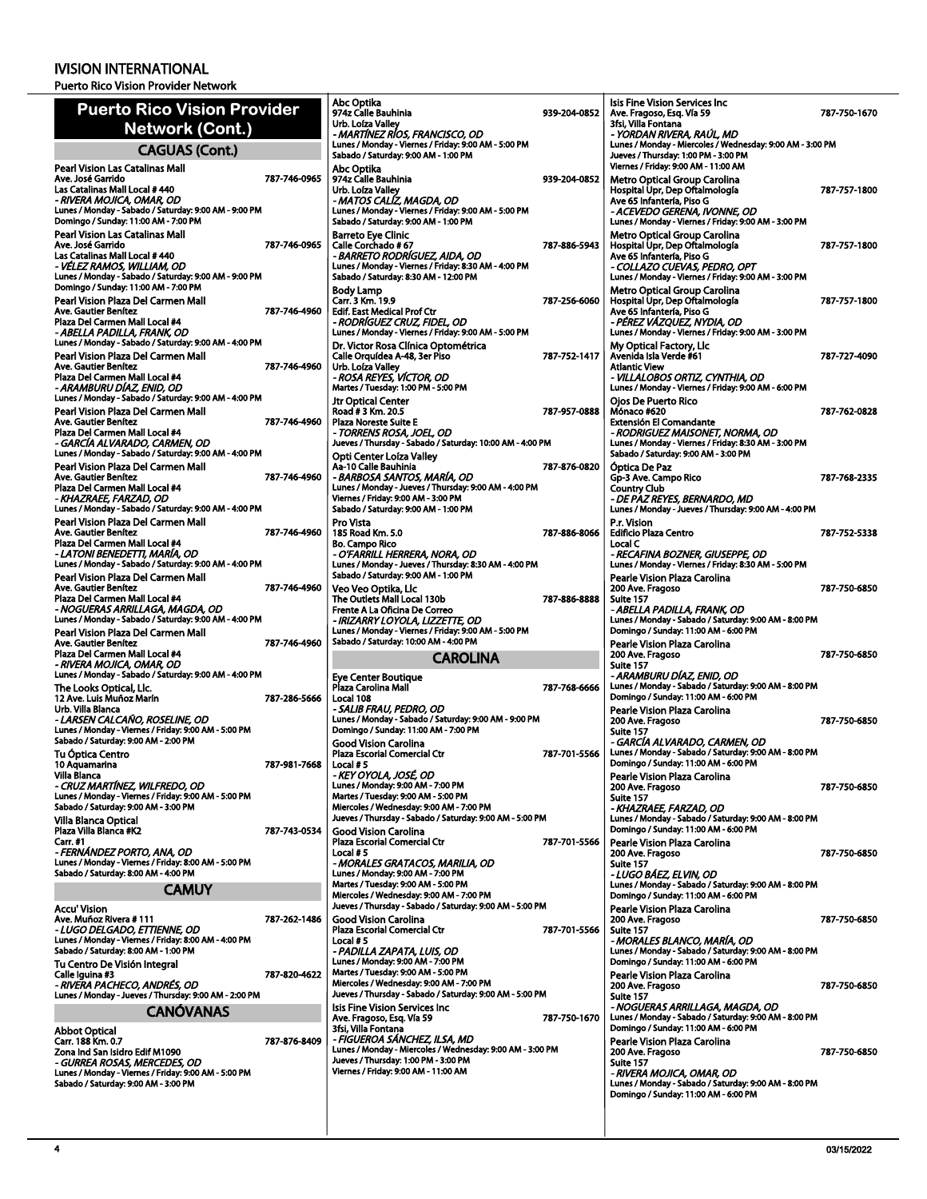|                                                                                              |              | Abc Optika                                                                                           |         |
|----------------------------------------------------------------------------------------------|--------------|------------------------------------------------------------------------------------------------------|---------|
| <b>Puerto Rico Vision Provider</b>                                                           |              | 974z Calle Bauhinia                                                                                  | $939 -$ |
| Network (Cont.)                                                                              |              | Urb. Loíza Vallev<br>- MARTÍNEZ RÍOS, FRANCISCO, OD                                                  |         |
| <b>CAGUAS (Cont.)</b>                                                                        |              | Lunes / Monday - Viernes / Friday: 9:00 AM - 5:00 PM<br>Sabado / Saturday: 9:00 AM - 1:00 PM         |         |
| Pearl Vision Las Catalinas Mall                                                              |              | Abc Optika                                                                                           |         |
| Ave. José Garrido<br>Las Catalinas Mall Local # 440                                          | 787-746-0965 | 974z Calle Bauhinia<br>Urb. Loíza Valley                                                             | 939-    |
| - RIVERA MOJICA, OMAR, OD                                                                    |              | - MATOS CALÍZ, MAGDA, OD                                                                             |         |
| Lunes / Monday - Sabado / Saturday: 9:00 AM - 9:00 PM                                        |              | Lunes / Monday - Viernes / Friday: 9:00 AM - 5:00 PM                                                 |         |
| Domingo / Sunday: 11:00 AM - 7:00 PM<br>Pearl Vision Las Catalinas Mall                      |              | Sabado / Saturday: 9:00 AM - 1:00 PM                                                                 |         |
| Ave. José Garrido                                                                            | 787-746-0965 | <b>Barreto Eye Clinic</b><br>Calle Corchado #67                                                      | 787     |
| Las Catalinas Mall Local # 440                                                               |              | - BARRETO RODRIGUEZ, AIDA, OD                                                                        |         |
| - VĖLEZ RAMOS, WILLIAM, OD<br>Lunes / Monday - Sabado / Saturday: 9:00 AM - 9:00 PM          |              | Lunes / Monday - Viernes / Friday: 8:30 AM - 4:00 PM<br>Sabado / Saturday: 8:30 AM - 12:00 PM        |         |
| Domingo / Sunday: 11:00 AM - 7:00 PM                                                         |              | <b>Body Lamp</b>                                                                                     |         |
| Pearl Vision Plaza Del Carmen Mall                                                           |              | Carr. 3 Km. 19.9                                                                                     | 787-    |
| Ave. Gautier Benítez<br>Plaza Del Carmen Mall Local #4                                       | 787-746-4960 | <b>Edif. East Medical Prof Ctr</b><br>- RODRIGUEZ CRUZ, FIDEL, OD                                    |         |
| - ABELLA PADILLA, FRANK, OD                                                                  |              | Lunes / Monday - Viernes / Friday: 9:00 AM - 5:00 PM                                                 |         |
| Lunes / Monday - Sabado / Saturday: 9:00 AM - 4:00 PM                                        |              | Dr. Victor Rosa Clínica Optométrica                                                                  |         |
| Pearl Vision Plaza Del Carmen Mall<br>Ave. Gautier Benítez                                   | 787-746-4960 | Calle Orquídea A-48, 3er Piso<br>Urb. Loíza Valley                                                   | 787-    |
| Plaza Del Carmen Mall Local #4                                                               |              | - ROSA REYES, VÍCTOR, OD                                                                             |         |
| - ARAMBURU DÍAZ, ENID, OD<br>Lunes / Monday - Sabado / Saturday: 9:00 AM - 4:00 PM           |              | Martes / Tuesday: 1:00 PM - 5:00 PM                                                                  |         |
| Pearl Vision Plaza Del Carmen Mall                                                           |              | Jtr Optical Center<br>Road # 3 Km. 20.5                                                              | 787-    |
| Ave. Gautier Benítez                                                                         | 787-746-4960 | <b>Plaza Noreste Suite E</b>                                                                         |         |
| Plaza Del Carmen Mall Local #4<br>- GARCÍA ALVARADO, CARMEN, OD                              |              | - TORRENS ROSA, JOEL, OD<br>Jueves / Thursday - Sabado / Saturday: 10:00 AM - 4:00 PM                |         |
| Lunes / Monday - Sabado / Saturday: 9:00 AM - 4:00 PM                                        |              | Opti Center Loíza Valley                                                                             |         |
| Pearl Vision Plaza Del Carmen Mall                                                           |              | Aa-10 Calle Bauhinia                                                                                 | 787-    |
| Ave. Gautier Benítez                                                                         | 787-746-4960 | - BARBOSA SANTOS, MARIA, OD                                                                          |         |
| Plaza Del Carmen Mall Local #4<br>- KHAZRAEE, FARZAD, OD                                     |              | Lunes / Monday - Jueves / Thursday: 9:00 AM - 4:00 PM<br>Viernes / Friday: 9:00 AM - 3:00 PM         |         |
| Lunes / Monday - Sabado / Saturday: 9:00 AM - 4:00 PM                                        |              | Sabado / Saturday: 9:00 AM - 1:00 PM                                                                 |         |
| Pearl Vision Plaza Del Carmen Mall<br>Ave. Gautier Benítez                                   | 787-746-4960 | Pro Vista                                                                                            |         |
| Plaza Del Carmen Mall Local #4                                                               |              | 185 Road Km. 5.0<br><b>Bo. Campo Rico</b>                                                            | 787-    |
| - LATONI BENEDETTI, MARÍA, OD                                                                |              | - O'FARRILL HERRERA, NORA, OD                                                                        |         |
| Lunes / Monday - Sabado / Saturday: 9:00 AM - 4:00 PM                                        |              | Lunes / Monday - Jueves / Thursday: 8:30 AM - 4:00 PM<br>Sabado / Saturday: 9:00 AM - 1:00 PM        |         |
| Pearl Vision Plaza Del Carmen Mall<br>Ave. Gautier Benítez                                   | 787-746-4960 | Veo Veo Optika, Llc                                                                                  |         |
| Plaza Del Carmen Mall Local #4                                                               |              | The Outlets Mall Local 130b                                                                          | 787-    |
| - NOGUERAS ARRILLAGA, MAGDA, OD<br>Lunes / Monday - Sabado / Saturday: 9:00 AM - 4:00 PM     |              | Frente A La Oficina De Correo<br>- IRIZARRY LOYOLA, LIZZETTE, OD                                     |         |
|                                                                                              |              |                                                                                                      |         |
| Pearl Vision Plaza Del Carmen Mall                                                           |              | Lunes / Monday - Viernes / Friday: 9:00 AM - 5:00 PM                                                 |         |
| Ave. Gautier Benítez                                                                         | 787-746-4960 | Sabado / Saturday: 10:00 AM - 4:00 PM                                                                |         |
| Plaza Del Carmen Mall Local #4                                                               |              | CAROLINA                                                                                             |         |
| - RIVERA MOJICA, OMAR, OD<br>Lunes / Monday - Sabado / Saturday: 9:00 AM - 4:00 PM           |              | Eye Center Boutique                                                                                  |         |
| The Looks Optical, Llc.                                                                      |              | Plaza Carolina Mall                                                                                  | 787-    |
| 12 Ave. Luis Muñoz Marín<br>Urb. Villa Blanca                                                | 787-286-5666 | Local 108<br>- SALIB FRAU, PEDRO, OD                                                                 |         |
| - LARSEN CALCAÑO, ROSELINE, OD                                                               |              | Lunes / Monday - Sabado / Saturday: 9:00 AM - 9:00 PM                                                |         |
| Lunes / Monday - Viernes / Friday: 9:00 AM - 5:00 PM                                         |              | Domingo / Sunday: 11:00 AM - 7:00 PM                                                                 |         |
| Sabado / Saturday: 9:00 AM - 2:00 PM                                                         |              | <b>Good Vision Carolina</b><br><b>Plaza Escorial Comercial Ctr</b>                                   | 787-    |
| Tu Óptica Centro<br>10 Aquamarina                                                            | 787-981-7668 | Local #5                                                                                             |         |
| Villa Blanca<br>                                                                             |              | - KEY OYOLA, JOSÉ, OD                                                                                |         |
| - CRUZ MARTÍNEZ, WILFREDO, OD<br>Lunes / Monday - Viernes / Friday: 9:00 AM - 5:00 PM        |              | Lunes / Monday: 9:00 AM - 7:00 PM<br>Martes / Tuesday: 9:00 AM - 5:00 PM                             |         |
| Sabado / Saturday: 9:00 AM - 3:00 PM                                                         |              | Miercoles / Wednesday: 9:00 AM - 7:00 PM                                                             |         |
| Villa Blanca Optical                                                                         |              | Jueves / Thursday - Sabado / Saturday: 9:00 AM - 5:00 PM                                             |         |
| Plaza Villa Blanca #K2<br>Carr. #1                                                           | 787-743-0534 | Good Vision Carolina<br><b>Plaza Escorial Comercial Ctr</b>                                          | 787-    |
| - FERNÁNDEZ PORTO, ANA, OD                                                                   |              | Local #5                                                                                             |         |
| Lunes / Monday - Viernes / Friday: 8:00 AM - 5:00 PM<br>Sabado / Saturday: 8:00 AM - 4:00 PM |              | - MORALES GRATACOS, MARILIA, OD<br>Lunes / Monday: 9:00 AM - 7:00 PM                                 |         |
|                                                                                              |              | Martes / Tuesday: 9:00 AM - 5:00 PM                                                                  |         |
| <b>CAMUY</b>                                                                                 |              | Miercoles / Wednesday: 9:00 AM - 7:00 PM                                                             |         |
| Accu' Vision                                                                                 | 787-262-1486 | Jueves / Thursday - Sabado / Saturday: 9:00 AM - 5:00 PM                                             |         |
| Ave. Muñoz Rivera # 111<br>- LUGO DELGADO, ETTIENNE, OD                                      |              | Good Vision Carolina<br><b>Plaza Escorial Comercial Ctr</b>                                          | 787-    |
| Lunes / Monday - Viernes / Friday: 8:00 AM - 4:00 PM                                         |              | Local # 5                                                                                            |         |
| Sabado / Saturday: 8:00 AM - 1:00 PM<br>Tu Centro De Visión Integral                         |              | - PADILLA ZAPATA, LUIS, OD<br>Lunes / Monday: 9:00 AM - 7:00 PM                                      |         |
| Calle Iguina #3                                                                              | 787-820-4622 | Martes / Tuesday: 9:00 AM - 5:00 PM                                                                  |         |
| - RIVERA PACHECO, ANDRES, OD<br>Lunes / Monday - Jueves / Thursday: 9:00 AM - 2:00 PM        |              | Miercoles / Wednesday: 9:00 AM - 7:00 PM<br>Jueves / Thursday - Sabado / Saturday: 9:00 AM - 5:00 PM |         |
|                                                                                              |              | Isis Fine Vision Services Inc                                                                        |         |
| <b>CANOVANAS</b>                                                                             |              | Ave. Fragoso, Esq. Vía 59                                                                            | 787-    |
| Abbot Optical                                                                                |              | 3fsi, Villa Fontana<br>- FIGUEROA SANCHEZ, ILSA, MD                                                  |         |
| Carr. 188 Km. 0.7<br>Zona Ind San Isidro Edif M1090                                          | 787-876-8409 | Lunes / Monday - Miercoles / Wednesday: 9:00 AM - 3:00 PM                                            |         |
| - GURREA ROSAS, MERCEDES, OD                                                                 |              | Jueves / Thursday: 1:00 PM - 3:00 PM                                                                 |         |
| Lunes / Monday - Viernes / Friday: 9:00 AM - 5:00 PM<br>Sabado / Saturday: 9:00 AM - 3:00 PM |              | Viernes / Friday: 9:00 AM - 11:00 AM                                                                 |         |
|                                                                                              |              |                                                                                                      |         |

| 939-204-0852 | Isis Fine Vision Services Inc<br>Ave. Fragoso, Esg. Vía 59<br>3fsi, Villa Fontana                                                                                                 | 787-750-1670 |
|--------------|-----------------------------------------------------------------------------------------------------------------------------------------------------------------------------------|--------------|
|              | - YORDAN RIVERA, RAÚL, MD<br>Lunes / Monday - Miercoles / Wednesday: 9:00 AM - 3:00 PM<br>Jueves / Thursday: 1:00 PM - 3:00 PM<br>Viernes / Friday: 9:00 AM - 11:00 AM            |              |
| 939-204-0852 | Metro Optical Group Carolina<br>Hospital Upr, Dep Oftalmología<br>Ave 65 Infantería, Piso G                                                                                       | 787-757-1800 |
|              | - ACEVEDO GERENA, IVONNE, OD<br>Lunes / Monday - Viernes / Friday: 9:00 AM - 3:00 PM<br>Metro Optical Group Carolina                                                              |              |
| 787-886-5943 | Hospital Upr, Dep Oftalmología<br>Ave 65 Infantería, Piso G<br>- COLLAZO CUEVAS, PEDRO, OPT<br>Lunes / Monday - Viernes / Friday: 9:00 AM - 3:00 PM                               | 787-757-1800 |
| 787-256-6060 | Metro Optical Group Carolina<br>Hospital Upr, Dep Oftalmología<br>Ave 65 Infantería, Piso G<br>- PÉREZ VÁZQUEZ, NYDIA, OD<br>Lunes / Monday - Viernes / Friday: 9:00 AM - 3:00 PM | 787-757-1800 |
| 787-752-1417 | My Optical Factory, Llc<br>Avenida Isla Verde #61<br><b>Atlantic View</b><br>- VILLALOBOS ORTIZ, CYNTHIA, OD<br>Lunes / Monday - Viernes / Friday: 9:00 AM - 6:00 PM              | 787 727 4090 |
| 787-957-0888 | <b>Oios De Puerto Rico</b><br>Mónaco #620<br><b>Extensión El Comandante</b><br>- RODRIGUEZ MAISONET, NORMA, OD                                                                    | 787-762-0828 |
| PM           | Lunes / Monday - Viernes / Friday: 8:30 AM - 3:00 PM<br>Sabado / Saturday: 9:00 AM - 3:00 PM                                                                                      |              |
| 787-876-0820 | Óptica De Paz<br>Gp-3 Ave. Campo Rico<br><b>Country Club</b><br>- DE PAZ REYES, BERNARDO, MD                                                                                      | 787-768-2335 |
| 787-886-8066 | Lunes / Monday - Jueves / Thursday: 9:00 AM - 4:00 PM<br>P.r. Vision<br><b>Edificio Plaza Centro</b>                                                                              | 787-752-5338 |
|              | Local C<br>- RECAFINA BOZNER, GIUSEPPE, OD<br>Lunes / Monday - Viernes / Friday: 8:30 AM - 5:00 PM                                                                                |              |
| 787-886-8888 | Pearle Vision Plaza Carolina<br>200 Ave. Fragoso<br>Suite 157                                                                                                                     | 787 750 6850 |
|              | - ABELLA PADILLA, FRANK, OD<br>Lunes / Monday - Sabado / Saturday: 9:00 AM - 8:00 PM<br>Domingo / Sunday: 11:00 AM - 6:00 PM                                                      |              |
|              | Pearle Vision Plaza Carolina<br>200 Ave. Fragoso<br>Suite 157                                                                                                                     | 787-750-6850 |
| 787 768 6666 | - ARAMBURU DÍAZ. ENID. OD<br>Lunes / Monday - Sabado / Saturday: 9:00 AM - 8:00 PM<br>Domingo / Sunday: 11:00 AM - 6:00 PM                                                        |              |
|              | Pearle Vision Plaza Carolina<br>200 Ave. Fragoso                                                                                                                                  | 787-750-6850 |
| 787-701-5566 | Suite 157<br>- GARCÍA ALVARADO, CARMEN, OD<br>Lunes / Monday - Sabado / Saturday: 9:00 AM - 8:00 PM<br>Domingo / Sunday: 11:00 AM - 6:00 PM                                       |              |
|              | Pearle Vision Plaza Carolina<br>200 Ave. Fragoso<br>Suite 157<br>- KHAZRAEE, FARZAD, OD                                                                                           | 787-750-6850 |
| 'M           | Lunes / Monday - Sabado / Saturday: 9:00 AM - 8:00 PM<br>Domingo / Sunday: 11:00 AM - 6:00 PM                                                                                     |              |
| 787-701-5566 | Pearle Vision Plaza Carolina<br>200 Ave. Fragoso<br>Suite 157<br>- LUGO BAEZ, ELVIN, OD                                                                                           | 787-750-6850 |
| 'M           | Lunes / Monday - Sabado / Saturday: 9:00 AM - 8:00 PM<br>Domingo / Sunday: 11:00 AM - 6:00 PM<br>Pearle Vision Plaza Carolina                                                     |              |
| 787-701-5566 | 200 Ave. Fragoso<br>Suite 157                                                                                                                                                     | 787-750-6850 |
|              | - MORALES BLANCO, MARÍA, OD<br>Lunes / Monday - Sabado / Saturday: 9:00 AM - 8:00 PM<br>Domingo / Sunday: 11:00 AM - 6:00 PM<br>Pearle Vision Plaza Carolina                      |              |
| 'M           | 200 Ave. Fragoso<br>Suite 157                                                                                                                                                     | 787 750 6850 |
| 787-750-1670 | - NOGUERAS ARRILLAGA, MAGDA, OD<br>Lunes / Monday - Sabado / Saturday: 9:00 AM - 8:00 PM<br>Domingo / Sunday: 11:00 AM - 6:00 PM                                                  |              |
| IO PM        | Pearle Vision Plaza Carolina<br>200 Ave. Fragoso<br>Suite 157                                                                                                                     | 787-750-6850 |
|              | - RIVERA MOJICA, OMAR, OD<br>Lunes / Monday - Sabado / Saturday: 9:00 AM - 8:00 PM<br>Domingo / Sunday: 11:00 AM - 6:00 PM                                                        |              |
|              |                                                                                                                                                                                   |              |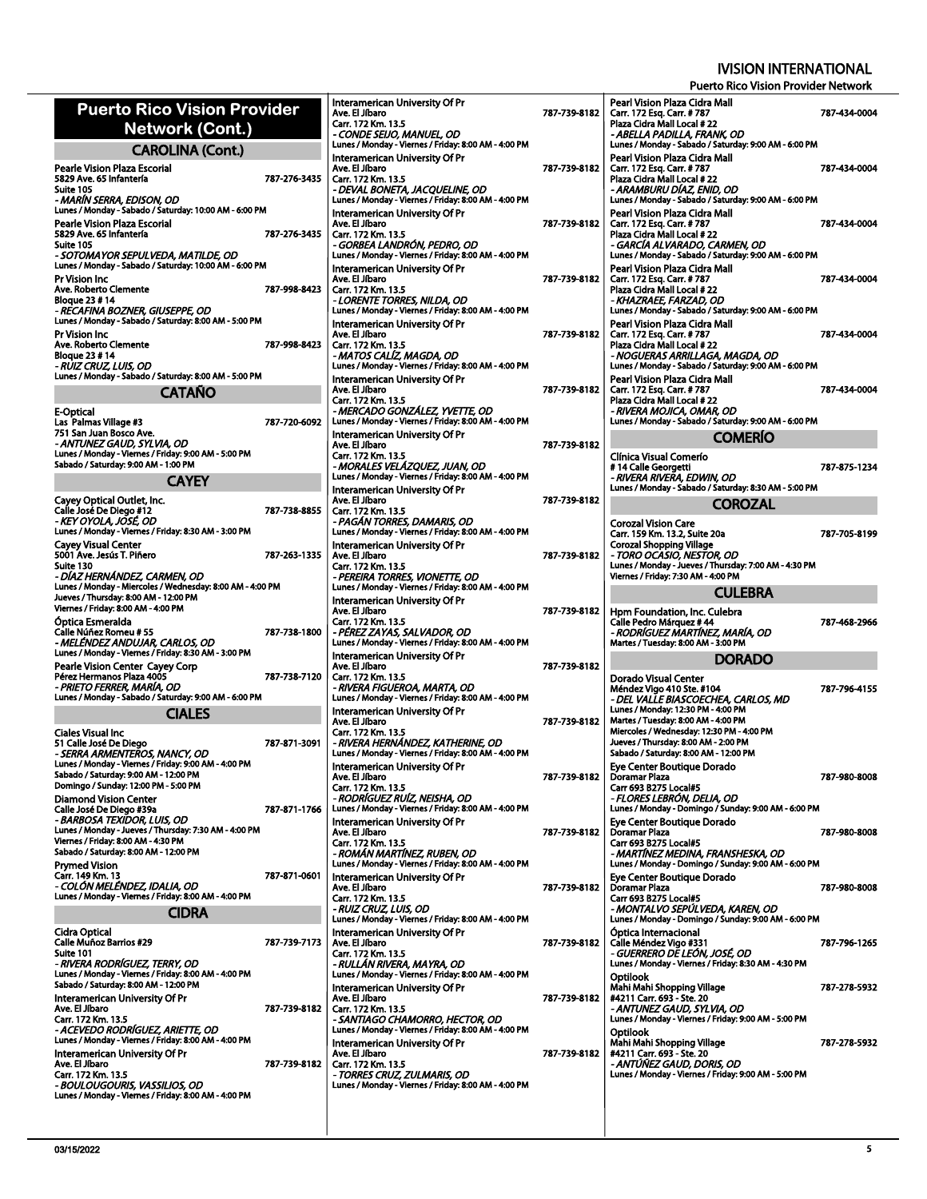| <b>Puerto Rico Vision Provider</b>                                                            |              |                                                                                                              |              |                                                                                                                     |              |
|-----------------------------------------------------------------------------------------------|--------------|--------------------------------------------------------------------------------------------------------------|--------------|---------------------------------------------------------------------------------------------------------------------|--------------|
| Network (Cont.)                                                                               |              | Interamerican University Of Pr<br>Ave. El Jíbaro<br>Carr. 172 Km. 13.5                                       | 787-739-8182 | Pearl Vision Plaza Cidra Mall<br>Carr. 172 Esq. Carr. #787<br>Plaza Cidra Mall Local #22                            | 787-434-0004 |
|                                                                                               |              | - CONDE SEIJO, MANUEL, OD                                                                                    |              | - ABELLA PADILLA, FRANK, OD                                                                                         |              |
| <b>CAROLINA (Cont.)</b><br>Pearle Vision Plaza Escorial                                       |              | Lunes / Monday - Viernes / Friday: 8:00 AM - 4:00 PM<br>Interamerican University Of Pr<br>Ave. El Jíbaro     | 787-739-8182 | Lunes / Monday - Sabado / Saturday: 9:00 AM - 6:00 PM<br>Pearl Vision Plaza Cidra Mall<br>Carr. 172 Esq. Carr. #787 | 787-434-0004 |
| 5829 Ave. 65 Infantería<br>Suite 105<br>- MARÍN SERRA, EDISON, OD                             | 787-276-3435 | Carr. 172 Km. 13.5<br>- DEVAL BONETA, JACQUELINE, OD<br>Lunes / Monday - Viernes / Friday: 8:00 AM - 4:00 PM |              | Plaza Cidra Mall Local #22<br>- ARAMBURU DÍAZ, ENID, OD<br>Lunes / Monday - Sabado / Saturday: 9:00 AM - 6:00 PM    |              |
| Lunes / Monday - Sabado / Saturday: 10:00 AM - 6:00 PM                                        |              | Interamerican University Of Pr                                                                               |              | Pearl Vision Plaza Cidra Mall                                                                                       |              |
| Pearle Vision Plaza Escorial<br>5829 Ave. 65 Infanteria<br>Suite 105                          | 787-276-3435 | Ave. El Jíbaro<br>Carr. 172 Km. 13.5<br>- GORBEA LANDRÓN, PEDRO, OD                                          | 787-739-8182 | Carr. 172 Esq. Carr. #787<br>Plaza Cidra Mall Local #22<br>- GARCÍA ALVARADO. CARMEN. OD                            | 787-434-0004 |
| - SOTOMAYOR SEPULVEDA, MATILDE, OD<br>Lunes / Monday - Sabado / Saturday: 10:00 AM - 6:00 PM  |              | Lunes / Monday - Viernes / Friday: 8:00 AM - 4:00 PM<br>Interamerican University Of Pr                       |              | Lunes / Monday - Sabado / Saturday: 9:00 AM - 6:00 PM<br>Pearl Vision Plaza Cidra Mall                              |              |
| Pr Vision Inc                                                                                 |              | Ave. El Jíbaro                                                                                               | 787-739-8182 | Carr. 172 Esq. Carr. #787                                                                                           | 787-434-0004 |
| Ave. Roberto Clemente<br><b>Bloque 23 #14</b>                                                 | 787-998-8423 | Carr. 172 Km. 13.5<br>- LORENTE TORRES, NILDA, OD                                                            |              | Plaza Cidra Mall Local #22<br>- KHAZRAEE, FARZAD, OD                                                                |              |
| - RECAFINA BOZNER, GIUSEPPE, OD<br>Lunes / Monday - Sabado / Saturday: 8:00 AM - 5:00 PM      |              | Lunes / Monday - Viernes / Friday: 8:00 AM - 4:00 PM<br>Interamerican University Of Pr                       |              | Lunes / Monday - Sabado / Saturday: 9:00 AM - 6:00 PM<br>Pearl Vision Plaza Cidra Mall                              |              |
| Pr Vision Inc                                                                                 |              | Ave. El Jíbaro                                                                                               | 787-739-8182 | Carr. 172 Esq. Carr. #787                                                                                           | 787-434-0004 |
| Ave. Roberto Clemente<br><b>Bloque 23 # 14</b>                                                | 787-998-8423 | Carr. 172 Km. 13.5<br>- MATOS CALÍZ, MAGDA, OD                                                               |              | Plaza Cidra Mall Local #22<br>- NOGUERAS ARRILLAGA, MAGDA, OD                                                       |              |
| - RUIZ CRUZ, LUIS, OD<br>Lunes / Monday - Sabado / Saturday: 8:00 AM - 5:00 PM                |              | Lunes / Monday - Viernes / Friday: 8:00 AM - 4:00 PM<br>Interamerican University Of Pr                       |              | Lunes / Monday - Sabado / Saturday: 9:00 AM - 6:00 PM<br>Pearl Vision Plaza Cidra Mall                              |              |
| <b>CATAÑO</b>                                                                                 |              | Ave. El Jíbaro                                                                                               | 787-739-8182 | Carr. 172 Esq. Carr. #787                                                                                           | 787-434-0004 |
| E-Optical                                                                                     |              | Carr. 172 Km. 13.5<br>- MERCADO GONZÁLEZ, YVETTE, OD                                                         |              | Plaza Cidra Mall Local #22<br>- RIVERA MOJICA, OMAR, OD                                                             |              |
| Las Palmas Village #3<br>751 San Juan Bosco Ave.                                              | 787-720-6092 | Lunes / Monday - Viernes / Friday: 8:00 AM - 4:00 PM<br>Interamerican University Of Pr                       |              | Lunes / Monday - Sabado / Saturday: 9:00 AM - 6:00 PM                                                               |              |
| - ANTUNEZ GAUD, SYLVIA, OD<br>Lunes / Monday - Viernes / Friday: 9:00 AM - 5:00 PM            |              | Ave. El Jíbaro                                                                                               | 787-739-8182 | <b>COMERIO</b>                                                                                                      |              |
| Sabado / Saturday: 9:00 AM - 1:00 PM                                                          |              | Carr. 172 Km. 13.5<br>- MORALES VELÁZQUEZ, JUAN, OD                                                          |              | Clínica Visual Comerío<br>#14 Calle Georgetti                                                                       | 787-875-1234 |
| <b>CAYEY</b>                                                                                  |              | Lunes / Monday - Viernes / Friday: 8:00 AM - 4:00 PM<br>Interamerican University Of Pr                       |              | - RIVERA RIVERA, EDWIN, OD<br>Lunes / Monday - Sabado / Saturday: 8:30 AM - 5:00 PM                                 |              |
| Cayey Optical Outlet, Inc.<br>Calle José De Diego #12                                         | 787-738-8855 | Ave. El Jíbaro<br>Carr. 172 Km. 13.5                                                                         | 787-739-8182 | <b>COROZAL</b>                                                                                                      |              |
| - KEY OYOLA, JOSÉ, OD                                                                         |              | - PAGÁN TORRES, DAMARIS, OD                                                                                  |              | <b>Corozal Vision Care</b>                                                                                          |              |
| Lunes / Monday - Viernes / Friday: 8:30 AM - 3:00 PM<br><b>Cayey Visual Center</b>            |              | Lunes / Monday - Viernes / Friday: 8:00 AM - 4:00 PM<br>Interamerican University Of Pr                       |              | Carr. 159 Km. 13.2, Suite 20a<br><b>Corozal Shopping Village</b>                                                    | 787-705-8199 |
| 5001 Ave. Jesús T. Piñero<br>Suite 130                                                        | 787-263-1335 | Ave. El Jíbaro<br>Carr. 172 Km. 13.5                                                                         | 787-739-8182 | - TORO OCASIO, NESTOR, OD<br>Lunes / Monday - Jueves / Thursday: 7:00 AM - 4:30 PM                                  |              |
| - DÍAZ HERNÁNDEZ, CARMEN, OD<br>Lunes / Monday - Miercoles / Wednesday: 8:00 AM - 4:00 PM     |              | - PEREIRA TORRES, VIONETTE, OD<br>Lunes / Monday - Viernes / Friday: 8:00 AM - 4:00 PM                       |              | Viernes / Friday: 7:30 AM - 4:00 PM                                                                                 |              |
| Jueves / Thursday: 8:00 AM - 12:00 PM                                                         |              | Interamerican University Of Pr                                                                               |              | <b>CULEBRA</b>                                                                                                      |              |
| Viernes / Friday: 8:00 AM - 4:00 PM<br>Optica Esmeralda                                       |              | Ave. El Jíbaro<br>Carr. 172 Km. 13.5                                                                         | 787-739-8182 | Hpm Foundation, Inc. Culebra<br>Calle Pedro Márquez # 44                                                            | 787-468-2966 |
| Calle Núñez Romeu # 55<br>- MELÉNDEZ ANDUJAR, CARLOS, OD                                      | 787-738-1800 | - PÉREZ ZAYAS, SALVADOR, OD<br>Lunes / Monday - Viernes / Friday: 8:00 AM - 4:00 PM                          |              | - RODRÍGUEZ MARTÍNEZ, MARÍA, OD<br>Martes / Tuesday: 8:00 AM - 3:00 PM                                              |              |
| Lunes / Monday - Viernes / Friday: 8:30 AM - 3:00 PM<br>Pearle Vision Center Cayey Corp       |              | Interamerican University Of Pr<br>Ave. El Jíbaro                                                             | 787-739-8182 | <b>DORADO</b>                                                                                                       |              |
| Pérez Hermanos Plaza 4005<br>- PRIETO FERRER, MARÍA, OD                                       | 787-738-7120 | Carr. 172 Km. 13.5<br>- RIVERA FIGUEROA, MARTA, OD                                                           |              | Dorado Visual Center<br>Méndez Vigo 410 Ste. #104                                                                   | 787-796-4155 |
| Lunes / Monday - Sabado / Saturday: 9:00 AM - 6:00 PM                                         |              | Lunes / Monday - Viernes / Friday: 8:00 AM - 4:00 PM                                                         |              |                                                                                                                     |              |
|                                                                                               |              |                                                                                                              |              | - DEL VALLE BIASCOECHEA, CARLOS, MD                                                                                 |              |
| <b>CIALES</b>                                                                                 |              | Interamerican University Of Pr<br>Ave. El Jíbaro                                                             | 787-739-8182 | Lunes / Monday: 12:30 PM - 4:00 PM<br>Martes / Tuesday: 8:00 AM - 4:00 PM                                           |              |
| Ciales Visual Inc<br>51 Calle José De Diego                                                   | 787-871-3091 | Carr. 172 Km. 13.5<br>- RIVERA HERNÁNDEZ, KATHERINE, OD                                                      |              | Miercoles / Wednesday: 12:30 PM - 4:00 PM<br>Jueves / Thursday: 8:00 AM - 2:00 PM                                   |              |
| - SERRA ARMENTEROS, NANCY, OD<br>Lunes / Monday - Viernes / Friday: 9:00 AM - 4:00 PM         |              | Lunes / Monday - Viernes / Friday: 8:00 AM - 4:00 PM<br>Interamerican University Of Pr                       |              | Sabado / Saturday: 8:00 AM - 12:00 PM                                                                               |              |
| Sabado / Saturday: 9:00 AM - 12:00 PM<br>Domingo / Sunday: 12:00 PM - 5:00 PM                 |              | Ave. El Jíbaro<br>Carr. 172 Km. 13.5                                                                         | 787-739-8182 | Eye Center Boutique Dorado<br>Doramar Plaza<br>Carr 693 B275 Local#5                                                | 787-980-8008 |
| <b>Diamond Vision Center</b>                                                                  |              | - RODRÍGUEZ RUÍZ, NEISHA, OD                                                                                 |              | - FLORES LEBRÓN, DELIA, OD                                                                                          |              |
| Calle José De Diego #39a<br>- BARBOSA TEXIDOR, LUIS, OD                                       | 787-871-1766 | Lunes / Monday - Viernes / Friday: 8:00 AM - 4:00 PM<br>Interamerican University Of Pr                       |              | Lunes / Monday - Domingo / Sunday: 9:00 AM - 6:00 PM<br>Eve Center Boutique Dorado                                  |              |
| Lunes / Monday - Jueves / Thursday: 7:30 AM - 4:00 PM<br>Viernes / Friday: 8:00 AM - 4:30 PM  |              | Ave. El Jíbaro<br>Carr. 172 Km. 13.5                                                                         | 787-739-8182 | Doramar Plaza<br>Carr 693 B275 Local#5                                                                              | 787-980-8008 |
| Sabado / Saturday: 8:00 AM - 12:00 PM<br>Prymed Vision                                        |              | - ROMÁN MARTÍNEZ, RUBEN, OD<br>Lunes / Monday - Viernes / Friday: 8:00 AM - 4:00 PM                          |              | - MARTÍNEZ MEDINA, FRANSHESKA, OD<br>Lunes / Monday - Domingo / Sunday: 9:00 AM - 6:00 PM                           |              |
| Carr. 149 Km. 13                                                                              | 787-871-0601 | Interamerican University Of Pr                                                                               |              | Eye Center Boutique Dorado                                                                                          |              |
| - COLÓN MELÉNDEZ, IDALIA, OD<br>Lunes / Monday - Viernes / Friday: 8:00 AM - 4:00 PM          |              | Ave. El Jíbaro<br>Carr. 172 Km. 13.5                                                                         | 787-739-8182 | Doramar Plaza<br>Carr 693 B275 Local#5                                                                              | 787-980-8008 |
| <b>CIDRA</b>                                                                                  |              | - RUIZ CRUZ, LUIS, OD<br>Lunes / Monday - Viernes / Friday: 8:00 AM - 4:00 PM                                |              | - MONTALVO SEPÜLVEDA, KAREN, OD<br>Lunes / Monday - Domingo / Sunday: 9:00 AM - 6:00 PM                             |              |
| Cidra Optical<br><b>Calle Muñoz Barrios #29</b>                                               | 787-739-7173 | Interamerican University Of Pr<br>Ave. El Jíbaro                                                             | 787-739-8182 | Óptica Internacional<br>Calle Méndez Vigo #331                                                                      | 787-796-1265 |
| Suite 101<br>- RIVERA RODRÍGUEZ, TERRY, OD                                                    |              | Carr. 172 Km. 13.5<br>- RULLÁN RIVERA, MAYRA, OD                                                             |              | - GUERRERO DE LEÓN, JOSÉ, OD<br>Lunes / Monday - Viernes / Friday: 8:30 AM - 4:30 PM                                |              |
| Lunes / Monday - Viernes / Friday: 8:00 AM - 4:00 PM<br>Sabado / Saturday: 8:00 AM - 12:00 PM |              | Lunes / Monday - Viernes / Friday: 8:00 AM - 4:00 PM                                                         |              | Optilook                                                                                                            |              |
| Interamerican University Of Pr                                                                |              | Interamerican University Of Pr<br>Ave. El Jíbaro                                                             | 787-739-8182 | Mahi Mahi Shopping Village<br>#4211 Carr. 693 - Ste. 20                                                             | 787 278 5932 |
| Ave. El Jíbaro<br>Carr. 172 Km. 13.5                                                          | 787-739-8182 | Carr. 172 Km. 13.5<br>- SANTIAGO CHAMORRO, HECTOR, OD                                                        |              | - ANTUNEZ GAUD, SYLVIA, OD<br>Lunes / Monday - Viernes / Friday: 9:00 AM - 5:00 PM                                  |              |
| - ACEVEDO RODRÍGUEZ, ARIETTE, OD<br>Lunes / Monday - Viernes / Friday: 8:00 AM - 4:00 PM      |              | Lunes / Monday - Viernes / Friday: 8:00 AM - 4:00 PM                                                         |              | <b>Optilook</b>                                                                                                     | 787-278-5932 |
| Interamerican University Of Pr                                                                |              | Interamerican University Of Pr<br>Ave. El Jíbaro                                                             | 787-739-8182 | Mahi Mahi Shopping Village<br>#4211 Carr. 693 - Ste. 20                                                             |              |
| Ave. El Jíbaro<br>Carr. 172 Km. 13.5                                                          | 787-739-8182 | Carr. 172 Km. 13.5<br>- TORRES CRUZ, ZULMARIS, OD                                                            |              | - ANTÚÑEZ GAUD, DORIS, OD<br>Lunes / Monday - Viernes / Friday: 9:00 AM - 5:00 PM                                   |              |
| - BOULOUGOURIS, VASSILIOS, OD<br>Lunes / Monday - Viernes / Friday: 8:00 AM - 4:00 PM         |              | Lunes / Monday - Viernes / Friday: 8:00 AM - 4:00 PM                                                         |              |                                                                                                                     |              |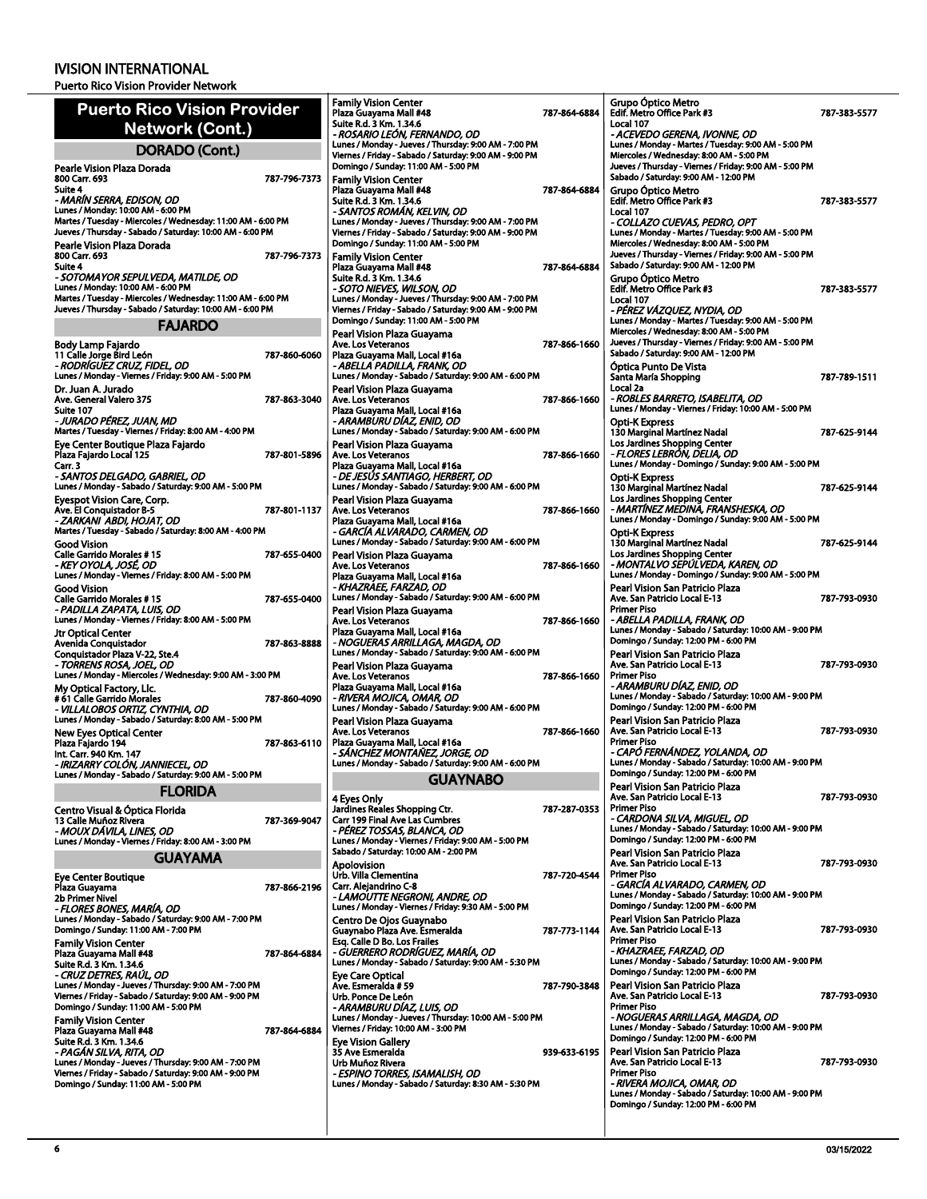| <b>Puerto Rico Vision Provider</b><br>Network (Cont.)                                                                     |              | <b>Family Vision Center</b><br>Plaza Guayama Mall #48<br>Suite R.d. 3 Km. 1.34.6<br>- ROSARIO LEÓN, FERNANDO, OD | 787-864-6884 | Grupo Óptico Metro<br>Edif. Metro Office Park #3<br>Local 107<br>- ACEVEDO GERENA, IVONNE, OD    | 787-383-5577 |
|---------------------------------------------------------------------------------------------------------------------------|--------------|------------------------------------------------------------------------------------------------------------------|--------------|--------------------------------------------------------------------------------------------------|--------------|
| <b>DORADO (Cont.)</b>                                                                                                     |              | Lunes / Monday - Jueves / Thursday: 9:00 AM - 7:00 PM<br>Viernes / Friday - Sabado / Saturday: 9:00 AM - 9:00 PM |              | Lunes / Monday - Martes / Tuesday: 9:00 AM - 5:00 PM<br>Miercoles / Wednesday: 8:00 AM - 5:00 PM |              |
| Pearle Vision Plaza Dorada<br>800 Carr. 693                                                                               | 787-796-7373 | Domingo / Sunday: 11:00 AM - 5:00 PM<br><b>Family Vision Center</b>                                              |              | Jueves / Thursday - Viernes / Friday: 9:00 AM - 5:00 PM<br>Sabado / Saturday: 9:00 AM - 12:00 PM |              |
| Suite 4<br>- MARÍN SERRA, EDISON, OD                                                                                      |              | Plaza Guayama Mall #48<br>Suite R.d. 3 Km. 1.34.6                                                                | 787-864-6884 | Grupo Óptico Metro<br>Edif. Metro Office Park #3                                                 | 787-383-5577 |
| Lunes / Monday: 10:00 AM - 6:00 PM                                                                                        |              | - SANTOS ROMAN, KELVIN, OD                                                                                       |              | Local 107                                                                                        |              |
| Martes / Tuesday - Miercoles / Wednesday: 11:00 AM - 6:00 PM<br>Jueves / Thursday - Sabado / Saturday: 10:00 AM - 6:00 PM |              | Lunes / Monday - Jueves / Thursday: 9:00 AM - 7:00 PM<br>Viernes / Friday - Sabado / Saturday: 9:00 AM - 9:00 PM |              | - COLLAZO CUEVAS, PEDRO, OPT<br>Lunes / Monday - Martes / Tuesday: 9:00 AM - 5:00 PM             |              |
| Pearle Vision Plaza Dorada                                                                                                |              | Domingo / Sunday: 11:00 AM - 5:00 PM                                                                             |              | Miercoles / Wednesday: 8:00 AM - 5:00 PM                                                         |              |
| 800 Carr. 693<br>Suite 4                                                                                                  | 787-796-7373 | <b>Family Vision Center</b><br>Plaza Guayama Mall #48                                                            | 787-864-6884 | Jueves / Thursday - Viernes / Friday: 9:00 AM - 5:00 PM<br>Sabado / Saturday: 9:00 AM - 12:00 PM |              |
| - SOTOMAYOR SEPULVEDA, MATILDE, OD<br>Lunes / Monday: 10:00 AM - 6:00 PM                                                  |              | Suite R.d. 3 Km. 1.34.6                                                                                          |              | Grupo Óptico Metro                                                                               |              |
| Martes / Tuesday - Miercoles / Wednesday: 11:00 AM - 6:00 PM                                                              |              | - SOTO NIEVES, WILSON, OD<br>Lunes / Monday - Jueves / Thursday: 9:00 AM - 7:00 PM                               |              | Edif. Metro Office Park #3<br>Local 107                                                          | 787-383-5577 |
| Jueves / Thursday - Sabado / Saturday: 10:00 AM - 6:00 PM                                                                 |              | Viernes / Friday - Sabado / Saturday: 9:00 AM - 9:00 PM<br>Domingo / Sunday: 11:00 AM - 5:00 PM                  |              | - PÉREZ VÁZQUEZ, NYDIA, OD<br>Lunes / Monday - Martes / Tuesday: 9:00 AM - 5:00 PM               |              |
| <b>FAJARDO</b>                                                                                                            |              | Pearl Vision Plaza Guayama                                                                                       |              | Miercoles / Wednesday: 8:00 AM - 5:00 PM                                                         |              |
| Body Lamp Fajardo<br>11 Calle Jorge Bird León                                                                             | 787-860-6060 | Ave. Los Veteranos<br>Plaza Guayama Mall, Local #16a                                                             | 787-866-1660 | Jueves / Thursday - Viernes / Friday: 9:00 AM - 5:00 PM<br>Sabado / Saturday: 9:00 AM - 12:00 PM |              |
| - RODRÍGUEZ CRUZ, FIDEL, OD<br>Lunes / Monday - Viernes / Friday: 9:00 AM - 5:00 PM                                       |              | - ABELLA PADILLA, FRANK, OD<br>Lunes / Monday - Sabado / Saturday: 9:00 AM - 6:00 PM                             |              | Optica Punto De Vista<br>Santa María Shopping                                                    | 787-789-1511 |
| Dr. Juan A. Jurado                                                                                                        |              | Pearl Vision Plaza Guayama                                                                                       |              | Local 2a                                                                                         |              |
| Ave. General Valero 375<br>Suite 107                                                                                      | 787-863-3040 | Ave. Los Veteranos<br>Plaza Guayama Mall, Local #16a                                                             | 787-866-1660 | - ROBLES BARRETO, ISABELITA, OD<br>Lunes / Monday - Viernes / Friday: 10:00 AM - 5:00 PM         |              |
| - JURADO PÉREZ, JUAN, MD                                                                                                  |              | - ARAMBURU DÍAZ, ENID, OD                                                                                        |              | Opti-K Express                                                                                   |              |
| Martes / Tuesday - Viernes / Friday: 8:00 AM - 4:00 PM<br>Eye Center Boutique Plaza Fajardo                               |              | Lunes / Monday - Sabado / Saturday: 9:00 AM - 6:00 PM<br>Pearl Vision Plaza Guayama                              |              | 130 Marginal Martínez Nadal<br>Los Jardines Shopping Center                                      | 787-625-9144 |
| Plaza Fajardo Local 125                                                                                                   | 787-801-5896 | Ave. Los Veteranos                                                                                               | 787-866-1660 | - FLORES LEBRÓN, DELIA, OD<br>Lunes / Monday - Domingo / Sunday: 9:00 AM - 5:00 PM               |              |
| Carr. 3<br>- SANTOS DELGADO, GABRIEL, OD                                                                                  |              | Plaza Guayama Mall, Local #16a<br>- DE JESÚS SANTIAGO, HERBERT, OD                                               |              | <b>Opti-K Express</b>                                                                            |              |
| Lunes / Monday - Sabado / Saturday: 9:00 AM - 5:00 PM                                                                     |              | Lunes / Monday - Sabado / Saturday: 9:00 AM - 6:00 PM                                                            |              | <b>130 Marginal Martinez Nadal</b><br>Los Jardines Shopping Center                               | 787-625-9144 |
| <b>Eyespot Vision Care, Corp.</b><br>Ave. El Conquistador B-5                                                             | 787-801-1137 | Pearl Vision Plaza Guayama<br>Ave. Los Veteranos                                                                 | 787-866-1660 | - MARTÍNEZ MEDINA, FRANSHESKA, OD                                                                |              |
| - ZARKANI ABDI, HOJAT, OD<br>Martes / Tuesday - Sabado / Saturday: 8:00 AM - 4:00 PM                                      |              | Plaza Guayama Mall, Local #16a<br>- GARCÍA ALVARADO, CARMEN, OD                                                  |              | Lunes / Monday - Domingo / Sunday: 9:00 AM - 5:00 PM<br><b>Opti-K Express</b>                    |              |
| <b>Good Vision</b>                                                                                                        |              | Lunes / Monday - Sabado / Saturday: 9:00 AM - 6:00 PM                                                            |              | 130 Marginal Martínez Nadal                                                                      | 787-625-9144 |
| Calle Garrido Morales #15<br>- KEY OYOLA, JOSÉ, OD                                                                        | 787-655-0400 | Pearl Vision Plaza Guayama<br>Ave. Los Veteranos                                                                 | 787-866-1660 | Los Jardines Shopping Center<br>- MONTALVO SEPÚLVEDA, KAREN, OD                                  |              |
| Lunes / Monday - Viernes / Friday: 8:00 AM - 5:00 PM                                                                      |              | Plaza Guayama Mall, Local #16a                                                                                   |              | Lunes / Monday - Domingo / Sunday: 9:00 AM - 5:00 PM                                             |              |
| <b>Good Vision</b><br>Calle Garrido Morales #15                                                                           | 787-655-0400 | - KHAZRAEE, FARZAD, OD<br>Lunes / Monday - Sabado / Saturday: 9:00 AM - 6:00 PM                                  |              | Pearl Vision San Patricio Plaza<br>Ave. San Patricio Local E-13                                  | 787-793-0930 |
| - PADILLA ZAPATA, LUIS, OD<br>Lunes / Monday - Viernes / Friday: 8:00 AM - 5:00 PM                                        |              | Pearl Vision Plaza Guayama                                                                                       |              | <b>Primer Piso</b>                                                                               |              |
| <b>Jtr Optical Center</b>                                                                                                 |              | Ave. Los Veteranos<br>Plaza Guayama Mall, Local #16a                                                             | 787-866-1660 | - ABELLA PADILLA, FRANK, OD<br>Lunes / Monday - Sabado / Saturday: 10:00 AM - 9:00 PM            |              |
| Avenida Conquistador<br>Conquistador Plaza V-22, Ste.4                                                                    | 787-863-8888 | - NOGUERAS ARRILLAGA, MAGDA, OD<br>Lunes / Monday - Sabado / Saturday: 9:00 AM - 6:00 PM                         |              | Domingo / Sunday: 12:00 PM - 6:00 PM<br>Pearl Vision San Patricio Plaza                          |              |
| - TORRENS ROSA, JOEL, OD                                                                                                  |              | Pearl Vision Plaza Guayama                                                                                       |              | Ave. San Patricio Local E-13                                                                     | 787-793-0930 |
| Lunes / Monday - Miercoles / Wednesday: 9:00 AM - 3:00 PM<br>My Optical Factory, Llc.                                     |              | Ave. Los Veteranos<br>Plaza Guayama Mall, Local #16a                                                             | 787 866 1660 | <b>Primer Piso</b><br>- ARAMBURU DÍAZ, ENID, OD                                                  |              |
| # 61 Calle Garrido Morales<br>- VILLALOBOS ORTIZ, CYNTHIA, OD                                                             | 787-860-4090 | - RIVERA MOJICA, OMAR, OD<br>Lunes / Monday - Sabado / Saturday: 9:00 AM - 6:00 PM                               |              | Lunes / Monday - Sabado / Saturday: 10:00 AM - 9:00 PM<br>Domingo / Sunday: 12:00 PM - 6:00 PM   |              |
| Lunes / Monday - Sabado / Saturday: 8:00 AM - 5:00 PM                                                                     |              | Pearl Vision Plaza Guayama                                                                                       |              | Pearl Vision San Patricio Plaza                                                                  |              |
| <b>New Eves Optical Center</b><br>Plaza Fajardo 194                                                                       | 787-863-6110 | Ave. Los Veteranos<br>Plaza Guayama Mall, Local #16a                                                             | 787-866-1660 | Ave. San Patricio Local E-13<br><b>Primer Piso</b>                                               | 787-793-0930 |
| Int. Carr. 940 Km. 147                                                                                                    |              | - SÁNCHEZ MONTAÑEZ, JORGE, OD<br>Lunes / Monday - Sabado / Saturday: 9:00 AM - 6:00 PM                           |              | - CAPÓ FERNÁNDEZ, YOLANDA, OD<br>Lunes / Monday - Sabado / Saturday: 10:00 AM - 9:00 PM          |              |
| - IRIZARRY COLÓN, JANNIECEL, OD<br>Lunes / Monday - Sabado / Saturday: 9:00 AM - 5:00 PM                                  |              |                                                                                                                  |              | Domingo / Sunday: 12:00 PM - 6:00 PM                                                             |              |
| <b>FLORIDA</b>                                                                                                            |              | <b>GUAYNABO</b>                                                                                                  |              | Pearl Vision San Patricio Plaza<br>Ave. San Patricio Local E-13                                  | 787-793-0930 |
| Centro Visual & Óptica Florida                                                                                            |              | 4 Eyes Only<br>Jardines Reales Shopping Ctr.                                                                     | 787-287-0353 | <b>Primer Piso</b>                                                                               |              |
| 13 Calle Muñoz Rivera<br>- MOUX DÁVILA, LINES, OD                                                                         | 787-369-9047 | Carr 199 Final Ave Las Cumbres<br>- PÉREZ TOSSAS, BLANCA, OD                                                     |              | - CARDONA SILVA, MIGUEL, OD<br>Lunes / Monday - Sabado / Saturday: 10:00 AM - 9:00 PM            |              |
| Lunes / Monday - Viernes / Friday: 8:00 AM - 3:00 PM                                                                      |              | Lunes / Monday - Viernes / Friday: 9:00 AM - 5:00 PM<br>Sabado / Saturday: 10:00 AM - 2:00 PM                    |              | Domingo / Sunday: 12:00 PM - 6:00 PM                                                             |              |
| <b>GUAYAMA</b>                                                                                                            |              | Apolovision                                                                                                      |              | Pearl Vision San Patricio Plaza<br>Ave. San Patricio Local E-13                                  | 787-793-0930 |
| <b>Eye Center Boutique</b><br>Plaza Guayama                                                                               | 787-866 2196 | Urb. Villa Clementina<br>Carr. Alejandrino C-8                                                                   | 787-720-4544 | <b>Primer Piso</b><br>- GARCÍA ALVARADO, CARMEN, OD                                              |              |
| 2b Primer Nivel                                                                                                           |              |                                                                                                                  |              | Lunes / Monday - Sabado / Saturday: 10:00 AM - 9:00 PM                                           |              |
| - FLORES BONES, MARÍA, OD<br>Lunes / Monday - Sabado / Saturday: 9:00 AM - 7:00 PM                                        |              | - LAMOUTTE NEGRONI, ANDRE, OD                                                                                    |              |                                                                                                  |              |
|                                                                                                                           |              | Lunes / Monday - Viernes / Friday: 9:30 AM - 5:00 PM                                                             |              | Domingo / Sunday: 12:00 PM - 6:00 PM<br>Pearl Vision San Patricio Plaza                          |              |
| Domingo / Sunday: 11:00 AM - 7:00 PM                                                                                      |              | Centro De Ojos Guaynabo<br>Guaynabo Plaza Ave. Esmeralda                                                         | 787-773-1144 | Ave. San Patricio Local E-13                                                                     | 787 793 0930 |
| <b>Family Vision Center</b><br>Plaza Guayama Mall #48                                                                     | 787-864-6884 | Esq. Calle D Bo. Los Frailes<br>- GUERRERO RODRÍGUEZ, MARÍA, OD                                                  |              | <b>Primer Piso</b><br>- KHAZRAEE, FARZAD, OD                                                     |              |
| Suite R.d. 3 Km. 1.34.6                                                                                                   |              | Lunes / Monday - Sabado / Saturday: 9:00 AM - 5:30 PM                                                            |              | Lunes / Monday - Sabado / Saturday: 10:00 AM - 9:00 PM<br>Domingo / Sunday: 12:00 PM - 6:00 PM   |              |
| - CRUZ DETRES, RAUL, OD<br>Lunes / Monday - Jueves / Thursday: 9:00 AM - 7:00 PM                                          |              | <b>Eye Care Optical</b><br>Ave. Esmeralda # 59                                                                   | 787-790-3848 | Pearl Vision San Patricio Plaza                                                                  |              |
| Viernes / Friday - Sabado / Saturday: 9:00 AM - 9:00 PM<br>Domingo / Sunday: 11:00 AM - 5:00 PM                           |              | Urb. Ponce De León<br>- ARAMBURU DÍAZ, LUIS, OD                                                                  |              | Ave. San Patricio Local E-13<br><b>Primer Piso</b>                                               | 787-793-0930 |
| <b>Family Vision Center</b>                                                                                               |              | Lunes / Monday - Jueves / Thursday: 10:00 AM - 5:00 PM                                                           |              | - NOGUERAS ARRILLAGA, MAGDA, OD<br>Lunes / Monday - Sabado / Saturday: 10:00 AM - 9:00 PM        |              |
| Plaza Guayama Mall #48<br>Suite R.d. 3 Km. 1.34.6                                                                         | 787-864-6884 | Viernes / Friday: 10:00 AM - 3:00 PM<br><b>Eye Vision Gallery</b>                                                |              | Domingo / Sunday: 12:00 PM - 6:00 PM                                                             |              |
| - PAGÁN SILVA, RITA, OD<br>Lunes / Monday - Jueves / Thursday: 9:00 AM - 7:00 PM                                          |              | 35 Ave Esmeralda<br>Urb Muñoz Rivera                                                                             | 939-633-6195 | Pearl Vision San Patricio Plaza<br>Ave. San Patricio Local E-13                                  | 787-793-0930 |
| Viernes / Friday - Sabado / Saturday: 9:00 AM - 9:00 PM                                                                   |              | - ESPINO TORRES, ISAMALISH, OD                                                                                   |              | <b>Primer Piso</b>                                                                               |              |
| Domingo / Sunday: 11:00 AM - 5:00 PM                                                                                      |              | Lunes / Monday - Sabado / Saturday: 8:30 AM - 5:30 PM                                                            |              | - RIVERA MOJICA, OMAR, OD<br>Lunes / Monday - Sabado / Saturday: 10:00 AM - 9:00 PM              |              |
|                                                                                                                           |              |                                                                                                                  |              | Domingo / Sunday: 12:00 PM - 6:00 PM                                                             |              |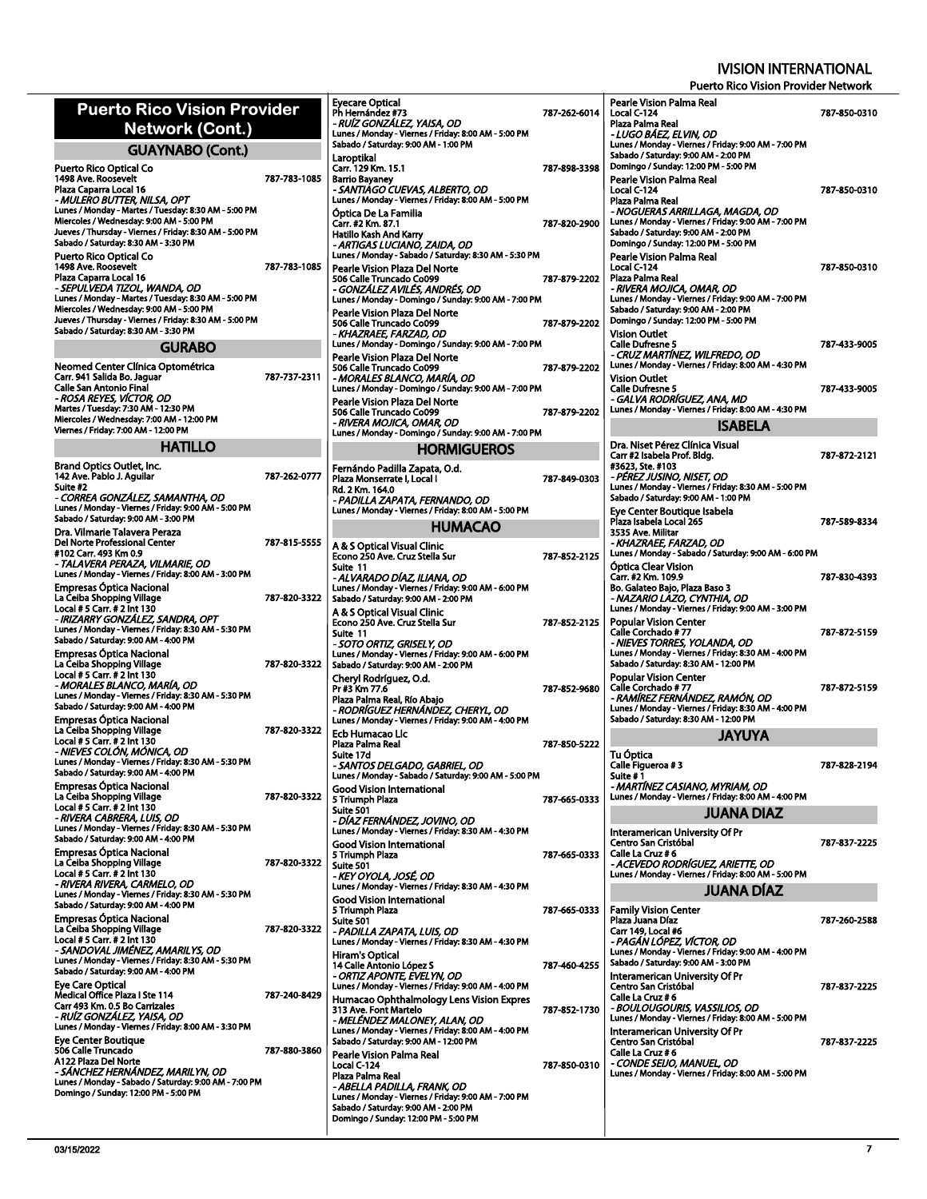| Network (Cont.)                                    | Eyecare Optical<br>Ph Hernández #73<br>- RUÍZ GONZÁLEZ, YAISA<br>Lunes / Monday - Viernes / F                                                                                                                                                                                                                                                                                                                                                                                                                                                                                                                                                                                                                                                                                                                                                                                                                                                                                                                                                                                                                                                                                                                                                                                                                                                                                                                                                                                                                                                                                                                                                                                                                                                                                                                                                                                                                                                                                                                                                                                                                                                                                                                                                                                                                                                                                                                                                                                                                                                                                                                                                                                                                                                                                    |                                                                                                                                                                                                                                                    |
|----------------------------------------------------|----------------------------------------------------------------------------------------------------------------------------------------------------------------------------------------------------------------------------------------------------------------------------------------------------------------------------------------------------------------------------------------------------------------------------------------------------------------------------------------------------------------------------------------------------------------------------------------------------------------------------------------------------------------------------------------------------------------------------------------------------------------------------------------------------------------------------------------------------------------------------------------------------------------------------------------------------------------------------------------------------------------------------------------------------------------------------------------------------------------------------------------------------------------------------------------------------------------------------------------------------------------------------------------------------------------------------------------------------------------------------------------------------------------------------------------------------------------------------------------------------------------------------------------------------------------------------------------------------------------------------------------------------------------------------------------------------------------------------------------------------------------------------------------------------------------------------------------------------------------------------------------------------------------------------------------------------------------------------------------------------------------------------------------------------------------------------------------------------------------------------------------------------------------------------------------------------------------------------------------------------------------------------------------------------------------------------------------------------------------------------------------------------------------------------------------------------------------------------------------------------------------------------------------------------------------------------------------------------------------------------------------------------------------------------------------------------------------------------------------------------------------------------------|----------------------------------------------------------------------------------------------------------------------------------------------------------------------------------------------------------------------------------------------------|
| <b>GUAYNABO (Cont.)</b>                            |                                                                                                                                                                                                                                                                                                                                                                                                                                                                                                                                                                                                                                                                                                                                                                                                                                                                                                                                                                                                                                                                                                                                                                                                                                                                                                                                                                                                                                                                                                                                                                                                                                                                                                                                                                                                                                                                                                                                                                                                                                                                                                                                                                                                                                                                                                                                                                                                                                                                                                                                                                                                                                                                                                                                                                                  | Sabado / Saturday: 9:00 AM -<br>Laroptikal                                                                                                                                                                                                         |
| 1498 Ave. Roosevelt<br>- MULERO BUTTER, NILSA, OPT |                                                                                                                                                                                                                                                                                                                                                                                                                                                                                                                                                                                                                                                                                                                                                                                                                                                                                                                                                                                                                                                                                                                                                                                                                                                                                                                                                                                                                                                                                                                                                                                                                                                                                                                                                                                                                                                                                                                                                                                                                                                                                                                                                                                                                                                                                                                                                                                                                                                                                                                                                                                                                                                                                                                                                                                  | Carr. 129 Km. 15.1<br><b>Barrio Bayaney</b><br>- SANTIAGO CUEVAS, AL<br>Lunes / Monday - Viernes / F<br>Optica De La Familia<br>Carr. #2 Km. 87.1<br>Hatillo Kash And Karry                                                                        |
|                                                    |                                                                                                                                                                                                                                                                                                                                                                                                                                                                                                                                                                                                                                                                                                                                                                                                                                                                                                                                                                                                                                                                                                                                                                                                                                                                                                                                                                                                                                                                                                                                                                                                                                                                                                                                                                                                                                                                                                                                                                                                                                                                                                                                                                                                                                                                                                                                                                                                                                                                                                                                                                                                                                                                                                                                                                                  | - ARTIGAS LUCIANO, ZAI<br>Lunes / Monday - Sabado / S                                                                                                                                                                                              |
| - SEPULVEDA TIZOL, WANDA, OD                       |                                                                                                                                                                                                                                                                                                                                                                                                                                                                                                                                                                                                                                                                                                                                                                                                                                                                                                                                                                                                                                                                                                                                                                                                                                                                                                                                                                                                                                                                                                                                                                                                                                                                                                                                                                                                                                                                                                                                                                                                                                                                                                                                                                                                                                                                                                                                                                                                                                                                                                                                                                                                                                                                                                                                                                                  | Pearle Vision Plaza Del N<br>506 Calle Truncado Co099<br>- GONZALEZ AVILES, AN<br>Lunes / Monday - Domingo /<br>Pearle Vision Plaza Del N<br>506 Calle Truncado Co099<br>- KHAZRAEE, FARZAD, O                                                     |
| <b>GURABO</b>                                      |                                                                                                                                                                                                                                                                                                                                                                                                                                                                                                                                                                                                                                                                                                                                                                                                                                                                                                                                                                                                                                                                                                                                                                                                                                                                                                                                                                                                                                                                                                                                                                                                                                                                                                                                                                                                                                                                                                                                                                                                                                                                                                                                                                                                                                                                                                                                                                                                                                                                                                                                                                                                                                                                                                                                                                                  | Lunes / Monday - Domingo /<br>Pearle Vision Plaza Del N                                                                                                                                                                                            |
| - ROSA REYES, VÍCTOR, OD                           |                                                                                                                                                                                                                                                                                                                                                                                                                                                                                                                                                                                                                                                                                                                                                                                                                                                                                                                                                                                                                                                                                                                                                                                                                                                                                                                                                                                                                                                                                                                                                                                                                                                                                                                                                                                                                                                                                                                                                                                                                                                                                                                                                                                                                                                                                                                                                                                                                                                                                                                                                                                                                                                                                                                                                                                  | 506 Calle Truncado Co099<br>- MORALES BLANCO, MA<br>Lunes / Monday - Domingo /<br>Pearle Vision Plaza Del N<br>506 Calle Truncado Co099<br>- RIVERA MOJICA, OMAR                                                                                   |
| <b>HATILLO</b>                                     |                                                                                                                                                                                                                                                                                                                                                                                                                                                                                                                                                                                                                                                                                                                                                                                                                                                                                                                                                                                                                                                                                                                                                                                                                                                                                                                                                                                                                                                                                                                                                                                                                                                                                                                                                                                                                                                                                                                                                                                                                                                                                                                                                                                                                                                                                                                                                                                                                                                                                                                                                                                                                                                                                                                                                                                  | Lunes / Monday - Domingo /<br>HOI                                                                                                                                                                                                                  |
| 142 Ave. Pablo J. Aquilar                          |                                                                                                                                                                                                                                                                                                                                                                                                                                                                                                                                                                                                                                                                                                                                                                                                                                                                                                                                                                                                                                                                                                                                                                                                                                                                                                                                                                                                                                                                                                                                                                                                                                                                                                                                                                                                                                                                                                                                                                                                                                                                                                                                                                                                                                                                                                                                                                                                                                                                                                                                                                                                                                                                                                                                                                                  | Fernándo Padilla Zapata<br>Plaza Monserrate I, Local I<br>Rd. 2 Km. 164.0<br>- PADILLA ZAPATA, FERI<br>Lunes / Monday - Viernes / F                                                                                                                |
|                                                    |                                                                                                                                                                                                                                                                                                                                                                                                                                                                                                                                                                                                                                                                                                                                                                                                                                                                                                                                                                                                                                                                                                                                                                                                                                                                                                                                                                                                                                                                                                                                                                                                                                                                                                                                                                                                                                                                                                                                                                                                                                                                                                                                                                                                                                                                                                                                                                                                                                                                                                                                                                                                                                                                                                                                                                                  | н                                                                                                                                                                                                                                                  |
| - TALAVERA PERAZA, VILMARIE, OD                    |                                                                                                                                                                                                                                                                                                                                                                                                                                                                                                                                                                                                                                                                                                                                                                                                                                                                                                                                                                                                                                                                                                                                                                                                                                                                                                                                                                                                                                                                                                                                                                                                                                                                                                                                                                                                                                                                                                                                                                                                                                                                                                                                                                                                                                                                                                                                                                                                                                                                                                                                                                                                                                                                                                                                                                                  | A & S Optical Visual Clini<br>Econo 250 Ave. Cruz Stella<br>Suite 11<br>- ALVARADO DÍAZ, ILIAN                                                                                                                                                     |
|                                                    |                                                                                                                                                                                                                                                                                                                                                                                                                                                                                                                                                                                                                                                                                                                                                                                                                                                                                                                                                                                                                                                                                                                                                                                                                                                                                                                                                                                                                                                                                                                                                                                                                                                                                                                                                                                                                                                                                                                                                                                                                                                                                                                                                                                                                                                                                                                                                                                                                                                                                                                                                                                                                                                                                                                                                                                  | Lunes / Monday - Viernes / F<br>Sabado / Saturday: 9:00 AM -<br>A & S Optical Visual Clini<br>Econo 250 Ave. Cruz Stella<br>Suite 11                                                                                                               |
| - MORALES BLANCO, MARIA, OD                        |                                                                                                                                                                                                                                                                                                                                                                                                                                                                                                                                                                                                                                                                                                                                                                                                                                                                                                                                                                                                                                                                                                                                                                                                                                                                                                                                                                                                                                                                                                                                                                                                                                                                                                                                                                                                                                                                                                                                                                                                                                                                                                                                                                                                                                                                                                                                                                                                                                                                                                                                                                                                                                                                                                                                                                                  | - SOTO ORTIZ, GRISELY, (<br>Lunes / Monday - Viernes / F<br>Sabado / Saturday: 9:00 AM -<br>Cheryl Rodríguez, O.d.<br>Pr #3 Km 77.6<br>Plaza Palma Real, Río Abai                                                                                  |
|                                                    |                                                                                                                                                                                                                                                                                                                                                                                                                                                                                                                                                                                                                                                                                                                                                                                                                                                                                                                                                                                                                                                                                                                                                                                                                                                                                                                                                                                                                                                                                                                                                                                                                                                                                                                                                                                                                                                                                                                                                                                                                                                                                                                                                                                                                                                                                                                                                                                                                                                                                                                                                                                                                                                                                                                                                                                  | - RODRÍGUEZ HERNÁND<br>Lunes / Monday - Viernes / F<br>Ecb Humacao Llc<br>Plaza Palma Real<br>Suite 17d<br>- SANTOS DELGADO, GA<br>Lunes / Monday - Sabado / S                                                                                     |
|                                                    |                                                                                                                                                                                                                                                                                                                                                                                                                                                                                                                                                                                                                                                                                                                                                                                                                                                                                                                                                                                                                                                                                                                                                                                                                                                                                                                                                                                                                                                                                                                                                                                                                                                                                                                                                                                                                                                                                                                                                                                                                                                                                                                                                                                                                                                                                                                                                                                                                                                                                                                                                                                                                                                                                                                                                                                  | Good Vision Internationa<br>5 Triumph Plaza<br><b>Suite 501</b><br>- DÍAZ FERNÁNDEZ, JOV<br>Lunes / Monday - Viernes / F                                                                                                                           |
|                                                    |                                                                                                                                                                                                                                                                                                                                                                                                                                                                                                                                                                                                                                                                                                                                                                                                                                                                                                                                                                                                                                                                                                                                                                                                                                                                                                                                                                                                                                                                                                                                                                                                                                                                                                                                                                                                                                                                                                                                                                                                                                                                                                                                                                                                                                                                                                                                                                                                                                                                                                                                                                                                                                                                                                                                                                                  | <b>Good Vision Internationa</b><br>5 Triumph Plaza<br>Suite 501<br>- KEY OYOLA, JOSÉ, OD<br>Lunes / Monday - Viernes / F<br><b>Good Vision Internationa</b>                                                                                        |
| - SANDOVAL JIMÉNEZ, AMARILYS, OD                   |                                                                                                                                                                                                                                                                                                                                                                                                                                                                                                                                                                                                                                                                                                                                                                                                                                                                                                                                                                                                                                                                                                                                                                                                                                                                                                                                                                                                                                                                                                                                                                                                                                                                                                                                                                                                                                                                                                                                                                                                                                                                                                                                                                                                                                                                                                                                                                                                                                                                                                                                                                                                                                                                                                                                                                                  | 5 Triumph Plaza<br>Suite 501<br>- PADILLA ZAPATA, LUIS<br>Lunes / Monday - Viernes / F<br>Hiram's Optical<br>14 Calle Antonio López S                                                                                                              |
| - RUIZ GONZALEZ, YAISA, OD                         |                                                                                                                                                                                                                                                                                                                                                                                                                                                                                                                                                                                                                                                                                                                                                                                                                                                                                                                                                                                                                                                                                                                                                                                                                                                                                                                                                                                                                                                                                                                                                                                                                                                                                                                                                                                                                                                                                                                                                                                                                                                                                                                                                                                                                                                                                                                                                                                                                                                                                                                                                                                                                                                                                                                                                                                  | - ORTIZ APONTE, EVELYI<br>Lunes / Monday - Viernes / F<br>Humacao Ophthalmolog<br>313 Ave. Font Martelo<br>- MELENDEZ MALONEY, .<br>Lunes / Monday - Viernes / F                                                                                   |
| - SÁNCHEZ HERNÁNDEZ, MARILYN, OD                   |                                                                                                                                                                                                                                                                                                                                                                                                                                                                                                                                                                                                                                                                                                                                                                                                                                                                                                                                                                                                                                                                                                                                                                                                                                                                                                                                                                                                                                                                                                                                                                                                                                                                                                                                                                                                                                                                                                                                                                                                                                                                                                                                                                                                                                                                                                                                                                                                                                                                                                                                                                                                                                                                                                                                                                                  | Sabado / Saturday: 9:00 AM ·<br>Pearle Vision Palma Real<br>Local C-124<br>Plaza Palma Real<br>- ABELLA PADILLA, FRAN<br>Lunes / Monday - Viernes / F<br>Sabado / Saturday: 9:00 AM -                                                              |
|                                                    | Puerto Rico Optical Co<br>Plaza Caparra Local 16<br>Lunes / Monday - Martes / Tuesday: 8:30 AM - 5:00 PM<br>Miercoles / Wednesday: 9:00 AM - 5:00 PM<br>Jueves / Thursday - Viernes / Friday: 8:30 AM - 5:00 PM<br>Sabado / Saturday: 8:30 AM - 3:30 PM<br>Puerto Rico Optical Co<br>1498 Ave. Roosevelt<br>Plaza Caparra Local 16<br>Lunes / Monday - Martes / Tuesday: 8:30 AM - 5:00 PM<br>Miercoles / Wednesday: 9:00 AM - 5:00 PM<br>Jueves / Thursday - Viernes / Friday: 8:30 AM - 5:00 PM<br>Sabado / Saturday: 8:30 AM - 3:30 PM<br>Neomed Center Clínica Optométrica<br>Carr. 941 Salida Bo. Jaguar<br><b>Calle San Antonio Final</b><br>Martes / Tuesday: 7:30 AM - 12:30 PM<br>Miercoles / Wednesday: 7:00 AM - 12:00 PM<br>Viernes / Friday: 7:00 AM - 12:00 PM<br><b>Brand Optics Outlet, Inc.</b><br>Suite #2<br>- CORREA GONZÁLEZ, SAMANTHA, OD<br>Lunes / Monday - Viernes / Friday: 9:00 AM - 5:00 PM<br>Sabado / Saturday: 9:00 AM - 3:00 PM<br>Dra. Vilmarie Talavera Peraza<br>Del Norte Professional Center<br>#102 Carr. 493 Km 0.9<br>Lunes / Monday - Viernes / Friday: 8:00 AM - 3:00 PM<br><b>Empresas Optica Nacional</b><br>La Ceiba Shopping Village<br>Local # 5 Carr. # 2 Int 130<br>- IRIZARRY GONZÁLEZ, SANDRA, OPT<br>Lunes / Monday - Viernes / Friday: 8:30 AM - 5:30 PM<br>Sabado / Saturday: 9:00 AM - 4:00 PM<br><b>Empresas Optica Nacional</b><br>La Ceiba Shopping Village<br>Local # 5 Carr. # 2 Int 130<br>Lunes / Monday - Viernes / Friday: 8:30 AM - 5:30 PM<br>Sabado / Saturday: 9:00 AM - 4:00 PM<br><b>Empresas Optica Nacional</b><br>La Ceiba Shopping Village<br>Local # 5 Carr. # 2 Int 130<br>- NIEVES COLÓN, MÓNICA, OD<br>Lunes / Monday - Viernes / Friday: 8:30 AM - 5:30 PM<br>Sabado / Saturday: 9:00 AM - 4:00 PM<br><b>Empresas Optica Nacional</b><br>La Ceiba Shopping Village<br>Local # 5 Carr. # 2 Int 130<br>- RIVERA CABRERA, LUIS, OD<br>Lunes / Monday - Viernes / Friday: 8:30 AM - 5:30 PM<br>Sabado / Saturday: 9:00 AM - 4:00 PM<br><b>Empresas Optica Nacional</b><br>La Ceiba Shopping Village<br>Local # 5 Carr. # 2 Int 130<br>- RIVERA RIVERA. CARMELO. OD<br>Lunes / Monday - Viernes / Friday: 8:30 AM - 5:30 PM<br>Sabado / Saturday: 9:00 AM - 4:00 PM<br><b>Empresas Optica Nacional</b><br>La Ceiba Shopping Village<br>Local # 5 Carr. # 2 Int 130<br>Lunes / Monday - Viernes / Friday: 8:30 AM - 5:30 PM<br>Sabado / Saturday: 9:00 AM - 4:00 PM<br><b>Eye Care Optical</b><br>Medical Office Plaza I Ste 114<br>Carr 493 Km. 0.5 Bo Carrizales<br>Lunes / Monday - Viernes / Friday: 8:00 AM - 3:30 PM<br><b>Eye Center Boutique</b><br>506 Calle Truncado<br>A122 Plaza Del Norte<br>Lunes / Monday - Sabado / Saturday: 9:00 AM - 7:00 PM<br>Domingo / Sunday: 12:00 PM - 5:00 PM | <b>Puerto Rico Vision Provider</b><br>787-783-1085<br>787-783-1085<br>787-737-2311<br>787-262-0777<br>787-815-5555<br>787-820-3322<br>787-820-3322<br>787-820-3322<br>787-820-3322<br>787-820-3322<br>787-820-3322<br>787-240-8429<br>787-880-3860 |

| - RUÍZ GONZÁLEZ, YAISA, OD                                                                   | 787-262-6014 |
|----------------------------------------------------------------------------------------------|--------------|
| Lunes / Monday - Viernes / Friday: 8:00 AM - 5:00 PM                                         |              |
| Sabado / Saturday: 9:00 AM - 1:00 PM                                                         |              |
| Laroptikal                                                                                   |              |
| Carr. 129 Km. 15.1<br><b>Barrio Bayaney</b>                                                  | 787-898-3398 |
| - SANTIAGO CUEVAS, ALBERTO, OD                                                               |              |
| Lunes / Monday - Viernes / Friday: 8:00 AM - 5:00 PM                                         |              |
| Óptica De La Familia                                                                         |              |
| Carr. #2 Km. 87.1<br>Hatillo Kash And Karry                                                  | 787-820-2900 |
| - ARTIGAS LUCIANO, ZAIDA, OD                                                                 |              |
| Lunes / Monday - Sabado / Saturday: 8:30 AM - 5:30 PM                                        |              |
| Pearle Vision Plaza Del Norte<br>506 Calle Truncado Co099                                    | 787-879-2202 |
| - GONZÁLEZ AVILÉS, ANDRÉS, OD                                                                |              |
| Lunes / Monday - Domingo / Sunday: 9:00 AM - 7:00 PM                                         |              |
| Pearle Vision Plaza Del Norte<br>506 Calle Truncado Co099                                    | 787-879-2202 |
| - KHAZRAEE, FARZAD, OD                                                                       |              |
| Lunes / Monday - Domingo / Sunday: 9:00 AM - 7:00 PM                                         |              |
| Pearle Vision Plaza Del Norte<br>506 Calle Truncado Co099                                    | 787-879-2202 |
| - MORALES BLANCO, MARÍA, OD                                                                  |              |
| Lunes / Monday - Domingo / Sunday: 9:00 AM - 7:00 PM                                         |              |
| Pearle Vision Plaza Del Norte<br>506 Calle Truncado Co099                                    | 787-879-2202 |
| - RIVERA MOJICA. OMAR. OD                                                                    |              |
| Lunes / Monday - Domingo / Sunday: 9:00 AM - 7:00 PM                                         |              |
| <b>HORMIGUEROS</b>                                                                           |              |
| Fernándo Padilla Zapata, O.d.                                                                |              |
| Plaza Monserrate I, Local I                                                                  | 787-849-0303 |
| Rd. 2 Km. 164.0<br>- PADILLA ZAPATA, FERNANDO, OD                                            |              |
| Lunes / Monday - Viernes / Friday: 8:00 AM - 5:00 PM                                         |              |
| <b>HUMACAO</b>                                                                               |              |
| A & S Optical Visual Clinic                                                                  |              |
| Econo 250 Ave. Cruz Stella Sur                                                               | 787-852-2125 |
| Suite 11<br>- ALVARADO DÍAZ, ILIANA, OD                                                      |              |
| Lunes / Monday - Viernes / Friday: 9:00 AM - 6:00 PM                                         |              |
| Sabado / Saturday: 9:00 AM - 2:00 PM                                                         |              |
| A & S Optical Visual Clinic<br>Econo 250 Ave. Cruz Stella Sur                                |              |
| Suite 11                                                                                     | 787-852-2125 |
|                                                                                              |              |
| - SOTO ORTIZ, GRISELY, OD                                                                    |              |
| Lunes / Monday - Viernes / Friday: 9:00 AM - 6:00 PM                                         |              |
| Sabado / Saturday: 9:00 AM - 2:00 PM                                                         |              |
| Cheryl Rodríguez, O.d.<br>Pr #3 Km 77.6                                                      | 787-852-9680 |
| Plaza Palma Real, Río Abaio                                                                  |              |
| - RODRÍGUEZ HERNÁNDEZ, CHERYL, OD                                                            |              |
| Lunes / Monday - Viernes / Friday: 9:00 AM - 4:00 PM<br>Ecb Humacao Lic                      |              |
| Plaza Palma Real                                                                             | 787-850-5222 |
| Suite 17d<br>- SANTOS DELGADO, GABRIEL, OD                                                   |              |
| Lunes / Monday - Sabado / Saturday: 9:00 AM - 5:00 PM                                        |              |
| od Vision International                                                                      |              |
| 5 Triumph Plaza                                                                              | 787-665-0333 |
| <b>Suite 501</b><br>- DÍAZ FERNÁNDEZ, JOVINO, OD                                             |              |
| Lunes / Monday - Viernes / Friday: 8:30 AM - 4:30 PM                                         |              |
| <b>Good Vision International</b>                                                             |              |
| 5 Triumph Plaza<br>Suite 501                                                                 | 787-665-0333 |
| - KEY OYOLA, JOSE, OD                                                                        |              |
| Lunes / Monday - Viernes / Friday: 8:30 AM - 4:30 PM                                         |              |
| Good Vision International<br>5 Triumph Plaza                                                 | 787 665 0333 |
| Suite 501                                                                                    |              |
| - PADILLA ZAPATA, LUIS, OD<br>Lunes / Monday - Viernes / Friday: 8:30 AM - 4:30 PM           |              |
| Hiram's Optical                                                                              |              |
| 14 Calle Antonio López S                                                                     | 787-460-4255 |
| - ORTIZ APONTE, EVELYN, OD<br>Lunes / Monday - Viernes / Friday: 9:00 AM - 4:00 PM           |              |
| Humacao Ophthalmology Lens Vision Expres                                                     |              |
| 313 Ave. Font Martelo                                                                        | 787-852-1730 |
| - MELÉNDEZ MALONEY, ALAN, OD<br>Lunes / Monday - Viernes / Friday: 8:00 AM - 4:00 PM         |              |
| Sabado / Saturday: 9:00 AM - 12:00 PM                                                        |              |
| Pearle Vision Palma Real                                                                     |              |
| Local C-124                                                                                  | 787-850-0310 |
| Plaza Palma Real<br>- ABELLA PADILLA. FRANK. OD                                              |              |
| Lunes / Monday - Viernes / Friday: 9:00 AM - 7:00 PM<br>Sabado / Saturday: 9:00 AM - 2:00 PM |              |

| Pearle Vision Palma Real<br>Local C-124                                                      | 787-850-0310 |
|----------------------------------------------------------------------------------------------|--------------|
| Plaza Palma Real<br>- LUGO BÁEZ, ELVIN, OD                                                   |              |
| Lunes / Monday - Viernes / Friday: 9:00 AM - 7:00 PM<br>Sabado / Saturday: 9:00 AM - 2:00 PM |              |
| Domingo / Sunday: 12:00 PM - 5:00 PM                                                         |              |
| Pearle Vision Palma Real<br>Local C-124                                                      | 787-850-0310 |
| Plaza Palma Real                                                                             |              |
| - NOGUERAS ARRILLAGA, MAGDA, OD<br>Lunes / Monday - Viernes / Friday: 9:00 AM - 7:00 PM      |              |
| Sabado / Saturday: 9:00 AM - 2:00 PM                                                         |              |
| Domingo / Sunday: 12:00 PM - 5:00 PM<br>Pearle Vision Palma Real                             |              |
| Local C-124                                                                                  | 787-850-0310 |
| Plaza Palma Real<br>- RIVERA MOJICA, OMAR, OD                                                |              |
| Lunes / Monday - Viernes / Friday: 9:00 AM - 7:00 PM                                         |              |
| Sabado / Saturday: 9:00 AM - 2:00 PM<br>Domingo / Sunday: 12:00 PM - 5:00 PM                 |              |
| <b>Vision Outlet</b>                                                                         |              |
| <b>Calle Dufresne 5</b><br>- CRUZ MARTÍNEZ, WILFREDO, OD                                     | 787-433-9005 |
| Lunes / Monday - Viernes / Friday: 8:00 AM - 4:30 PM                                         |              |
| <b>Vision Outlet</b><br>Calle Dufresne 5                                                     | 787-433-9005 |
| - GALVA RODRIGUEZ, ANA, MD                                                                   |              |
| Lunes / Monday - Viernes / Friday: 8:00 AM - 4:30 PM                                         |              |
| ISABELA                                                                                      |              |
| Dra. Niset Pérez Clínica Visual<br>Carr #2 Isabela Prof. Bldg.                               | 787-872-2121 |
| #3623, Ste. #103                                                                             |              |
| - PEREZ JUSINO, NISET, OD<br>Lunes / Monday - Viernes / Friday: 8:30 AM - 5:00 PM            |              |
| Sabado / Saturday: 9:00 AM - 1:00 PM                                                         |              |
| Eve Center Boutique Isabela<br>Plaza Isabela Local 265                                       | 787-589-8334 |
| 3535 Ave. Militar                                                                            |              |
| - KHAZRAEE, FARZAD, OD<br>Lunes / Monday - Sabado / Saturday: 9:00 AM - 6:00 PM              |              |
| Optica Clear Vision                                                                          |              |
| Carr. #2 Km. 109.9<br>Bo. Galateo Bajo, Plaza Baso 3                                         | 787-830-4393 |
| - NAZARIO LAZO, CYNTHIA, OD                                                                  |              |
| Lunes / Monday - Viernes / Friday: 9:00 AM - 3:00 PM<br><b>Popular Vision Center</b>         |              |
| Calle Corchado #77                                                                           | 787-872-5159 |
| - NIEVES TORRES, YOLANDA, OD<br>Lunes / Monday - Viernes / Friday: 8:30 AM - 4:00 PM         |              |
| Sabado / Saturday: 8:30 AM - 12:00 PM                                                        |              |
| <b>Popular Vision Center</b><br>Calle Corchado #77                                           | 787 872 5159 |
| - RAMÍREZ FERNÁNDEZ, RAMÓN, OD<br>Lunes / Monday - Viernes / Friday: 8:30 AM - 4:00 PM       |              |
| Sabado / Saturday: 8:30 AM - 12:00 PM                                                        |              |
| <b>JAYUYA</b>                                                                                |              |
| Tu Optica                                                                                    |              |
| Calle Figueroa #3<br>Suite # 1                                                               | 787-828-2194 |
| - MARTÍNEZ CASIANO, MYRIAM, OD                                                               |              |
| Lunes / Monday - Viernes / Friday: 8:00 AM - 4:00 PM                                         |              |
| <b>JUANA DIAZ</b>                                                                            |              |
| Interamerican University Of Pr<br>Centro San Cristóbal                                       | 787-837-2225 |
| Calle La Cruz # 6                                                                            |              |
| - ACEVEDO RODRÍGUEZ, ARIETTE, OD                                                             |              |
| Lunes / Monday - Viernes / Friday: 8:00 AM - 5:00 PM                                         |              |
| JUANA DIAZ                                                                                   |              |
|                                                                                              |              |
| <b>Family Vision Center</b><br>Plaza Juana Díaz                                              | 787-260-2588 |
| Carr 149, Local #6                                                                           |              |
| - PAGÁN LÓPEZ, VÍCTOR, OD<br>Lunes / Monday - Viernes / Friday: 9:00 AM - 4:00 PM            |              |
| Sabado / Saturday: 9:00 AM - 3:00 PM                                                         |              |
| Interamerican University Of Pr<br>Centro San Cristóbal                                       | 787-837-2225 |
| Calle La Cruz # 6                                                                            |              |
| - BOULOUGOURIS, VASSILIOS, OD<br>Lunes / Monday - Viernes / Friday: 8:00 AM - 5:00 PM        |              |
| Interamerican University Of Pr                                                               |              |
| Centro San Cristóbal<br>Calle La Cruz # 6<br>- CONDE SEIJO, MANUEL, OD                       | 787-837-2225 |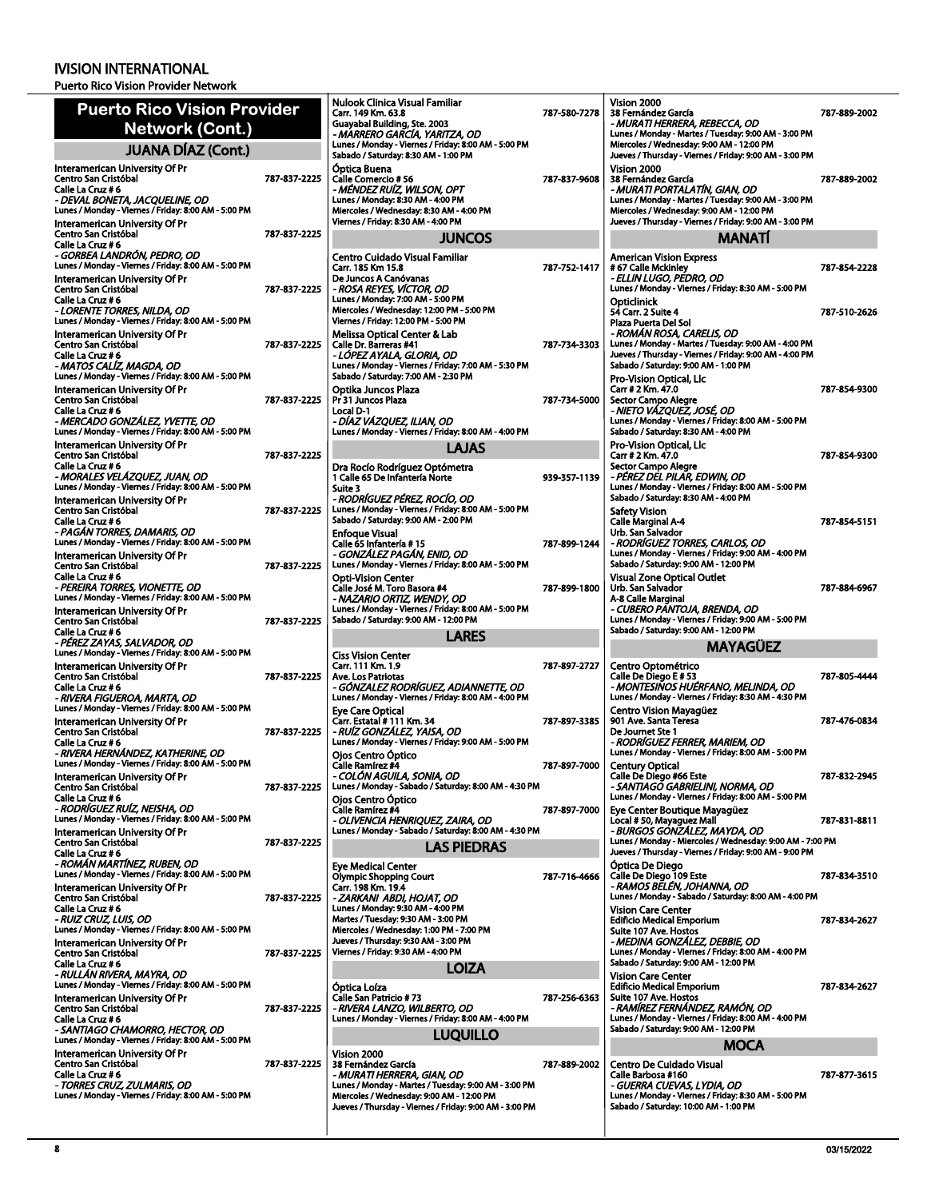Puerto Rico Vision Provider Network

| <b>Puerto Rico Vision Provider</b>                                                                       |              | Nulook C<br>Carr. 149                    |
|----------------------------------------------------------------------------------------------------------|--------------|------------------------------------------|
| <b>Network (Cont.)</b>                                                                                   |              | Guayabal<br>- MARRE                      |
| <b>JUANA DÍAZ (Cont.)</b>                                                                                |              | Lunes / Mo<br>Sabado / S                 |
| Interamerican University Of Pr<br>Centro San Cristóbal                                                   | 787-837-2225 | <b>Optica Br</b><br>Calle Con            |
| Calle La Cruz # 6<br>- DEVAL BONETA, JACQUELINE, OD                                                      |              | - MÉNDE<br>Lunes / Mo                    |
| Lunes / Monday - Viernes / Friday: 8:00 AM - 5:00 PM                                                     |              | Miercoles,<br>Viernes / F                |
| Interamerican University Of Pr<br>Centro San Cristóbal                                                   | 787-837-2225 |                                          |
| Calle La Cruz # 6<br>- GORBEA LANDRÓN, PEDRO, OD<br>Lunes / Monday - Viernes / Friday: 8:00 AM - 5:00 PM |              | Centro C                                 |
| Interamerican University Of Pr                                                                           |              | Carr. 185<br>De Junco:                   |
| Centro San Cristóbal<br>Calle La Cruz # 6                                                                | 787-837-2225 | - ROSA R<br>Lunes / Mo                   |
| - LORENTE TORRES, NILDA, OD<br>Lunes / Monday - Viernes / Friday: 8:00 AM - 5:00 PM                      |              | Miercoles,<br>Viernes / F                |
| Interamerican University Of Pr<br>Centro San Cristóbal                                                   | 787-837-2225 | Melissa C<br>Calle Dr. E                 |
| Calle La Cruz # 6<br>- MATOS CALÍZ, MAGDA, OD                                                            |              | -LÓPEZ<br>Lunes / Mo                     |
| Lunes / Monday - Viernes / Friday: 8:00 AM - 5:00 PM<br>Interamerican University Of Pr                   |              | Sabado / S<br>Optika Ju                  |
| Centro San Cristóbal<br>Calle La Cruz # 6                                                                | 787-837-2225 | Pr 31 June<br>Local D-1                  |
| - MERCADO GONZÁLEZ, YVETTE, OD<br>Lunes / Monday - Viernes / Friday: 8:00 AM - 5:00 PM                   |              | - DÍAZ V/<br>Lunes / Mo                  |
| Interamerican University Of Pr                                                                           |              |                                          |
| Centro San Cristóbal<br>Calle La Cruz # 6                                                                | 787-837-2225 | Dra Rocío                                |
| - MORALES VELÁZQUEZ, JUAN, OD<br>Lunes / Monday - Viernes / Friday: 8:00 AM - 5:00 PM                    |              | 1 Calle 65<br>Suite 3                    |
| <b>Interamerican University Of Pr</b><br>Centro San Cristóbal                                            | 787-837-2225 | - RODRÍC<br>Lunes / Mo                   |
| Calle La Cruz # 6<br>- PAGÁN TORRES, DAMARIS, OD                                                         |              | Sabado / S<br>Enfoque                    |
| Lunes / Monday - Viernes / Friday: 8:00 AM - 5:00 PM<br>Interamerican University Of Pr                   |              | Calle 65 In<br>- GONZÁ                   |
| Centro San Cristóbal<br>Calle La Cruz # 6                                                                | 787-837-2225 | Lunes / Mo<br>Opti-Visi                  |
| - PEREIRA TORRES, VIONETTE, OD<br>Lunes / Monday - Viernes / Friday: 8:00 AM - 5:00 PM                   |              | Calle José<br>- NAZAR                    |
| Interamerican University Of Pr<br>Centro San Cristóbal                                                   | 787-837-2225 | Lunes / Mo<br>Sabado / S                 |
| Calle La Cruz # 6                                                                                        |              |                                          |
| - PÉREZ ZAYAS, SALVADOR, OD<br>Lunes / Monday - Viernes / Friday: 8:00 AM - 5:00 PM                      |              | <b>Ciss Visio</b>                        |
| Interamerican University Of Pr<br>Centro San Cristóbal                                                   | 787-837-2225 | Carr. 111<br>Ave. Los F                  |
| Calle La Cruz # 6<br>- RIVERA FIGUEROA, MARTA, OD                                                        |              | - GÓNZA<br>Lunes / Mo                    |
| Lunes / Monday - Viernes / Friday: 8:00 AM - 5:00 PM<br>Interamerican University Of Pr                   |              | <b>Eye Care</b><br>Carr. Esta            |
| Centro San Cristóbal<br>Calle La Cruz # 6                                                                | 787-837-2225 | - RUÍZ G(<br>Lunes / Mo                  |
| - RIVERA HERNÁNDEZ, KATHERINE, OD<br>Lunes / Monday - Viernes / Friday: 8:00 AM - 5:00 PM                |              | <b>Oios Cen</b><br>Calle Ram             |
| Interamerican University Of Pr<br>Centro San Cristóbal                                                   | 787-837-2225 | . COI ON<br>Lunes / Mo                   |
| Calle La Cruz # 6<br>- RODRÍGUEZ RUÍZ, NEISHA, OD                                                        |              | Ojos Cen<br>Calle Ram                    |
| Lunes / Monday - Viernes / Friday: 8:00 AM - 5:00 PM<br>Interamerican University Of Pr                   |              | - OLIVEN<br>Lunes / Mo                   |
| Centro San Cristóbal<br>Calle La Cruz # 6                                                                | 787-837-2225 |                                          |
| - ROMÁN MARTÍNEZ, RUBEN, OD<br>Lunes / Monday - Viernes / Friday: 8:00 AM - 5:00 PM                      |              | Eye Medi                                 |
| Interamerican University Of Pr                                                                           | 787-837-2225 | Olympic 9<br>Carr. 198                   |
| Centro San Cristóbal<br>Calle La Cruz # 6                                                                |              | - ZARKAI<br>Lunes / Mo                   |
| - RUIZ CRUZ, LUIS, OD<br>Lunes / Monday - Viernes / Friday: 8:00 AM - 5:00 PM                            |              | Martes / Ti<br>Miercoles,<br>Jueves / Tl |
| Interamerican University Of Pr<br>Centro San Cristóbal                                                   | 787-837-2225 | Viernes / F                              |
| Calle La Cruz # 6<br>- RULLÁN RIVERA, MAYRA, OD                                                          |              |                                          |
| Lunes / Monday - Viernes / Friday: 8:00 AM - 5:00 PM<br>Interamerican University Of Pr                   |              | Optica Lo<br>Calle San                   |
| Centro San Cristóbal<br>Calle La Cruz # 6                                                                | 787-837-2225 | - RIVERA<br>Lunes / Mo                   |
| - SANTIAGO CHAMORRO, HECTOR, OD<br>Lunes / Monday - Viernes / Friday: 8:00 AM - 5:00 PM                  |              |                                          |
| Interamerican University Of Pr<br>Centro San Cristóbal                                                   | 787-837-2225 | Vision 20<br>38 Fernár                   |
| Calle La Cruz # 6<br>- TORRES CRUZ, ZULMARIS, OD                                                         |              | - MURAT<br>Lunes / Mo                    |
| Lunes / Monday - Viernes / Friday: 8:00 AM - 5:00 PM                                                     |              | Miercoles,<br>Jueves / Tl                |
|                                                                                                          |              |                                          |

|    | Nulook Clinica Visual Familiar                                                                    |              | Vi:        |
|----|---------------------------------------------------------------------------------------------------|--------------|------------|
|    | Carr. 149 Km. 63.8                                                                                | 787-580-7278 | 38         |
|    | Guayabal Building, Ste. 2003<br>- MARRERO GARCÍA, YARITZA, OD                                     |              | - 1<br>Lui |
|    | Lunes / Monday - Viernes / Friday: 8:00 AM - 5:00 PM                                              |              | Mi         |
|    | Sabado / Saturday: 8:30 AM - 1:00 PM                                                              |              | Ju         |
|    | Optica Buena                                                                                      |              | Vi:        |
| 25 | Calle Comercio # 56<br>- MÉNDEZ RUÍZ, WILSON, OPT                                                 | 787-837-9608 | 38<br>- 1  |
|    | Lunes / Monday: 8:30 AM - 4:00 PM                                                                 |              | Lui        |
|    | Miercoles / Wednesday: 8:30 AM - 4:00 PM                                                          |              | Mi         |
|    | Viernes / Friday: 8:30 AM - 4:00 PM                                                               |              | Ju         |
| 25 | <b>JUNCOS</b>                                                                                     |              |            |
|    | Centro Cuidado Visual Familiar                                                                    |              | Ar         |
|    | Carr. 185 Km 15.8<br>De Juncos A Canóvanas                                                        | 787-752-1417 | #6<br>- E  |
| 25 | - ROSA REYES, VÍCTOR, OD                                                                          |              | Lu         |
|    | Lunes / Monday: 7:00 AM - 5:00 PM                                                                 |              | Op         |
|    | Miercoles / Wednesday: 12:00 PM - 5:00 PM<br>Viernes / Friday: 12:00 PM - 5:00 PM                 |              | 54         |
|    | <b>Melissa Optical Center &amp; Lab</b>                                                           |              | Pla<br>- ƙ |
| 25 | <b>Calle Dr. Barreras #41</b>                                                                     | 787-734-3303 | Lui        |
|    | - LÓPEZ AYALA, GLORIA, OD                                                                         |              | Ju         |
|    | Lunes / Monday - Viernes / Friday: 7:00 AM - 5:30 PM<br>Sabado / Saturday: 7:00 AM - 2:30 PM      |              | Sal<br>Pr  |
|    | Optika Juncos Plaza                                                                               |              | Ca         |
| 25 | Pr 31 Juncos Plaza                                                                                | 787-734-5000 | Se         |
|    | Local D-1<br>- DÍAZ VÁZQUEZ, ILIAN, OD                                                            |              | ۰,<br>Lui  |
|    | Lunes / Monday - Viernes / Friday: 8:00 AM - 4:00 PM                                              |              | Sal        |
|    | LAJAS                                                                                             |              | Pr         |
| 25 |                                                                                                   |              | Ca<br>Se   |
|    | Dra Rocío Rodríguez Optómetra<br>1 Calle 65 De Infantería Norte                                   | 939-357-1139 | ۰,         |
|    | Suite 3                                                                                           |              | Lui        |
|    | - RODRÍGUEZ PÉREZ, ROCÍO, OD                                                                      |              | Sal        |
| 25 | Lunes / Monday - Viernes / Friday: 8:00 AM - 5:00 PM<br>Sabado / Saturday: 9:00 AM - 2:00 PM      |              | Sa<br>Ca   |
|    | <b>Enfoque Visual</b>                                                                             |              | Ur         |
|    | Calle 65 Infantería #15                                                                           | 787-899-1244 | - h        |
|    | - GONZÁLEZ PAGÁN, ENID, OD<br>Lunes / Monday - Viernes / Friday: 8:00 AM - 5:00 PM                |              | Lui<br>Sal |
| 25 | <b>Opti-Vision Center</b>                                                                         |              | Vi:        |
|    | Calle José M. Toro Basora #4                                                                      | 787-899-1800 | Ur         |
|    | - NAZARIO ORTIZ, WENDY, OD                                                                        |              | А-і        |
| 25 | Lunes / Monday - Viernes / Friday: 8:00 AM - 5:00 PM<br>Sabado / Saturday: 9:00 AM - 12:00 PM     |              | ، د<br>Lui |
|    | LARES                                                                                             |              | Sal        |
|    |                                                                                                   |              |            |
|    | <b>Ciss Vision Center</b><br>Carr. 111 Km. 1.9                                                    | 787-897-2727 | Сe         |
| 25 | Ave. Los Patriotas                                                                                |              | Ca         |
|    | - GÓNZALEZ RODRÍGUEZ, ADIANNETTE, OD                                                              |              | - 1        |
|    | Lunes / Monday - Viernes / Friday: 8:00 AM - 4:00 PM                                              |              | Lu<br>Сe   |
|    | <b>Eye Care Optical</b><br>Carr. Estatal # 111 Km. 34                                             | 787-897-3385 | 90         |
| 25 | - RUIZ GONZALEZ, YAISA, OD                                                                        |              | De         |
|    | Lunes / Monday - Viernes / Friday: 9:00 AM - 5:00 PM                                              |              | - ƙ<br>Lui |
|    | <b>Oios Centro Óptico</b><br>Calle Ramírez #4                                                     | 787-897-7000 | Ce         |
|    | - COLON AGUILA, SONIA, OD                                                                         |              | Ca         |
| 25 | Lunes / Monday - Sabado / Saturday: 8:00 AM - 4:30 PM                                             |              | - S        |
|    | Oios Centro Óptico<br>Calle Ramírez #4                                                            | 787-897-7000 | Lu<br>Ey   |
|    | - OLIVENCIA HENRIQUEZ, ZAIRA, OD                                                                  |              | Lo         |
|    | Lunes / Monday - Sabado / Saturday: 8:00 AM - 4:30 PM                                             |              | - L        |
| 25 | <b>LAS PIEDRAS</b>                                                                                |              | Lui<br>Ju  |
|    | <b>Eye Medical Center</b>                                                                         |              | Óŗ         |
|    | <b>Olympic Shopping Court</b>                                                                     | 787 716 4666 | Ca         |
| 25 | Carr. 198 Km. 19.4                                                                                |              | - fi       |
|    | - ZARKANI ABDI, HOJAT, OD                                                                         |              |            |
|    |                                                                                                   |              | Lu         |
|    | Lunes / Monday: 9:30 AM - 4:00 PM<br>Martes / Tuesday: 9:30 AM - 3:00 PM                          |              | Vi:<br>Ed  |
|    | Miercoles / Wednesday: 1:00 PM - 7:00 PM                                                          |              | Su         |
|    | Jueves / Thursday: 9:30 AM - 3:00 PM                                                              |              | - 1        |
|    | Viernes / Friday: 9:30 AM - 4:00 PM                                                               |              | Lui<br>Sal |
|    | LOIZA                                                                                             |              | Vi:        |
| 25 | Optica Loíza                                                                                      |              | Ed         |
| 25 | <b>Calle San Patricio #73</b><br>- RIVERA LANZO, WILBERTO, OD                                     | 787-256-6363 | Su<br>٠,   |
|    | Lunes / Monday - Viernes / Friday: 8:00 AM - 4:00 PM                                              |              | Lui        |
|    | <b>LUQUILLO</b>                                                                                   |              | Sal        |
|    |                                                                                                   |              |            |
|    | Vision 2000<br>38 Fernández García                                                                | 787-889-2002 | Сe         |
|    | - MURATI HERRERA, GIAN, OD                                                                        |              | Ca         |
| 25 | Lunes / Monday - Martes / Tuesday: 9:00 AM - 3:00 PM<br>Miercoles / Wednesday: 9:00 AM - 12:00 PM |              | - 6<br>Lui |

Vision 2000 38 Fernández García *- MURATI HERRERA, REBECCA, OD*<br>Lunes / Monday - Martes / Tuesday: 9:00 AM - 3:00 PM<br>Miercoles / Wednesday: 9:00 AM - 12:00 PM 787-889-2002 eves / Thursday - Viernes / Friday: 9:00 AM - 3:00 PM  $\sin 2000$ 38 Fernández García<br>*- MURATI PORTALATÍN, GIAN, OD*<br>Lunes / Monday - Martes / Tuesday: 9:00 AM - 3:00 PM<br>Miercoles / Wednesday: 9:00 AM - 12:00 PM<br>Jueves / Thursday - Viernes / Friday: 9:00 AM - 3:00 PM 787-889-2002 **MANATÍ** American Vision Express<br># 67 Calle Mckinley<br>*- ELLIN LUGO, PEDRO, OD*<br>Lunes / Monday - Viernes / Friday: 8:30 AM - 5:00 PM 787-854-2228 oticlinick Carr. 2 Suite 4 Plaza Puerta Del Sol<br>*- ROMÁN ROSA, CARELIS, OD*<br>Lunes / Monday - Martes / Tuesday: 9:00 AM - 4:00 PM<br>Jueves / Thursday - Viernes / Friday: 9:00 AM - 4:00 PM<br>Sabado / Saturday: 9:00 AM - 1:00 PM 787-510-2626 o-Vision Optical, Llc Carr # 2 Km. 47.0 tor Campo Alegre *- NIETO VÁZQUEZ, JOSÉ, OD* Lunes / Monday - Viernes / Friday: 8:00 AM - 5:00 PM 787-854-9300 Sabado / Saturday: 8:30 AM - 4:00 PM o-Vision Optical, Llc rr # 2 Km. 47.0 Sector Campo Alegre<br>*- PÉREZ DEL PILAR, EDWIN, OD*<br>Lunes / Monday - Viernes / Friday: 8:00 AM - 5:00 PM<br>Sabado / Saturday: 8:30 AM - 4:00 PM 787-854-9300 fety Vision Calle Marginal A-4 Urb. San Salvador *- RODRÍGUEZ TORRES, CARLOS, OD* Lunes / Monday - Viernes / Friday: 9:00 AM - 4:00 PM Sabado / Saturday: 9:00 AM - 12:00 PM 787-854-5151 Visual Zone Optical Outlet Urb. San Salvador A-8 Calle Marginal *- CUBERO PANTOJA, BRENDA, OD* Lunes / Monday - Viernes / Friday: 9:00 AM - 5:00 PM 787-884-6967 Sabado / Saturday: 9:00 AM - 12:00 PM **MAYAGÜEZ** Centro Optométrico<br>Calle De Diego E # 53<br>*- MONTESINOS HUÉRFANO, MELINDA, OD*<br>Lunes / Monday - Viernes / Friday: 8:30 AM - 4:30 PM 787-805-4444 Centro Vision Mayagüez 901 Ave. Santa Teresa De Journet Ste 1 *- RODRÍGUEZ FERRER, MARIEM, OD* Lunes / Monday - Viernes / Friday: 8:00 AM - 5:00 PM 787-476-0834 Century Optical<br>Calle De Diego #66 Este<br>- *SANTIAGO GABRIELINI, NORMA, OD*<br>Lunes / Monday - Viernes / Friday: 8:00 AM - 5:00 PM 787-832-2945 Eye Center Boutique Mayagüez<br>Local # 50, Mayaguez Mall<br>*- BURGOS GONZALEZ, MAYDA, OD<br>Lunes / Monday - Miercoles / Wednesday: 9:00 AM - 7:00 PM<br>Jueves / Thursday - Viernes / Friday: 9:00 AM - 9:00 PM* 787-831-8811 Óptica De Diego Calle De Diego 109 Este *- RAMOS BELÉN, JOHANNA, OD* Lunes / Monday - Sabado / Saturday: 8:00 AM - 4:00 PM 787-834-3510 Vision Care Center Edificio Medical Emporium Suite 107 Ave. Hostos<br>*- MEDINA GONZÁLEZ, DEBBIE, OD*<br>Lunes / Monday - Viernes / Friday: 8:00 AM - 4:00 PM<br>Sabado / Saturday: 9:00 AM - 12:00 PM 787-834-2627 ion Care Center Ificio Medical Emporium Suite 107 Ave. Hostos<br>*- RAM/REZ FERNÁNDEZ, RAMÓN, OD<br>Lunes / Monday - Viernes / Friday: 8:00 AM - 4:00 PM<br>Sabado / Saturday: 9:00 AM - 12:00 PM* 787-834-2627 **MOCA** entro De Cuidado Visual Calle Barbosa #160<br>*- GUERRA CUEVAS, LYDIA, OD*<br>Lunes / Monday - Viernes / Friday: 8:30 AM - 5:00 PM 787-877-3615 ado / Saturday: 10:00 AM - 1:00 PM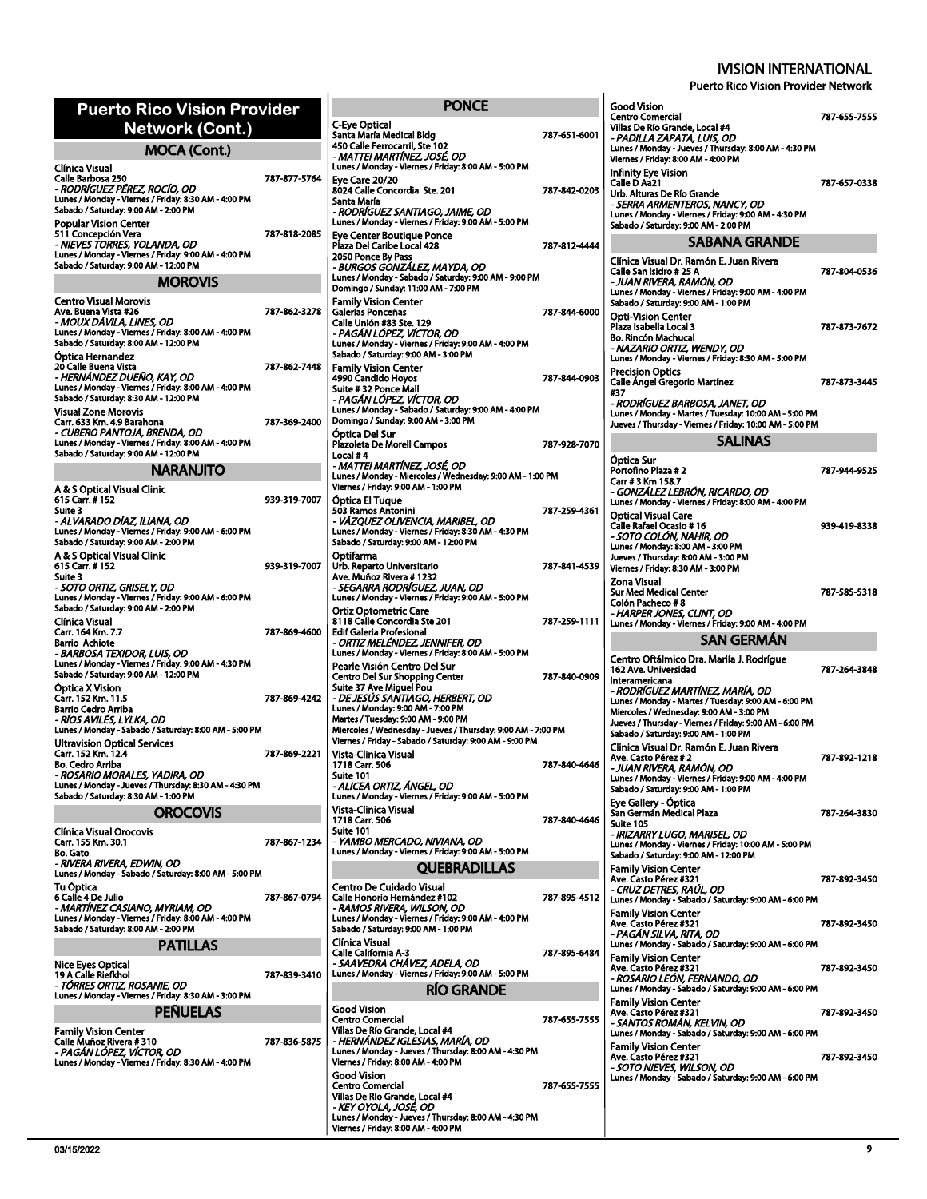| <b>Puerto Rico Vision Provider</b>                                                                                                                                                             |              |                                                         |
|------------------------------------------------------------------------------------------------------------------------------------------------------------------------------------------------|--------------|---------------------------------------------------------|
| Network (Cont.)                                                                                                                                                                                |              | C-Eye<br>Santa                                          |
| <b>MOCA (Cont.)</b>                                                                                                                                                                            |              | 450 C.<br>- MA1                                         |
| Clínica Visual                                                                                                                                                                                 |              | Lunes.                                                  |
| Calle Barbosa 250<br>- RODRÍGUEZ PÉREZ. ROCÍO. OD<br>Lunes / Monday - Viernes / Friday: 8:30 AM - 4:00 PM<br>Sabado / Saturday: 9:00 AM - 2:00 PM                                              | 787-877-5764 | Eye C<br>8024<br>Santa<br>- ROD<br>Lunes.               |
| <b>Popular Vision Center</b><br>511 Concepción Vera<br>- NIEVES TORRES, YOLANDA, OD<br>Lunes / Monday - Viernes / Friday: 9:00 AM - 4:00 PM<br>Sabado / Saturday: 9:00 AM - 12:00 PM           | 787-818-2085 | Eye C<br>Plaza I<br>2050 F<br>- BUR                     |
| <b>MOROVIS</b>                                                                                                                                                                                 |              | Lunes<br>Domin                                          |
| <b>Centro Visual Morovis</b>                                                                                                                                                                   |              | Famil                                                   |
| Ave. Buena Vista #26<br>- MOUX DÁVILA, LINES, OD<br>Lunes / Monday - Viernes / Friday: 8:00 AM - 4:00 PM<br>Sabado / Saturday: 8:00 AM - 12:00 PM                                              | 787-862-3278 | Galerí<br>Calle l<br>- PAG<br>Lunes.<br>Sabad           |
| Optica Hernandez<br>20 Calle Buena Vista<br>- HERNÁNDEZ DUENO, KAY, OD<br>Lunes / Monday - Viernes / Friday: 8:00 AM - 4:00 PM<br>Sabado / Saturday: 8:30 AM - 12:00 PM<br>Visual Zone Morovis | 787-862-7448 | Famil<br>4990 (<br>Suite i<br>- PAG<br>Lunes.           |
| Carr. 633 Km. 4.9 Barahona<br>- CUBERO PANTOJA, BRENDA, OD<br>Lunes / Monday - Viernes / Friday: 8:00 AM - 4:00 PM<br>Sabado / Saturday: 9:00 AM - 12:00 PM                                    | 787-369-2400 | Domin<br>Optic<br>Plazol<br>Local :                     |
| <b>NARANJITO</b>                                                                                                                                                                               |              | - MA1<br>Lunes.                                         |
| A & S Optical Visual Clinic<br>615 Carr. # 152<br>Suite 3                                                                                                                                      | 939 319 7007 | Vierne<br>Optic<br>503 Ra                               |
| - ALVARADO DÍAZ, ILIANA, OD<br>Lunes / Monday - Viernes / Friday: 9:00 AM - 6:00 PM<br>Sabado / Saturday: 9:00 AM - 2:00 PM<br>A & S Optical Visual Clinic                                     |              | - VÁZ<br>Lunes.<br>Sabad<br>Optifa                      |
| 615 Carr. # 152<br>Suite 3<br>- SOTO ORTIZ, GRISELY, OD                                                                                                                                        | 939-319-7007 | Urb. R<br>Ave. N<br>- SEG.                              |
| Lunes / Monday - Viernes / Friday: 9:00 AM - 6:00 PM<br>Sabado / Saturday: 9:00 AM - 2:00 PM                                                                                                   |              | Lunes.<br>Ortiz (                                       |
| Clínica Visual<br>Carr. 164 Km. 7.7<br><b>Barrio Achiote</b>                                                                                                                                   | 787-869-4600 | 81180<br>Edif G<br>- ORT                                |
| - BARBOSA TEXIDOR, LUIS, OD<br>Lunes / Monday - Viernes / Friday: 9:00 AM - 4:30 PM<br>Sabado / Saturday: 9:00 AM - 12:00 PM<br>Optica X Vision                                                |              | Lunes.<br>Peark<br>Centro<br>Suite :                    |
| Carr. 152 Km. 11.5<br><b>Barrio Cedro Arriba</b><br>- RÍOS AVILÉS, LYLKA, OD<br>Lunes / Monday - Sabado / Saturday: 8:00 AM - 5:00 PM                                                          | 787-869-4242 | - DE J<br>Lunes.<br><b>Martes</b><br>Mierco             |
| Ultravision Optical Services                                                                                                                                                                   |              | Vierne                                                  |
| Carr. 152 Km. 12.4<br>Bo. Cedro Arriba<br>- ROSARIO MORALES, YADIRA, OD<br>Lunes / Monday - Jueves / Thursday: 8:30 AM - 4:30 PM                                                               | 787-869-2221 | Vista-<br>1718<br>Suite :<br>- ALIC                     |
| Sabado / Saturday: 8:30 AM - 1:00 PM                                                                                                                                                           |              | Lunes.                                                  |
| <b>OROCOVIS</b>                                                                                                                                                                                |              | Vista-<br>1718 (                                        |
| Clínica Visual Orocovis<br>Carr. 155 Km. 30.1<br><b>Bo. Gato</b><br>- RIVERA RIVERA. EDWIN, OD                                                                                                 | 787-867-1234 | Suite '<br>- YAN<br>Lunes                               |
| Lunes / Monday - Sabado / Saturday: 8:00 AM - 5:00 PM<br><b>Tu Óptica</b><br>6 Calle 4 De Julio                                                                                                | 787-867-0794 | Centr<br>Calle F                                        |
| - MARTÍNEZ CASIANO, MYRIAM, OD<br>Lunes / Monday - Viernes / Friday: 8:00 AM - 4:00 PM<br>Sabado / Saturday: 8:00 AM - 2:00 PM                                                                 |              | - RAN<br>Lunes.<br>Sabad                                |
| PATILLAS                                                                                                                                                                                       |              | Clínic<br>Calle (                                       |
| Nice Eyes Optical<br>19 A Calle Riefkhol<br>- TÓRRES ORTIZ, ROSANIE, OD                                                                                                                        | 787-839-3410 | - SAA<br>Lunes.                                         |
| Lunes / Monday - Viernes / Friday: 8:30 AM - 3:00 PM<br><b>PEÑUELAS</b>                                                                                                                        |              | Good                                                    |
|                                                                                                                                                                                                |              | Centro                                                  |
| <b>Family Vision Center</b><br>Calle Muñoz Rivera # 310<br>- PAGÁN LÓPEZ, VÍCTOR, OD<br>Lunes / Monday - Viernes / Friday: 8:30 AM - 4:00 PM                                                   | 787-836-5875 | Villas I<br>- HER<br>Lunes,<br>Vierne<br>Good<br>Centro |
|                                                                                                                                                                                                |              | Villas I<br>- KEY<br>Lunes.                             |

| PONCE                                                                                                                                                                                                                                                                                                                                |              |
|--------------------------------------------------------------------------------------------------------------------------------------------------------------------------------------------------------------------------------------------------------------------------------------------------------------------------------------|--------------|
| C-Eye Optical<br>Santa María Medical Bldg<br>450 Calle Ferrocarril. Ste 102<br>- MATTEI MARTÍNEZ, JOSÉ, OD                                                                                                                                                                                                                           | 787-651-6001 |
| Lunes / Monday - Viernes / Friday: 8:00 AM - 5:00 PM<br>Eve Care 20/20<br>8024 Calle Concordia Ste. 201<br>Santa María                                                                                                                                                                                                               | 787-842-0203 |
| - RODRÍGUEZ SANTIAGO, JAIME, OD<br>Lunes / Monday - Viernes / Friday: 9:00 AM - 5:00 PM<br>Eye Center Boutique Ponce<br>Plaza Del Caribe Local 428                                                                                                                                                                                   | 787-812-4444 |
| 2050 Ponce By Pass<br>- BURGOS GONZALEZ, MAYDA, OD<br>Lunes / Monday - Sabado / Saturday: 9:00 AM - 9:00 PM<br>Domingo / Sunday: 11:00 AM - 7:00 PM                                                                                                                                                                                  |              |
| <b>Family Vision Center</b><br>Galerías Ponceñas<br>Calle Unión #83 Ste. 129<br>- PAGÁN LÓPEZ, VÍCTOR, OD<br>Lunes / Monday - Viernes / Friday: 9:00 AM - 4:00 PM<br>Sabado / Saturday: 9:00 AM - 3:00 PM                                                                                                                            | 787-844-6000 |
| <b>Family Vision Center</b><br>4990 Candido Hoyos<br>Suite # 32 Ponce Mall<br>- PAGÁN LÓPEZ, VÍCTOR, OD<br>Lunes / Monday - Sabado / Saturday: 9:00 AM - 4:00 PM                                                                                                                                                                     | 787-844-0903 |
| Domingo / Sunday: 9:00 AM - 3:00 PM<br>Óptica Del Sur<br>Plazoleta De Morell Campos                                                                                                                                                                                                                                                  | 787-928-7070 |
| Local #4<br>- MATTEI MARTÍNEZ, JOSÉ, OD<br>Lunes / Monday - Miercoles / Wednesday: 9:00 AM - 1:00 PM<br>Viernes / Friday: 9:00 AM - 1:00 PM                                                                                                                                                                                          |              |
| Optica El Tugue<br>503 Ramos Antonini<br>- VÁZQUEZ OLIVENCIA, MARIBEL, OD<br>Lunes / Monday - Viernes / Friday: 8:30 AM - 4:30 PM<br>Sabado / Saturday: 9:00 AM - 12:00 PM                                                                                                                                                           | 787-259-4361 |
| Optifarma<br>Urb. Reparto Universitario<br>Ave. Muñoz Rivera # 1232<br>· SEGARRA RODRIGUEZ, JUAN, OD<br>Lunes / Monday - Viernes / Friday: 9:00 AM - 5:00 PM                                                                                                                                                                         | 787-841-4539 |
| Ortiz Optometric Care<br>8118 Calle Concordia Ste 201<br><b>Edif Galeria Profesional</b><br>- ORTIZ MELÉNDEZ, JENNIFER, OD<br>Lunes / Monday - Viernes / Friday: 8:00 AM - 5:00 PM                                                                                                                                                   | 787-259-1111 |
| Pearle Visión Centro Del Sur<br>Centro Del Sur Shopping Center<br>Suite 37 Ave Miquel Pou<br>- DE JESÚS SANTIAGO, HERBERT, OD<br>Lunes / Monday: 9:00 AM - 7:00 PM<br>Martes / Tuesday: 9:00 AM - 9:00 PM<br>Miercoles / Wednesday - Jueves / Thursday: 9:00 AM - 7:00 PM<br>Viernes / Friday - Sabado / Saturday: 9:00 AM - 9:00 PM | 787-840-0909 |
| Vista-Clinica Visual<br>1718 Carr. 506<br>Suite 101<br>- ALICEA ORTIZ, ÁNGEL, OD                                                                                                                                                                                                                                                     | 787-840-4646 |
| Lunes / Monday - Viernes / Friday: 9:00 AM - 5:00 PM<br>Vista-Clinica Visual<br>1718 Carr. 506<br>Suite 101<br>- YAMBO MERCADO, NIVIANA, OD                                                                                                                                                                                          | 787-840-4646 |
| Lunes / Monday - Viernes / Friday: 9:00 AM - 5:00 PM<br><b>QUEBRADILLAS</b>                                                                                                                                                                                                                                                          |              |
| Centro De Cuidado Visual<br>Calle Honorio Hernández #102<br>- RAMOS RIVERA, WILSON, OD<br>Lunes / Monday - Viernes / Friday: 9:00 AM - 4:00 PM<br>Sabado / Saturday: 9:00 AM - 1:00 PM                                                                                                                                               | 787-895-4512 |
| Clínica Visual<br><b>Calle California A-3</b><br>- SAAVEDRA CHÁVEZ, ADELA, OD<br>Lunes / Monday - Viernes / Friday: 9:00 AM - 5:00 PM<br><b>RIO GRANDE</b>                                                                                                                                                                           | 787-895-6484 |
| Good Vision<br><b>Centro Comercial</b><br>Villas De Río Grande, Local #4<br>- HERNANDEZ IGLESIAS, MARIA, OD<br>Lunes / Monday - Jueves / Thursday: 8:00 AM - 4:30 PM<br>Viernes / Friday: 8:00 AM - 4:00 PM                                                                                                                          | 787-655-7555 |
| <b>Good Vision</b><br><b>Centro Comercial</b><br>Villas De Río Grande, Local #4<br>- KEY OYOLA, JOSE, OD<br>Lunes / Monday - Jueves / Thursday: 8:00 AM - 4:30 PM<br>Viernes / Friday: 8:00 AM - 4:00 PM                                                                                                                             | 787-655-7555 |

|        | <b>Good Vision</b><br><b>Centro Comercial</b>                                                                     | 787-655-7555 |
|--------|-------------------------------------------------------------------------------------------------------------------|--------------|
|        | Villas De Río Grande, Local #4                                                                                    |              |
|        | - PADILLA ZAPATA, LUIS, OD<br>Lunes / Monday - Jueves / Thursday: 8:00 AM - 4:30 PM                               |              |
|        | Viernes / Friday: 8:00 AM - 4:00 PM                                                                               |              |
|        | Infinity Eye Vision                                                                                               |              |
| ţ      | Calle D Aa21<br>Urb. Alturas De Río Grande                                                                        | 787-657-0338 |
|        | - SERRA ARMENTEROS, NANCY, OD<br>Lunes / Monday - Viernes / Friday: 9:00 AM - 4:30 PM                             |              |
|        | Sabado / Saturday: 9:00 AM - 2:00 PM                                                                              |              |
|        | SABANA GRANDE                                                                                                     |              |
|        | Clínica Visual Dr. Ramón E. Juan Rivera                                                                           |              |
|        | Calle San Isidro # 25 A                                                                                           | 787-804-0536 |
|        | - JUAN RIVERA, RAMÓN, OD<br>Lunes / Monday - Viernes / Friday: 9:00 AM - 4:00 PM                                  |              |
| J      | Sabado / Saturday: 9:00 AM - 1:00 PM                                                                              |              |
|        | <b>Opti-Vision Center</b><br>Plaza Isabella Local 3                                                               | 787-873-7672 |
|        | Bo. Rincón Machucal                                                                                               |              |
|        | - NAZARIO ORTIZ, WENDY, OD<br>Lunes / Monday - Viernes / Friday: 8:30 AM - 5:00 PM                                |              |
|        | <b>Precision Optics</b>                                                                                           |              |
|        | <b>Calle Angel Gregorio Martínez</b><br>#37                                                                       | 787-873-3445 |
|        | - RODRIGUEZ BARBOSA, JANET, OD                                                                                    |              |
|        | Lunes / Monday - Martes / Tuesday: 10:00 AM - 5:00 PM<br>Jueves / Thursday - Viernes / Friday: 10:00 AM - 5:00 PM |              |
| j      | SALINAS                                                                                                           |              |
|        | Optica Sur                                                                                                        |              |
|        | Portofino Plaza #2                                                                                                | 787-944-9525 |
|        | Carr # 3 Km 158.7<br>- GONZÁLEZ LEBRÓN, RICARDO, OD                                                               |              |
|        | Lunes / Monday - Viernes / Friday: 8:00 AM - 4:00 PM                                                              |              |
|        | <b>Optical Visual Care</b><br>Calle Rafael Ocasio # 16                                                            | 939-419-8338 |
|        | - SOTO COLÓN, NAHIR, OD<br>Lunes / Monday: 8:00 AM - 3:00 PM                                                      |              |
|        | Jueves / Thursday: 8:00 AM - 3:00 PM                                                                              |              |
| ï      | Viernes / Friday: 8:30 AM - 3:00 PM                                                                               |              |
|        | Zona Visual<br><b>Sur Med Medical Center</b>                                                                      | 787-585-5318 |
|        |                                                                                                                   |              |
|        | Colón Pacheco #8                                                                                                  |              |
|        | - HARPER JONES, CLINT, OD<br>Lunes / Monday - Viernes / Friday: 9:00 AM - 4:00 PM                                 |              |
|        | SAN GERMAN                                                                                                        |              |
|        | Centro Oftálmico Dra. Mariía J. Rodrígue                                                                          |              |
| ١      | 162 Ave. Universidad<br>Interamericana                                                                            | 787-264-3848 |
|        | - RODRÍGUEZ MARTÍNEZ, MARÍA, OD                                                                                   |              |
|        | Lunes / Monday - Martes / Tuesday: 9:00 AM - 6:00 PM<br>Miercoles / Wednesday: 9:00 AM - 3:00 PM                  |              |
|        | Jueves / Thursday - Viernes / Friday: 9:00 AM - 6:00 PM                                                           |              |
|        | Sabado / Saturday: 9:00 AM - 1:00 PM<br>Clinica Visual Dr. Ramón E. Juan Rivera                                   |              |
|        | Ave. Casto Pérez #2                                                                                               | 787-892-1218 |
|        | - JUAN RIVERA, RAMÓN, OD<br>Lunes / Monday - Viernes / Friday: 9:00 AM - 4:00 PM                                  |              |
|        | Sabado / Saturday: 9:00 AM - 1:00 PM                                                                              |              |
|        | Eye Gallery - Óptica<br>San Germán Medical Plaza                                                                  | 787-264-3830 |
| j<br>ś | Suite 105                                                                                                         |              |
|        | - IRIZARRY LUGO. MARISEL. OD<br>Lunes / Monday - Viernes / Friday: 10:00 AM - 5:00 PM                             |              |
|        | Sabado / Saturday: 9:00 AM - 12:00 PM                                                                             |              |
|        | <b>Family Vision Center</b><br>Ave. Casto Pérez #321                                                              | 787-892-3450 |
| ì      | · CRUZ DETRES, RAÚL, OD<br>Lunes / Monday - Sabado / Saturday: 9:00 AM - 6:00 PM                                  |              |
|        | <b>Family Vision Center</b>                                                                                       |              |
|        | Ave. Casto Pérez #321<br>- PAGÁN SILVA, RITA, OD                                                                  | 787-892-3450 |
|        | Lunes / Monday - Sabado / Saturday: 9:00 AM - 6:00 PM                                                             |              |
|        | <b>Family Vision Center</b><br>Ave. Casto Pérez #321                                                              | 787 892 3450 |
|        | - ROSARIO LEON, FERNANDO, OD                                                                                      |              |
|        | Lunes / Monday - Sabado / Saturday: 9:00 AM - 6:00 PM<br><b>Family Vision Center</b>                              |              |
| ï      | Ave. Casto Pérez #321                                                                                             | 787-892-3450 |
|        | - SANTOS ROMÁN, KELVIN, OD<br>Lunes / Monday - Sabado / Saturday: 9:00 AM - 6:00 PM                               |              |
|        | <b>Family Vision Center</b><br>Ave. Casto Pérez #321                                                              | 787-892-3450 |
|        | - SOTO NIEVES, WILSON, OD                                                                                         |              |
|        | Lunes / Monday - Sabado / Saturday: 9:00 AM - 6:00 PM                                                             |              |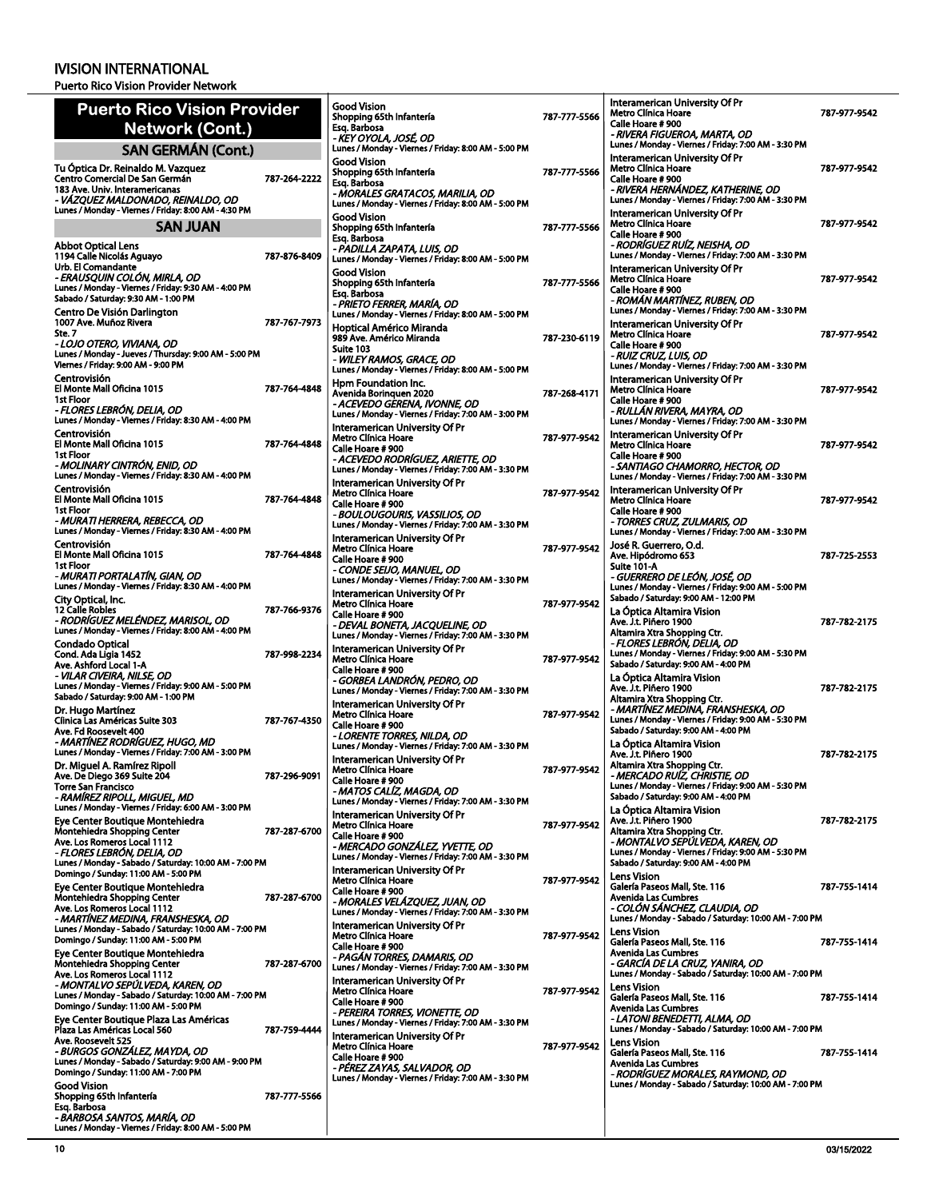| <b>Puerto Rico Vision Provider</b>                                                                                                |              | <b>Good Vision</b><br>Shopping 65th Infantería                                                                          | 787-777-5566 | Interamerican University Of Pr<br>Metro Clínica Hoare                                                                        | 787-977-9542 |
|-----------------------------------------------------------------------------------------------------------------------------------|--------------|-------------------------------------------------------------------------------------------------------------------------|--------------|------------------------------------------------------------------------------------------------------------------------------|--------------|
| Network (Cont.)                                                                                                                   |              | Esq. Barbosa<br>- KEY OYOLA, JOSÉ, OD                                                                                   |              | Calle Hoare #900<br>- RIVERA FIGUEROA, MARTA, OD                                                                             |              |
| <b>SAN GERMÁN (Cont.)</b>                                                                                                         |              | Lunes / Monday - Viernes / Friday: 8:00 AM - 5:00 PM                                                                    |              | Lunes / Monday - Viernes / Friday: 7:00 AM - 3:30 PM                                                                         |              |
| Tu Óptica Dr. Reinaldo M. Vazquez<br>Centro Comercial De San Germán<br>183 Ave. Univ. Interamericanas                             | 787-264-2222 | <b>Good Vision</b><br>Shopping 65th Infantería<br>Esq. Barbosa<br>- MORALES GRATACOS, MARILIA, OD                       | 787-777-5566 | Interamerican University Of Pr<br>Metro Clínica Hoare<br>Calle Hoare #900<br>- RIVERA HERNÁNDEZ, KATHERINE, OD               | 787-977-9542 |
| - VÁZQUEZ MALDONADO, REINALDO, OD<br>Lunes / Monday - Viernes / Friday: 8:00 AM - 4:30 PM<br><b>SAN JUAN</b>                      |              | Lunes / Monday - Viernes / Friday: 8:00 AM - 5:00 PM<br>Good Vision<br>Shopping 65th Infantería                         | 787-777-5566 | Lunes / Monday - Viernes / Friday: 7:00 AM - 3:30 PM<br>Interamerican University Of Pr<br>Metro Clínica Hoare                | 787-977-9542 |
| <b>Abbot Optical Lens</b>                                                                                                         |              | Esq. Barbosa                                                                                                            |              | Calle Hoare #900<br>- RODRÍGUEZ RUÍZ, NEISHA, OD                                                                             |              |
| 1194 Calle Nicolás Aguayo<br>Urb. El Comandante                                                                                   | 787-876-8409 | - PADILLA ZAPATA, LUIS, OD<br>Lunes / Monday - Viernes / Friday: 8:00 AM - 5:00 PM                                      |              | Lunes / Monday - Viernes / Friday: 7:00 AM - 3:30 PM                                                                         |              |
| - ERAUSQUIN COLÓN, MIRLA, OD<br>Lunes / Monday - Viernes / Friday: 9:30 AM - 4:00 PM<br>Sabado / Saturday: 9:30 AM - 1:00 PM      |              | <b>Good Vision</b><br>Shopping 65th Infantería<br>Esg. Barbosa                                                          | 787-777-5566 | Interamerican University Of Pr<br>Metro Clínica Hoare<br>Calle Hoare #900<br>- ROMÁN MARTÍNEZ, RUBEN, OD                     | 787-977-9542 |
| Centro De Visión Darlington                                                                                                       |              | - PRIETO FERRER, MARÍA, OD<br>Lunes / Monday - Viernes / Friday: 8:00 AM - 5:00 PM                                      |              | Lunes / Monday - Viernes / Friday: 7:00 AM - 3:30 PM                                                                         |              |
| 1007 Ave. Muñoz Rivera<br>Ste. 7<br>- LOJO OTERO, VIVIANA, OD                                                                     | 787-767-7973 | Hoptical Américo Miranda<br>989 Ave. Américo Miranda<br>Suite 103                                                       | 787-230-6119 | Interamerican University Of Pr<br>Metro Clínica Hoare<br>Calle Hoare #900                                                    | 787-977-9542 |
| Lunes / Monday - Jueves / Thursday: 9:00 AM - 5:00 PM<br>Viernes / Friday: 9:00 AM - 9:00 PM                                      |              | - WILEY RAMOS, GRACE, OD<br>Lunes / Monday - Viernes / Friday: 8:00 AM - 5:00 PM                                        |              | - RUIZ CRUZ, LUIS, OD<br>Lunes / Monday - Viernes / Friday: 7:00 AM - 3:30 PM                                                |              |
| Centrovisión<br>El Monte Mall Oficina 1015                                                                                        | 787-764-4848 | Hpm Foundation Inc.<br>Avenida Borinquen 2020                                                                           | 787-268-4171 | Interamerican University Of Pr<br>Metro Clínica Hoare                                                                        | 787-977-9542 |
| 1st Floor<br>- FLORES LEBRÓN, DELIA, OD<br>Lunes / Monday - Viernes / Friday: 8:30 AM - 4:00 PM                                   |              | - ACEVEDO GERENA, IVONNE, OD<br>Lunes / Monday - Viernes / Friday: 7:00 AM - 3:00 PM                                    |              | Calle Hoare #900<br>- RULLÁN RIVERA, MAYRA, OD<br>Lunes / Monday - Viernes / Friday: 7:00 AM - 3:30 PM                       |              |
| Centrovisión<br>El Monte Mall Oficina 1015                                                                                        | 787-764-4848 | Interamerican University Of Pr<br><b>Metro Clínica Hoare</b>                                                            | 787-977-9542 | Interamerican University Of Pr                                                                                               |              |
| 1st Floor<br>- MOLINARY CINTRÓN, ENID, OD                                                                                         |              | Calle Hoare #900<br>- ACEVEDO RODRÍGUEZ, ARIETTE, OD                                                                    |              | Metro Clínica Hoare<br>Calle Hoare #900<br>- SANTIAGO CHAMORRO, HECTOR, OD                                                   | 787-977-9542 |
| Lunes / Monday - Viernes / Friday: 8:30 AM - 4:00 PM                                                                              |              | Lunes / Monday - Viernes / Friday: 7:00 AM - 3:30 PM<br>Interamerican University Of Pr                                  |              | Lunes / Monday - Viernes / Friday: 7:00 AM - 3:30 PM                                                                         |              |
| Centrovisión<br>El Monte Mall Oficina 1015<br>1st Floor                                                                           | 787-764-4848 | Metro Clínica Hoare<br>Calle Hoare #900                                                                                 | 787-977-9542 | Interamerican University Of Pr<br>Metro Clínica Hoare<br>Calle Hoare #900                                                    | 787-977-9542 |
| - MURATI HERRERA, REBECCA, OD<br>Lunes / Monday - Viernes / Friday: 8:30 AM - 4:00 PM                                             |              | - BOULOUGOURIS, VASSILIOS, OD<br>Lunes / Monday - Viernes / Friday: 7:00 AM - 3:30 PM<br>Interamerican University Of Pr |              | - TORRES CRUZ, ZULMARIS, OD<br>Lunes / Monday - Viernes / Friday: 7:00 AM - 3:30 PM                                          |              |
| Centrovisión<br>El Monte Mall Oficina 1015<br>1st Floor                                                                           | 787-764-4848 | Metro Clínica Hoare<br>Calle Hoare # 900                                                                                | 787-977-9542 | José R. Guerrero, O.d.<br>Ave. Hipódromo 653                                                                                 | 787-725-2553 |
| - MURATI PORTALATÍN, GIAN, OD<br>Lunes / Monday - Viernes / Friday: 8:30 AM - 4:00 PM                                             |              | - CONDE SEIJO, MANUEL, OD<br>Lunes / Monday - Viernes / Friday: 7:00 AM - 3:30 PM                                       |              | Suite 101-A<br>- GUERRERO DE LEÓN, JOSÉ, OD<br>Lunes / Monday - Viernes / Friday: 9:00 AM - 5:00 PM                          |              |
| City Optical, Inc.<br><b>12 Calle Robles</b>                                                                                      | 787-766-9376 | Interamerican University Of Pr<br>Metro Clínica Hoare                                                                   | 787-977-9542 | Sabado / Saturday: 9:00 AM - 12:00 PM<br>La Óptica Altamira Vision                                                           |              |
| - RODRÍGUEZ MELÉNDEZ, MARISOL, OD<br>Lunes / Monday - Viernes / Friday: 8:00 AM - 4:00 PM                                         |              | Calle Hoare #900<br>- DEVAL BONETA, JACQUELINE, OD<br>Lunes / Monday - Viernes / Friday: 7:00 AM - 3:30 PM              |              | Ave. J.t. Piñero 1900<br>Altamira Xtra Shopping Ctr.<br>- FLORES LEBRON, DELIA, OD                                           | 787 782 2175 |
| Condado Optical<br>Cond. Ada Ligia 1452<br>Ave. Ashford Local 1-A                                                                 | 787-998-2234 | Interamerican University Of Pr<br>Metro Clínica Hoare<br>Calle Hoare #900                                               | 787-977-9542 | Lunes / Monday - Viernes / Friday: 9:00 AM - 5:30 PM<br>Sabado / Saturday: 9:00 AM - 4:00 PM                                 |              |
| - VILAR CIVEIRA, NILSE, OD<br>Lunes / Monday - Viernes / Friday: 9:00 AM - 5:00 PM<br>Sabado / Saturday: 9:00 AM - 1:00 PM        |              | - GORBEA LANDRÓN, PEDRO, OD<br>Lunes / Monday - Viernes / Friday: 7:00 AM - 3:30 PM                                     |              | La Óptica Altamira Vision<br>Ave. J.t. Piñero 1900<br>Altamira Xtra Shopping Ctr.                                            | 787-782-2175 |
| Dr. Hugo Martínez<br>Clinica Las Américas Suite 303                                                                               | 787-767-4350 | Interamerican University Of Pr<br><b>Metro Clínica Hoare</b><br>Calle Hoare #900                                        | 787-977-9542 | - MARTINEZ MEDINA, FRANSHESKA, OD<br>Lunes / Monday - Viernes / Friday: 9:00 AM - 5:30 PM                                    |              |
| Ave. Fd Roosevelt 400<br>- MARTÍNEZ RODRÍGUEZ, HUGO, MD                                                                           |              | - LORENTE TORRES, NILDA, OD<br>Lunes / Monday - Viernes / Friday: 7:00 AM - 3:30 PM                                     |              | Sabado / Saturday: 9:00 AM - 4:00 PM<br>La Optica Altamira Vision                                                            |              |
| Lunes / Monday - Viernes / Friday: 7:00 AM - 3:00 PM<br>Dr. Miguel A. Ramírez Ripoll                                              |              | Interamerican University Of Pr<br>Metro Clínica Hoare                                                                   | 787-977-9542 | Ave. J.t. Piñero 1900<br>Altamira Xtra Shopping Ctr.                                                                         | 787-782-2175 |
| Ave. De Diego 369 Suite 204<br><b>Torre San Francisco</b><br>- RAMIREZ RIPOLL, MIGUEL, MD                                         | 787-296-9091 | Calle Hoare # 900<br>- MATOS CALIZ, MAGDA, OD<br>Lunes / Monday - Viernes / Friday: 7:00 AM - 3:30 PM                   |              | - MERCADO RUÍZ, CHRISTIE, OD<br>Lunes / Monday - Viernes / Friday: 9:00 AM - 5:30 PM<br>Sabado / Saturday: 9:00 AM - 4:00 PM |              |
| Lunes / Monday - Viernes / Friday: 6:00 AM - 3:00 PM<br>Eye Center Boutique Montehiedra                                           |              | Interamerican University Of Pr<br>Metro Clínica Hoare                                                                   | 787-977-9542 | La Optica Altamira Vision<br>Ave. J.t. Piñero 1900                                                                           | 787-782-2175 |
| Montehiedra Shopping Center<br>Ave. Los Romeros Local 1112<br>- FLORES LEBRON, DELIA, OD                                          | 787-287-6700 | Calle Hoare # 900<br>- MERCADO GONZÁLEZ, YVETTE, OD                                                                     |              | Altamira Xtra Shopping Ctr.<br>- MONTALVO SEPÜLVEDA, KAREN, OD<br>Lunes / Monday - Viernes / Friday: 9:00 AM - 5:30 PM       |              |
| Lunes / Monday - Sabado / Saturday: 10:00 AM - 7:00 PM<br>Domingo / Sunday: 11:00 AM - 5:00 PM                                    |              | Lunes / Monday - Viernes / Friday: 7:00 AM - 3:30 PM<br>Interamerican University Of Pr                                  |              | Sabado / Saturday: 9:00 AM - 4:00 PM                                                                                         |              |
| Eye Center Boutique Montehiedra<br>Montehiedra Shopping Center                                                                    | 787-287-6700 | Metro Clínica Hoare<br>Calle Hoare #900                                                                                 | 787-977-9542 | <b>Lens Vision</b><br>Galería Paseos Mall, Ste. 116<br><b>Avenida Las Cumbres</b>                                            | 787-755-1414 |
| Ave. Los Romeros Local 1112<br>- MARTÍNEZ MEDINA, FRANSHESKA, OD                                                                  |              | - MORALES VELÁZQUEZ, JUAN, OD<br>Lunes / Monday - Viernes / Friday: 7:00 AM - 3:30 PM<br>Interamerican University Of Pr |              | - COLÓN SÁNCHEZ, CLAUDIA, OD<br>Lunes / Monday - Sabado / Saturday: 10:00 AM - 7:00 PM                                       |              |
| Lunes / Monday - Sabado / Saturday: 10:00 AM - 7:00 PM<br>Domingo / Sunday: 11:00 AM - 5:00 PM                                    |              | Metro Clínica Hoare<br>Calle Hoare #900                                                                                 | 787-977-9542 | Lens Vision<br>Galería Paseos Mall, Ste. 116                                                                                 | 787-755-1414 |
| Eye Center Boutique Montehiedra<br>Montehiedra Shopping Center<br>Ave. Los Romeros Local 1112                                     | 787-287-6700 | - PAGÁN TORRES, DAMARIS, OD<br>Lunes / Monday - Viernes / Friday: 7:00 AM - 3:30 PM                                     |              | <b>Avenida Las Cumbres</b><br>- GARCÍA DE LA CRUZ, YANIRA, OD<br>Lunes / Monday - Sabado / Saturday: 10:00 AM - 7:00 PM      |              |
| - MONTALVO SEPÚLVEDA, KAREN, OD<br>Lunes / Monday - Sabado / Saturday: 10:00 AM - 7:00 PM<br>Domingo / Sunday: 11:00 AM - 5:00 PM |              | Interamerican University Of Pr<br>Metro Clínica Hoare<br>Calle Hoare #900                                               | 787-977-9542 | <b>Lens Vision</b><br>Galería Paseos Mall, Ste. 116                                                                          | 787-755-1414 |
| Eye Center Boutique Plaza Las Américas<br>Plaza Las Américas Local 560                                                            | 787-759-4444 | - PEREIRA TORRES, VIONETTE, OD<br>Lunes / Monday - Viernes / Friday: 7:00 AM - 3:30 PM                                  |              | <b>Avenida Las Cumbres</b><br>- LATONI BENEDETTI, ALMA, OD<br>Lunes / Monday - Sabado / Saturday: 10:00 AM - 7:00 PM         |              |
| Ave. Roosevelt 525<br>- BURGOS GONZÁLEZ, MAYDA, OD                                                                                |              | Interamerican University Of Pr<br>Metro Clínica Hoare                                                                   | 787-977-9542 | Lens Vision<br>Galería Paseos Mall, Ste. 116                                                                                 | 787 755 1414 |
| Lunes / Monday - Sabado / Saturday: 9:00 AM - 9:00 PM<br>Domingo / Sunday: 11:00 AM - 7:00 PM                                     |              | Calle Hoare #900<br>- PEREZ ZAYAS, SALVADOR, OD<br>Lunes / Monday - Viernes / Friday: 7:00 AM - 3:30 PM                 |              | <b>Avenida Las Cumbres</b><br>- RODRÍGUEZ MORALES, RAYMOND, OD                                                               |              |
| <b>Good Vision</b><br>Shopping 65th Infantería                                                                                    | 787-777-5566 |                                                                                                                         |              | Lunes / Monday - Sabado / Saturday: 10:00 AM - 7:00 PM                                                                       |              |
| Esq. Barbosa<br>- BARBOSA SANTOS, MARIA, OD                                                                                       |              |                                                                                                                         |              |                                                                                                                              |              |
| Lunes / Monday - Viernes / Friday: 8:00 AM - 5:00 PM                                                                              |              |                                                                                                                         |              |                                                                                                                              |              |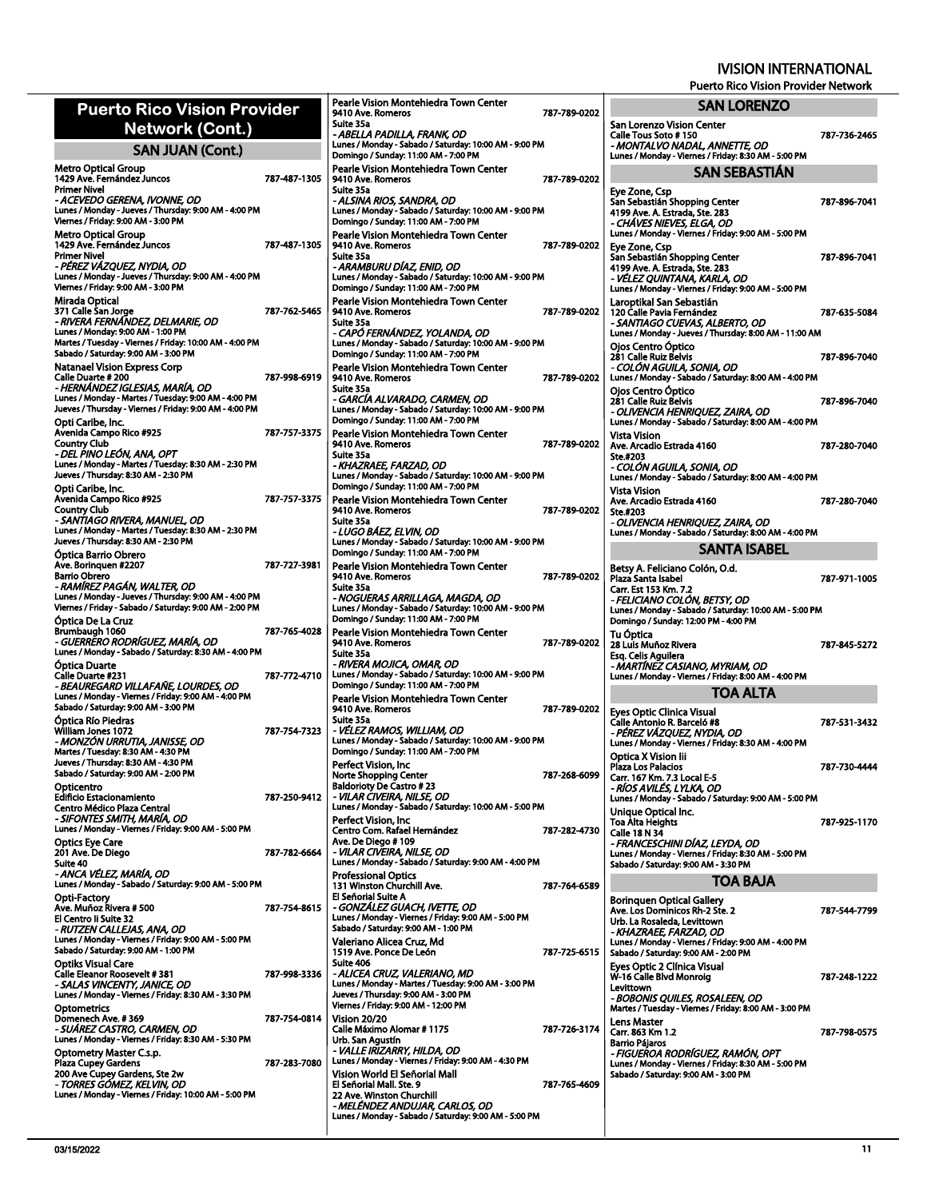787-736-2465

Puerto Rico Vision Provider Network

**SAN LORENZO**

San Lorenzo Vision Center

| <b>Puerto Rico Vision Provider</b><br>Network (Cont.)                                                                                                                                                                   |              | <b>Pearle Vision Mont</b><br>9410 Ave. Romeros<br>Suite 35a                                                                      |
|-------------------------------------------------------------------------------------------------------------------------------------------------------------------------------------------------------------------------|--------------|----------------------------------------------------------------------------------------------------------------------------------|
| <b>SAN JUAN (Cont.)</b>                                                                                                                                                                                                 |              | - ABELLA PADILLA<br>Lunes / Monday - Sab<br>Domingo / Sunday: 1                                                                  |
| Metro Optical Group<br>1429 Ave. Fernández Juncos<br><b>Primer Nivel</b><br>- ACEVEDO GERENA. IVONNE. OD<br>Lunes / Monday - Jueves / Thursday: 9:00 AM - 4:00 PM<br>Viernes / Friday: 9:00 AM - 3:00 PM                | 787-487-1305 | Pearle Vision Mont<br>9410 Ave. Romeros<br>Suite 35a<br>- ALSINA RIOS, SAI<br>Lunes / Monday - Sab<br>Domingo / Sunday: 1        |
| Metro Optical Group<br>1429 Ave. Fernández Juncos<br>Primer Nivel<br>- PÉREZ VÁZQUEZ, NYDIA, OD<br>Lunes / Monday - Jueves / Thursday: 9:00 AM - 4:00 PM<br>Viernes / Friday: 9:00 AM - 3:00 PM                         | 787-487-1305 | <b>Pearle Vision Mont</b><br>9410 Ave. Romeros<br>Suite 35a<br>- ARAMBURU DÍA2<br>Lunes / Monday - Sab<br>Domingo / Sunday: 1    |
| Mirada Optical<br>371 Calle San Jorge<br>- RIVERA FERNÁNDEZ, DELMARIE, OD<br>Lunes / Monday: 9:00 AM - 1:00 PM<br>Martes / Tuesday - Viernes / Friday: 10:00 AM - 4:00 PM<br>Sabado / Saturday: 9:00 AM - 3:00 PM       | 787-762-5465 | <b>Pearle Vision Mont</b><br>9410 Ave. Romeros<br>Suite 35a<br>- CAPÓ FERNÁNDI<br>Lunes / Monday - Sab<br>Domingo / Sunday: 1    |
| Natanael Vision Express Corp<br><b>Calle Duarte # 200</b><br>- HERNÁNDEZ IGLESIAS, MARÍA, OD<br>Lunes / Monday - Martes / Tuesday: 9:00 AM - 4:00 PM<br>Jueves / Thursday - Viernes / Friday: 9:00 AM - 4:00 PM         | 787-998-6919 | <b>Pearle Vision Mont</b><br>9410 Ave. Romeros<br>Suite 35a<br>- GARCÍA ALVARAI<br>Lunes / Monday - Sab<br>Domingo / Sunday: 1   |
| Opti Caribe, Inc.<br>Avenida Campo Rico #925<br>Country Club<br>- DEL PINO LEÓN, ANA, OPT<br>Lunes / Monday - Martes / Tuesday: 8:30 AM - 2:30 PM<br>Jueves / Thursday: 8:30 AM - 2:30 PM<br>Opti Caribe, Inc.          | 787-757-3375 | <b>Pearle Vision Mont</b><br>9410 Ave. Romeros<br>Suite 35a<br>- KHAZRAEE, FARZ<br>Lunes / Monday - Sab<br>Domingo / Sunday: 1   |
| Avenida Campo Rico #925<br><b>Country Club</b><br>- SANTIAGO RIVERA, MANUEL, OD<br>Lunes / Monday - Martes / Tuesday: 8:30 AM - 2:30 PM<br>Jueves / Thursday: 8:30 AM - 2:30 PM                                         | 787-757-3375 | Pearle Vision Mont<br>9410 Ave. Romeros<br>Suite 35a<br>- LUGO BÁEZ, ELVI<br>Lunes / Monday - Sab<br>Domingo / Sunday: 1         |
| Optica Barrio Obrero<br>Ave. Boringuen #2207<br><b>Barrio Obrero</b><br>- RAMÍREZ PAGÁN, WALTER, OD<br>Lunes / Monday - Jueves / Thursday: 9:00 AM - 4:00 PM<br>Viernes / Friday - Sabado / Saturday: 9:00 AM - 2:00 PM | 787-727-3981 | <b>Pearle Vision Mont</b><br>9410 Ave. Romeros<br>Suite 35a<br>- NOGUERAS ARRI<br>Lunes / Monday - Sab                           |
| Óptica De La Cruz<br>Brumbaugh 1060<br>- GUERRERO RODRÍGUEZ, MARÍA, OD<br>Lunes / Monday - Sabado / Saturday: 8:30 AM - 4:00 PM                                                                                         | 787-765-4028 | Domingo / Sunday: 1<br>Pearle Vision Mont<br>9410 Ave. Romeros<br>Suite 35a                                                      |
| Optica Duarte<br>Calle Duarte #231<br>- BEAUREGARD VILLAFAÑE, LOURDES, OD<br>Lunes / Monday - Viernes / Friday: 9:00 AM - 4:00 PM<br>Sabado / Saturday: 9:00 AM - 3:00 PM                                               | 787-772-4710 | - RIVERA MOJICA, (<br>Lunes / Monday - Sab<br>Domingo / Sunday: 1<br><b>Pearle Vision Mont</b><br>9410 Ave. Romeros<br>Suite 35a |
| Óptica Río Piedras<br>William Jones 1072<br>- MONZÓN URRUTIA, JANISSE, OD<br>Martes / Tuesday: 8:30 AM - 4:30 PM<br>Jueves / Thursday: 8:30 AM - 4:30 PM                                                                | 787-754-7323 | - VÉLEZ RAMOS, VI<br>Lunes / Monday - Sab<br>Domingo / Sunday: 1<br>Perfect Vision, Inc                                          |
| Sabado / Saturday: 9:00 AM - 2:00 PM                                                                                                                                                                                    |              | Norte Shonning Cer                                                                                                               |

|              | Suite 35a<br>- ABELLA PADILLA, FRANK, OD                                                                                                            |              |
|--------------|-----------------------------------------------------------------------------------------------------------------------------------------------------|--------------|
|              | Lunes / Monday - Sabado / Saturday: 10:00 AM - 9:00 PM<br>Domingo / Sunday: 11:00 AM - 7:00 PM                                                      |              |
| 787-487-1305 | Pearle Vision Montehiedra Town Center<br>9410 Ave. Romeros<br>Suite 35a<br>- ALSINA RIOS, SANDRA, OD                                                | 787-789-0202 |
|              | Lunes / Monday - Sabado / Saturday: 10:00 AM - 9:00 PM<br>Domingo / Sunday: 11:00 AM - 7:00 PM                                                      |              |
| 787-487-1305 | Pearle Vision Montehiedra Town Center<br>9410 Ave. Romeros<br>Suite 35a                                                                             | 787-789-0202 |
|              | - ARAMBURU DÍAZ, ENID, OD<br>Lunes / Monday - Sabado / Saturday: 10:00 AM - 9:00 PM<br>Domingo / Sunday: 11:00 AM - 7:00 PM                         |              |
| 787-762-5465 | Pearle Vision Montehiedra Town Center<br>9410 Ave. Romeros<br>Suite 35a                                                                             | 787-789-0202 |
|              | - CAPÓ FERNÁNDEZ, YOLANDA, OD<br>Lunes / Monday - Sabado / Saturday: 10:00 AM - 9:00 PM<br>Domingo / Sunday: 11:00 AM - 7:00 PM                     |              |
| 787-998-6919 | Pearle Vision Montehiedra Town Center<br>9410 Ave. Romeros<br>Suite 35a                                                                             | 787-789-0202 |
|              | - GARCÍA ALVARADO, CARMEN, OD<br>Lunes / Monday - Sabado / Saturday: 10:00 AM - 9:00 PM<br>Domingo / Sunday: 11:00 AM - 7:00 PM                     |              |
| 787-757-3375 | Pearle Vision Montehiedra Town Center<br>9410 Ave. Romeros<br>Suite 35a                                                                             | 787-789-0202 |
|              | - KHAZRAEE, FARZAD, OD<br>Lunes / Monday - Sabado / Saturday: 10:00 AM - 9:00 PM<br>Domingo / Sunday: 11:00 AM - 7:00 PM                            |              |
| 787-757-3375 | Pearle Vision Montehiedra Town Center<br>9410 Ave. Romeros<br>Suite 35a                                                                             | 787-789-0202 |
|              | - LUGO BÁEZ, ELVIN, OD<br>Lunes / Monday - Sabado / Saturday: 10:00 AM - 9:00 PM<br>Domingo / Sunday: 11:00 AM - 7:00 PM                            |              |
| 787-727-3981 | Pearle Vision Montehiedra Town Center<br>9410 Ave. Romeros<br>Suite 35a                                                                             | 787-789-0202 |
|              | - NOGUERAS ARRILLAGA, MAGDA, OD<br>Lunes / Monday - Sabado / Saturday: 10:00 AM - 9:00 PM<br>Domingo / Sunday: 11:00 AM - 7:00 PM                   |              |
| 787-765-4028 | Pearle Vision Montehiedra Town Center<br>9410 Ave. Romeros<br>Suite 35a                                                                             | 787-789-0202 |
| 787-772-4710 | - RIVERA MOJICA, OMAR, OD<br>Lunes / Monday - Sabado / Saturday: 10:00 AM - 9:00 PM<br>Domingo / Sunday: 11:00 AM - 7:00 PM                         |              |
|              | Pearle Vision Montehiedra Town Center<br>9410 Ave. Romeros<br>Suite 35a                                                                             | 787-789-0202 |
| 787-754-7323 | - VÉLEZ RAMOS, WILLIAM, OD<br>Lunes / Monday - Sabado / Saturday: 10:00 AM - 9:00 PM<br>Domingo / Sunday: 11:00 AM - 7:00 PM<br>Perfect Vision, Inc |              |
|              | <b>Norte Shopping Center</b><br><b>Baldorioty De Castro #23</b>                                                                                     | 787-268-6099 |
| 787-250-9412 | - VILAR CIVEIRA, NILSE, OD<br>Lunes / Monday - Sabado / Saturday: 10:00 AM - 5:00 PM<br>Perfect Vision, Inc                                         |              |
| 787-782-6664 | Centro Com. Rafael Hernández<br>Ave. De Diego # 109<br>- VILAR CIVEIRA, NILSE, OD                                                                   | 787-282-4730 |
|              | Lunes / Monday - Sabado / Saturday: 9:00 AM - 4:00 PM<br><b>Professional Optics</b><br>131 Winston Churchill Ave.                                   | 787-764-6589 |
| 787-754-8615 | El Señorial Suite A<br>- GONZÁLEZ GUACH, IVETTE, OD<br>Lunes / Monday - Viernes / Friday: 9:00 AM - 5:00 PM                                         |              |
|              | Sabado / Saturday: 9:00 AM - 1:00 PM<br>Valeriano Alicea Cruz, Md<br>1519 Ave. Ponce De León                                                        | 787-725-6515 |
| 787-998-3336 | Suite 406<br>- ALICEA CRUZ, VALERIANO, MD<br>Lunes / Monday - Martes / Tuesday: 9:00 AM - 3:00 PM                                                   |              |
| 787-754-0814 | Jueves / Thursday: 9:00 AM - 3:00 PM<br>Viernes / Friday: 9:00 AM - 12:00 PM<br><b>Vision 20/20</b>                                                 |              |
|              | Calle Máximo Alomar # 1175<br>Urb. San Agustín<br>- VALLE IRIZARRY, HILDA, OD                                                                       | 787-726-3174 |
| 787-283-7080 | Lunes / Monday - Viernes / Friday: 9:00 AM - 4:30 PM<br>Vision World El Señorial Mall                                                               |              |
|              | El Señorial Mall. Ste. 9<br>22 Ave. Winston Churchill<br>- MELÉNDEZ ANDUJAR, CARLOS, OD                                                             | 787-765-4609 |
|              | Lunes / Mondav - Sabado / Saturdav: 9:00 AM - 5:00 PM                                                                                               |              |

Pearle Vision Montehiedra Town Center

787-789-0202

Calle Tous Soto # 150<br>*- MONTALVO NADAL, ANNETTE, OD*<br>Lunes / Monday - Viernes / Friday: 8:30 AM - 5:00 PM **SAN SEBASTIÁN** Eye Zone, Csp San Sebastián Shopping Center 4199 Ave. A. Estrada, Ste. 283 *- CHÁVES NIEVES, ELGA, OD* Lunes / Monday - Viernes / Friday: 9:00 AM - 5:00 PM 787-896-7041 Eye Zone, Csp<br>San Sebastián Shopping Center<br>4199 Ave. A. Estrada, Ste. 283<br>*- VÉLEZ QUINTANA, KARLA, OD*<br>Lunes / Monday - Viernes / Friday: 9:00 AM - 5:00 PM 787-896-7041 L<mark>aroptikal San Sebastián</mark><br>120 Calle Pavia Fernández<br>- *SANTIAGO CUEVAS, ALBERTO, OD*<br>Lunes / Monday - Jueves / Thursday: 8:00 AM - 11:00 AM 787-635-5084 Ojos Centro Óptico<br>281 Calle Ruiz Belvis<br>*- COLÓN AGUILA, SONIA, OD*<br>Lunes / Monday - Sabado / Saturday: 8:00 AM - 4:00 PM 787-896-7040 Ojos Centro Óptico 281 Calle Ruiz Belvis *- OLIVENCIA HENRIQUEZ, ZAIRA, OD* Lunes / Monday - Sabado / Saturday: 8:00 AM - 4:00 PM 787-896-7040 Vista Vision Ave. Arcadio Estrada 4160 Ste.#203 *- COLÓN AGUILA, SONIA, OD* Lunes / Monday - Sabado / Saturday: 8:00 AM - 4:00 PM 787-280-7040 Vista Vision Ave. Arcadio Estrada 4160 Ste.#203 *- OLIVENCIA HENRIQUEZ, ZAIRA, OD* Lunes / Monday - Sabado / Saturday: 8:00 AM - 4:00 PM 787-280-7040 **SANTA ISABEL** Betsy A. Feliciano Colón, O.d.<br>Plaza Santa Isabel<br>Carr. Est 153 Km. 7.2<br>- *FELICIANO COLÓN, BETSY, OD<br>Lunes / Monday - Sabado / Saturday: 10:00 AM - 5:00 PM<br>Domingo / Sunday: 12:00 PM - 4:00 PM* 787-971-1005 Tu Óptica 28 Luis Muñoz Rivera Esq. Celis Aguilera *- MARTÍNEZ CASIANO, MYRIAM, OD* Lunes / Monday - Viernes / Friday: 8:00 AM - 4:00 PM 787-845-5272 **TOA ALTA** Eyes Optic Clinica Visual<br>Calle Antonio R. Barceló #8<br>*- PÉREZ VÁZQUEZ, NYDIA, OD*<br>Lunes / Monday - Viernes / Friday: 8:30 AM - 4:00 PM 787-531-3432 Optica X Vision Iii Plaza Los Palacios<br>Carr. 167 Km. 7.3 Local E-5<br>*- RÍOS AVILÉS, LYLKA, OD*<br>Lunes / Monday - Sabado / Saturday: 9:00 AM - 5:00 PM 787-730-4444 Unique Optical Inc. Toa Alta Heights Calle 18 N 34 787-925-1170

*- FRANCESCHINI DÍAZ, LEYDA, OD* Lunes / Monday - Viernes / Friday: 8:30 AM - 5:00 PM Sabado / Saturday: 9:00 AM - 3:30 PM

#### **TOA BAJA**

| <b>Boringuen Optical Gallery</b><br>Ave. Los Dominicos Rh-2 Ste. 2<br>Urb. La Rosaleda, Levittown<br>- KHAZRAEE. FARZAD. OD<br>Lunes / Monday - Viernes / Friday: 9:00 AM - 4:00 PM<br>Sabado / Saturday: 9:00 AM - 2:00 PM | 787-544-7799 |
|-----------------------------------------------------------------------------------------------------------------------------------------------------------------------------------------------------------------------------|--------------|
| Eyes Optic 2 Clínica Visual<br>W-16 Calle Blvd Monroig<br>Levittown<br>- BOBONIS QUILES, ROSALEEN, OD<br>Martes / Tuesday - Viernes / Friday: 8:00 AM - 3:00 PM                                                             | 787-248-1222 |
| Lens Master<br>Carr. 863 Km 1.2<br><b>Barrio Pájaros</b><br>- FIGUEROA RODRÍGUEZ. RAMÓN. OPT<br>Lunes / Monday - Viernes / Friday: 8:30 AM - 5:00 PM<br>Sabado / Saturday: 9:00 AM - 3:00 PM                                | 787-798-0575 |
|                                                                                                                                                                                                                             |              |

Opticentro Edificio Estacionamiento

Opti-Factory Ave. Muñoz Rivera # 500

Optiks Visual Care

**Optometrics** 

Sabado / Saturday: 9:00 AM - 1:00 PM

Optics Eye Care 201 Ave. De Diego

Centro Médico Plaza Central *- SIFONTES SMITH, MARÍA, OD* Lunes / Monday - Viernes / Friday: 9:00 AM - 5:00 PM

Suite 40 *- ANCA VÉLEZ, MARÍA, OD* Lunes / Monday - Sabado / Saturday: 9:00 AM - 5:00 PM

El Centro Ii Suite 32<br>*- RUTZEN CALLEJAS, ANA, OD*<br>Lunes / Monday - Viernes / Friday: 9:00 AM - 5:00 PM

Calle Eleanor Roosevelt # 381<br>*- SALAS VINCENTY, JANICE, OD*<br>Lunes / Monday - Viernes / Friday: 8:30 AM - 3:30 PM

Domenech Ave. # 369 *- SUÁREZ CASTRO, CARMEN, OD* Lunes / Monday - Viernes / Friday: 8:30 AM - 5:30 PM

Optometry Master C.s.p.<br>Plaza Cupey Gardens<br>200 Ave Cupey Gardens, Ste 2w<br>*- TORRES GÓMEZ, KELVIN, OD*<br>Lunes / Monday - Viernes / Friday: 10:00 AM - 5:00 PM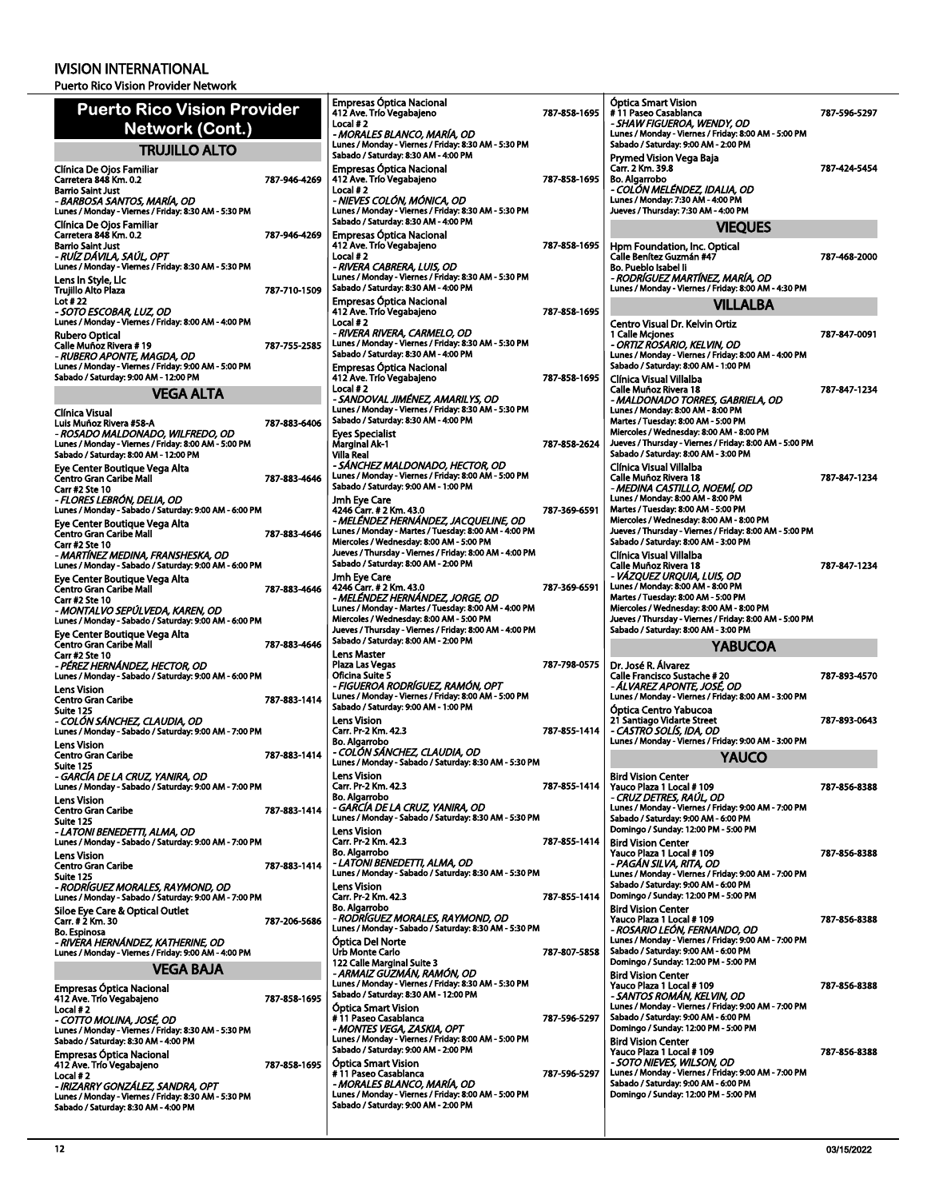| <b>Puerto Rico Vision Provider</b>                                                         |              | <b>Empresas Óptica Nacional</b><br>412 Ave. Trío Vegabajeno<br>Local #2                          | 787-858-1695 | <b>Óptica Smart Vision</b><br>#11 Paseo Casablanca<br>- SHAW FIGUEROA, WENDY, OD                    | 787-596-5297 |
|--------------------------------------------------------------------------------------------|--------------|--------------------------------------------------------------------------------------------------|--------------|-----------------------------------------------------------------------------------------------------|--------------|
| Network (Cont.)                                                                            |              | - MORALES BLANCO, MARÍA, OD<br>Lunes / Monday - Viernes / Friday: 8:30 AM - 5:30 PM              |              | Lunes / Monday - Viernes / Friday: 8:00 AM - 5:00 PM<br>Sabado / Saturday: 9:00 AM - 2:00 PM        |              |
| <b>TRUJILLO ALTO</b>                                                                       |              | Sabado / Saturday: 8:30 AM - 4:00 PM                                                             |              | Prymed Vision Vega Baja                                                                             |              |
| Clínica De Ojos Familiar<br>Carretera 848 Km. 0.2                                          | 787-946-4269 | <b>Empresas Óptica Nacional</b><br>412 Ave. Trío Vegabajeno                                      | 787-858-1695 | Carr. 2 Km. 39.8<br>Bo. Algarrobo                                                                   | 787-424-5454 |
| <b>Barrio Saint Just</b>                                                                   |              | Local #2                                                                                         |              | - COLÓN MELÉNDEZ, IDALIA, OD                                                                        |              |
| - BARBOSA SANTOS, MARÍA, OD<br>Lunes / Monday - Viernes / Friday: 8:30 AM - 5:30 PM        |              | - NIEVES COLÓN, MÓNICA, OD<br>Lunes / Monday - Viernes / Friday: 8:30 AM - 5:30 PM               |              | Lunes / Monday: 7:30 AM - 4:00 PM<br>Jueves / Thursday: 7:30 AM - 4:00 PM                           |              |
| Clínica De Ojos Familiar                                                                   |              | Sabado / Saturday: 8:30 AM - 4:00 PM                                                             |              | <b>VIEQUES</b>                                                                                      |              |
| Carretera 848 Km. 0.2<br><b>Barrio Saint Just</b>                                          | 787-946-4269 | <b>Empresas Optica Nacional</b><br>412 Ave. Trío Vegabajeno                                      | 787-858-1695 | Hpm Foundation, Inc. Optical                                                                        |              |
| - RUÍZ DÁVILA. SAÚL. OPT                                                                   |              | Local #2                                                                                         |              | Calle Benítez Guzmán #47                                                                            | 787-468-2000 |
| Lunes / Monday - Viernes / Friday: 8:30 AM - 5:30 PM<br>Lens In Style, Lic                 |              | - RIVERA CABRERA, LUIS, OD<br>Lunes / Monday - Viernes / Friday: 8:30 AM - 5:30 PM               |              | Bo. Pueblo Isabel Ii<br>- RODRÍGUEZ MARTÍNEZ, MARÍA, OD                                             |              |
| <b>Trujillo Alto Plaza</b>                                                                 | 787-710-1509 | Sabado / Saturday: 8:30 AM - 4:00 PM                                                             |              | Lunes / Monday - Viernes / Friday: 8:00 AM - 4:30 PM                                                |              |
| Lot #22<br>- SOTO ESCOBAR, LUZ, OD                                                         |              | <b>Empresas Óptica Nacional</b><br>412 Ave. Trío Vegabajeno                                      | 787-858-1695 | <b>VILLALBA</b>                                                                                     |              |
| Lunes / Monday - Viernes / Friday: 8:00 AM - 4:00 PM                                       |              | Local $#2$<br>- RIVERA RIVERA, CARMELO, OD                                                       |              | Centro Visual Dr. Kelvin Ortiz                                                                      |              |
| <b>Rubero Optical</b><br>Calle Muñoz Rivera #19                                            | 787-755-2585 | Lunes / Monday - Viernes / Friday: 8:30 AM - 5:30 PM                                             |              | 1 Calle Mcjones<br>- ORTIZ ROSARIO, KELVIN, OD                                                      | 787-847-0091 |
| - RUBERO APONTE, MAGDA, OD<br>Lunes / Monday - Viernes / Friday: 9:00 AM - 5:00 PM         |              | Sabado / Saturday: 8:30 AM - 4:00 PM                                                             |              | Lunes / Monday - Viernes / Friday: 8:00 AM - 4:00 PM<br>Sabado / Saturday: 8:00 AM - 1:00 PM        |              |
| Sabado / Saturday: 9:00 AM - 12:00 PM                                                      |              | <b>Empresas Optica Nacional</b><br>412 Ave. Trío Vegabajeno                                      | 787-858-1695 | Clínica Visual Villalba                                                                             |              |
| <b>VEGA ALTA</b>                                                                           |              | Local #2<br>- SANDOVAL JIMÉNEZ, AMARILYS, OD                                                     |              | Calle Muñoz Rivera 18<br>- MALDONADO TORRES, GABRIELA, OD                                           | 787 847 1234 |
| Clínica Visual                                                                             |              | Lunes / Monday - Viernes / Friday: 8:30 AM - 5:30 PM                                             |              | Lunes / Monday: 8:00 AM - 8:00 PM                                                                   |              |
| Luis Muñoz Rivera #58-A<br>- ROSADO MALDONADO, WILFREDO, OD                                | 787-883-6406 | Sabado / Saturday: 8:30 AM - 4:00 PM<br><b>Eyes Specialist</b>                                   |              | Martes / Tuesday: 8:00 AM - 5:00 PM<br>Miercoles / Wednesday: 8:00 AM - 8:00 PM                     |              |
| Lunes / Monday - Viernes / Friday: 8:00 AM - 5:00 PM                                       |              | Marginal Ak-1                                                                                    | 787 858 2624 | Jueves / Thursday - Viernes / Friday: 8:00 AM - 5:00 PM                                             |              |
| Sabado / Saturday: 8:00 AM - 12:00 PM                                                      |              | <b>Villa Real</b><br>- SÁNCHEZ MALDONADO, HECTOR, OD                                             |              | Sabado / Saturday: 8:00 AM - 3:00 PM<br>Clínica Visual Villalba                                     |              |
| Eye Center Boutique Vega Alta<br>Centro Gran Caribe Mall                                   | 787-883-4646 | Lunes / Monday - Viernes / Friday: 8:00 AM - 5:00 PM                                             |              | Calle Muñoz Rivera 18                                                                               | 787-847-1234 |
| <b>Carr #2 Ste 10</b><br>- FLORES LEBRÓN, DELIA, OD                                        |              | Sabado / Saturday: 9:00 AM - 1:00 PM<br>Jmh Eye Care                                             |              | - MEDINA CASTILLO, NOEMI, OD<br>Lunes / Monday: 8:00 AM - 8:00 PM                                   |              |
| Lunes / Monday - Sabado / Saturday: 9:00 AM - 6:00 PM                                      |              | 4246 Carr. # 2 Km. 43.0                                                                          | 787-369-6591 | Martes / Tuesday: 8:00 AM - 5:00 PM                                                                 |              |
| Eye Center Boutique Vega Alta<br>Centro Gran Caribe Mall                                   | 787-883-4646 | - MELÉNDEZ HERNÁNDEZ, JACQUELINE, OD<br>Lunes / Monday - Martes / Tuesday: 8:00 AM - 4:00 PM     |              | Miercoles / Wednesday: 8:00 AM - 8:00 PM<br>Jueves / Thursday - Viernes / Friday: 8:00 AM - 5:00 PM |              |
| <b>Carr #2 Ste 10</b>                                                                      |              | Miercoles / Wednesday: 8:00 AM - 5:00 PM                                                         |              | Sabado / Saturday: 8:00 AM - 3:00 PM                                                                |              |
| - MARTÍNEZ MEDINA, FRANSHESKA, OD<br>Lunes / Monday - Sabado / Saturday: 9:00 AM - 6:00 PM |              | Jueves / Thursday - Viernes / Friday: 8:00 AM - 4:00 PM<br>Sabado / Saturday: 8:00 AM - 2:00 PM  |              | Clínica Visual Villalba<br>Calle Muñoz Rivera 18                                                    | 787-847-1234 |
| Eye Center Boutique Vega Alta                                                              |              | Jmh Eye Care                                                                                     |              | - VAZQUEZ URQUIA, LUIS, OD                                                                          |              |
| Centro Gran Caribe Mall<br>Carr #2 Ste 10                                                  | 787-883-4646 | 4246 Carr. # 2 Km. 43.0<br>- MELÉNDEZ HERNÁNDEZ, JORGE, OD                                       | 787-369-6591 | Lunes / Monday: 8:00 AM - 8:00 PM<br>Martes / Tuesday: 8:00 AM - 5:00 PM                            |              |
| - MONTALVO SEPULVEDA, KAREN, OD<br>Lunes / Monday - Sabado / Saturday: 9:00 AM - 6:00 PM   |              | Lunes / Monday - Martes / Tuesday: 8:00 AM - 4:00 PM<br>Miercoles / Wednesday: 8:00 AM - 5:00 PM |              | Miercoles / Wednesday: 8:00 AM - 8:00 PM<br>Jueves / Thursday - Viernes / Friday: 8:00 AM - 5:00 PM |              |
|                                                                                            |              |                                                                                                  |              |                                                                                                     |              |
|                                                                                            |              | Jueves / Thursday - Viernes / Friday: 8:00 AM - 4:00 PM                                          |              | Sabado / Saturday: 8:00 AM - 3:00 PM                                                                |              |
| Eye Center Boutique Vega Alta<br>Centro Gran Caribe Mall                                   | 787-883-4646 | Sabado / Saturday: 8:00 AM - 2:00 PM                                                             |              | <b>YABUCOA</b>                                                                                      |              |
| Carr #2 Ste 10<br>- PÉREZ HERNÁNDEZ, HECTOR, OD                                            |              | <b>Lens Master</b><br>Plaza Las Vegas                                                            | 787-798-0575 | Dr. José R. Álvarez                                                                                 |              |
| Lunes / Monday - Sabado / Saturday: 9:00 AM - 6:00 PM                                      |              | <b>Oficina Suite 5</b>                                                                           |              | Calle Francisco Sustache #20                                                                        | 787-893-4570 |
| <b>Lens Vision</b><br><b>Centro Gran Caribe</b>                                            | 787-883-1414 | - FIGUEROA RODRÍGUEZ, RAMÓN, OPT<br>Lunes / Monday - Viernes / Friday: 8:00 AM - 5:00 PM         |              | - ÁLVAREZ APONTE, JOSÉ, OD<br>Lunes / Monday - Viernes / Friday: 8:00 AM - 3:00 PM                  |              |
| Suite 125                                                                                  |              | Sabado / Saturday: 9:00 AM - 1:00 PM                                                             |              | Óptica Centro Yabucoa                                                                               | 787-893-0643 |
| - COLÓN SÁNCHEZ, CLAUDIA, OD<br>Lunes / Monday - Sabado / Saturday: 9:00 AM - 7:00 PM      |              | <b>Lens Vision</b><br>Carr. Pr-2 Km. 42.3                                                        | 787 855-1414 | 21 Santiago Vidarte Street<br>- CASTRÓ SOLÍS, IDA, OD                                               |              |
| <b>Lens Vision</b>                                                                         | 787-883-1414 | <b>Bo. Algarrobo</b><br>- COLON SANCHEZ, CLAUDIA, OD                                             |              | Lunes / Monday - Viernes / Friday: 9:00 AM - 3:00 PM                                                |              |
| Centro Gran Caribe<br>Suite 125                                                            |              | Lunes / Monday - Sabado / Saturday: 8:30 AM - 5:30 PM                                            |              | <b>YAUCO</b>                                                                                        |              |
| - GARCÍA DE LA CRUZ, YANIRA, OD<br>Lunes / Monday - Sabado / Saturday: 9:00 AM - 7:00 PM   |              | Lens Vision<br>Carr. Pr-2 Km. 42.3                                                               | 787-855-1414 | <b>Bird Vision Center</b><br>Yauco Plaza 1 Local #109                                               | 787 856 8388 |
| <b>Lens Vision</b>                                                                         |              | <b>Bo. Algarrobo</b>                                                                             |              | - CRUZ DETRES, RAUL, OD                                                                             |              |
| <b>Centro Gran Caribe</b><br>Suite 125                                                     | 787-883-1414 | - GARCÍA DE LA CRUZ, YANIRA, OD<br>Lunes / Monday - Sabado / Saturday: 8:30 AM - 5:30 PM         |              | Lunes / Monday - Viernes / Friday: 9:00 AM - 7:00 PM<br>Sabado / Saturday: 9:00 AM - 6:00 PM        |              |
| - LATONI BENEDETTI, ALMA, OD                                                               |              | <b>Lens Vision</b>                                                                               |              | Domingo / Sunday: 12:00 PM - 5:00 PM                                                                |              |
| Lunes / Monday - Sabado / Saturday: 9:00 AM - 7:00 PM<br>Lens Vision                       |              | Carr. Pr-2 Km. 42.3<br><b>Bo. Algarrobo</b>                                                      | 787 855-1414 | <b>Bird Vision Center</b><br>Yauco Plaza 1 Local # 109                                              | 787-856-8388 |
| <b>Centro Gran Caribe</b>                                                                  | 787-883-1414 | - LATONI BENEDETTI, ALMA, OD<br>Lunes / Monday - Sabado / Saturday: 8:30 AM - 5:30 PM            |              | - PAGÁN SILVA, RITA, OD<br>Lunes / Monday - Viernes / Friday: 9:00 AM - 7:00 PM                     |              |
| Suite 125<br>- RODRIGUEZ MORALES, RAYMOND, OD                                              |              | <b>Lens Vision</b>                                                                               |              | Sabado / Saturday: 9:00 AM - 6:00 PM                                                                |              |
| Lunes / Monday - Sabado / Saturday: 9:00 AM - 7:00 PM                                      |              | Carr. Pr-2 Km. 42.3<br><b>Bo. Algarrobo</b>                                                      | 787-855-1414 | Domingo / Sunday: 12:00 PM - 5:00 PM                                                                |              |
| Siloe Eye Care & Optical Outlet<br>Carr. # 2 Km. 30                                        | 787-206-5686 | - RODRÍGUEZ MORALES, RAYMOND, OD                                                                 |              | <b>Bird Vision Center</b><br>Yauco Plaza 1 Local # 109                                              | 787-856-8388 |
| <b>Bo. Espinosa</b><br>- RIVĖRA HERNÁNDEZ, KATHERINE, OD                                   |              | Lunes / Monday - Sabado / Saturday: 8:30 AM - 5:30 PM<br>Óptica Del Norte                        |              | - ROSARIO LEÓN, FERNANDO, OD<br>Lunes / Monday - Viernes / Friday: 9:00 AM - 7:00 PM                |              |
| Lunes / Monday - Viernes / Friday: 9:00 AM - 4:00 PM                                       |              | <b>Urb Monte Carlo</b>                                                                           | 787-807-5858 | Sabado / Saturday: 9:00 AM - 6:00 PM<br>Domingo / Sunday: 12:00 PM - 5:00 PM                        |              |
| <b>VEGA BAJA</b>                                                                           |              | 122 Calle Marginal Suite 3<br>- ARMAIZ GUZMÁN, RAMÓN, OD                                         |              | <b>Bird Vision Center</b>                                                                           |              |
| Empresas Óptica Nacional                                                                   |              | Lunes / Monday - Viernes / Friday: 8:30 AM - 5:30 PM<br>Sabado / Saturday: 8:30 AM - 12:00 PM    |              | Yauco Plaza 1 Local # 109<br>- SANTOS ROMAN, KELVIN, OD                                             | 787 856 8388 |
| 412 Ave. Trio Vegabajeno<br>Local #2                                                       | 787-858-1695 | <b>Optica Smart Vision</b>                                                                       |              | Lunes / Monday - Viernes / Friday: 9:00 AM - 7:00 PM                                                |              |
| - COTTO MOLINA, JOSÉ, OD<br>Lunes / Monday - Viernes / Friday: 8:30 AM - 5:30 PM           |              | #11 Paseo Casablanca<br>- MONTES VEGA, ZASKIA, OPT                                               | 787-596-5297 | Sabado / Saturday: 9:00 AM - 6:00 PM<br>Domingo / Sunday: 12:00 PM - 5:00 PM                        |              |
| Sabado / Saturday: 8:30 AM - 4:00 PM                                                       |              | Lunes / Monday - Viernes / Friday: 8:00 AM - 5:00 PM                                             |              | <b>Bird Vision Center</b>                                                                           |              |
| Empresas Óptica Nacional<br>412 Ave. Trío Vegabajeno                                       | 787-858-1695 | Sabado / Saturday: 9:00 AM - 2:00 PM<br><b>Optica Smart Vision</b>                               |              | Yauco Plaza 1 Local # 109<br>- SOTO NIEVES, WILSON, OD                                              | 787-856-8388 |
| Local #2                                                                                   |              | # 11 Paseo Casablanca                                                                            | 787-596-5297 | Lunes / Monday - Viernes / Friday: 9:00 AM - 7:00 PM                                                |              |
| - IRIZARRY GONZÁLEZ, SANDRA, OPT<br>Lunes / Monday - Viernes / Friday: 8:30 AM - 5:30 PM   |              | - MORALES BLANCO, MARÍA, OD<br>Lunes / Monday - Viernes / Friday: 8:00 AM - 5:00 PM              |              | Sabado / Saturday: 9:00 AM - 6:00 PM<br>Domingo / Sunday: 12:00 PM - 5:00 PM                        |              |
| Sabado / Saturday: 8:30 AM - 4:00 PM                                                       |              | Sabado / Saturday: 9:00 AM - 2:00 PM                                                             |              |                                                                                                     |              |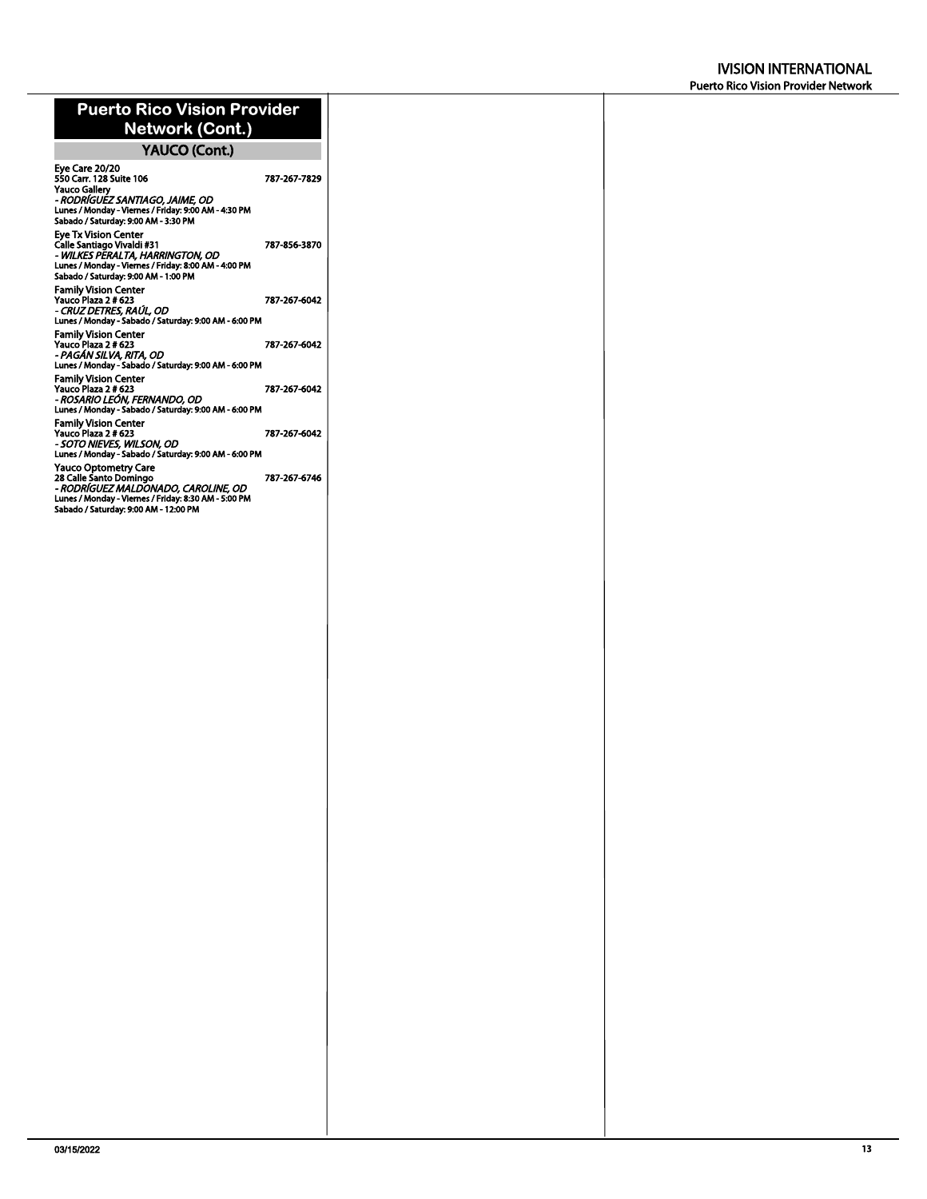## **Puerto Rico Vision Provider Network (Cont.)**

# **YAUCO (Cont.)**

| Eye Care 20/20<br>550 Carr. 128 Suite 106<br>Yauco Gallerv<br>- RODRÍGUEZ SANTIAGO, JAIME, OD<br>Lunes / Monday - Viernes / Friday: 9:00 AM - 4:30 PM<br>Sabado / Saturday: 9:00 AM - 3:30 PM | 787-267-7829 |
|-----------------------------------------------------------------------------------------------------------------------------------------------------------------------------------------------|--------------|
| <b>Eve Tx Vision Center</b><br>Calle Santiago Vivaldi #31<br>- WILKES PERALTA, HARRINGTON, OD<br>Lunes / Monday - Viernes / Friday: 8:00 AM - 4:00 PM<br>Sabado / Saturday: 9:00 AM - 1:00 PM | 787-856-3870 |
| <b>Family Vision Center</b><br>Yauco Plaza 2 # 623<br>- CRUZ DETRES, RAÚL, OD<br>Lunes / Monday - Sabado / Saturday: 9:00 AM - 6:00 PM                                                        | 787-267-6042 |
| <b>Family Vision Center</b><br>Yauco Plaza 2 # 623<br>- PAGÁN SILVA, RITA, OD<br>Lunes / Monday - Sabado / Saturday: 9:00 AM - 6:00 PM                                                        | 787-267-6042 |
| <b>Family Vision Center</b><br>Yauco Plaza 2 # 623<br>- ROSARIO LEÓN, FERNANDO, OD<br>Lunes / Monday - Sabado / Saturday: 9:00 AM - 6:00 PM                                                   | 787-267-6042 |
| <b>Family Vision Center</b><br>Yauco Plaza 2 # 623<br>- SOTO NIEVES, WILSON, OD<br>Lunes / Monday - Sabado / Saturday: 9:00 AM - 6:00 PM                                                      | 787-267-6042 |
| Yauco Optometry Care<br>28 Calle Santo Domingo<br>- RODRÍGUEZ MALDONADO, CAROLINE, OD<br>Lunes / Monday - Viernes / Friday: 8:30 AM - 5:00 PM<br>Sabado / Saturday: 9:00 AM - 12:00 PM        | 787-267-6746 |